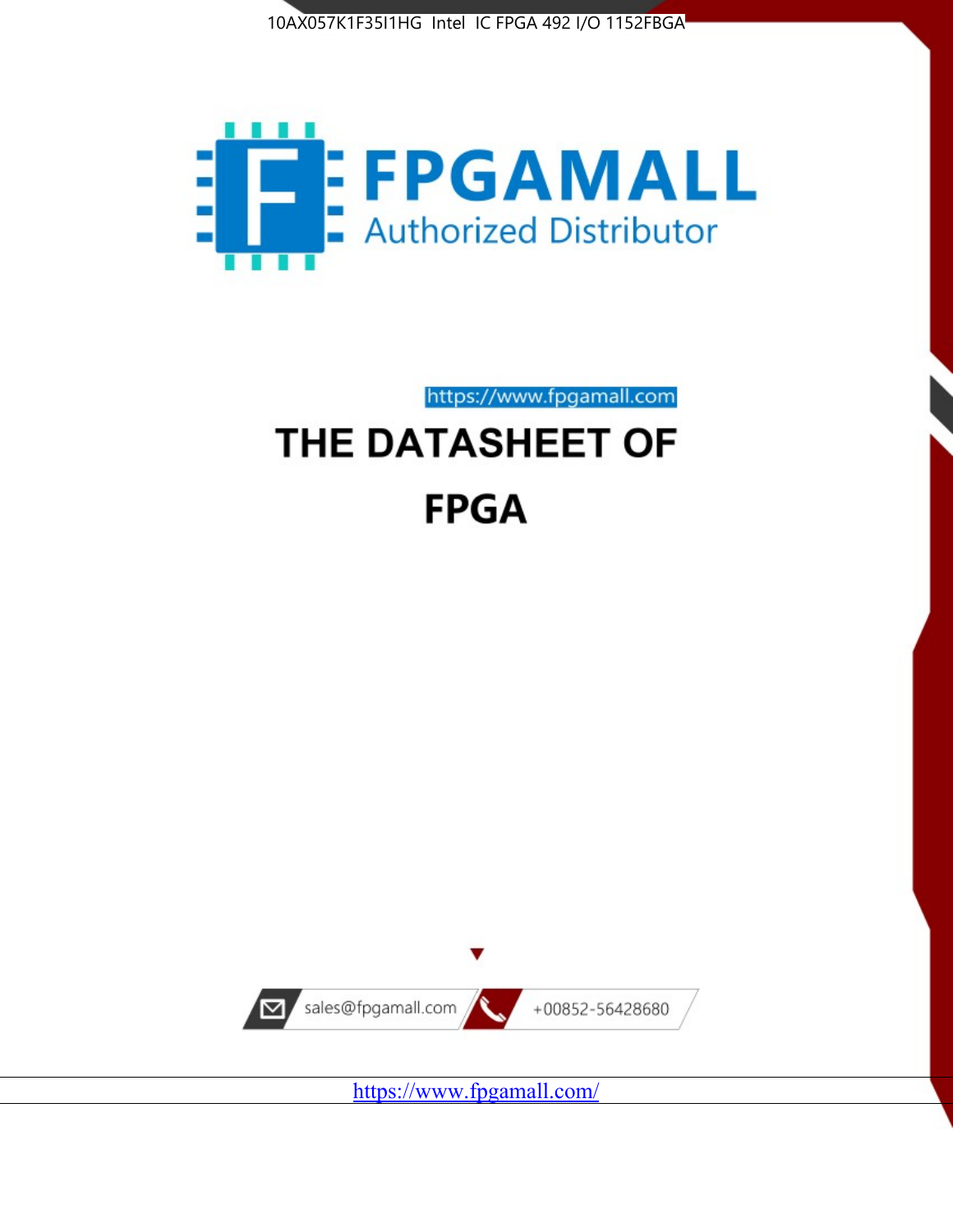



# https://www.fpgamall.com THE DATASHEET OF **FPGA**



<https://www.fpgamall.com/>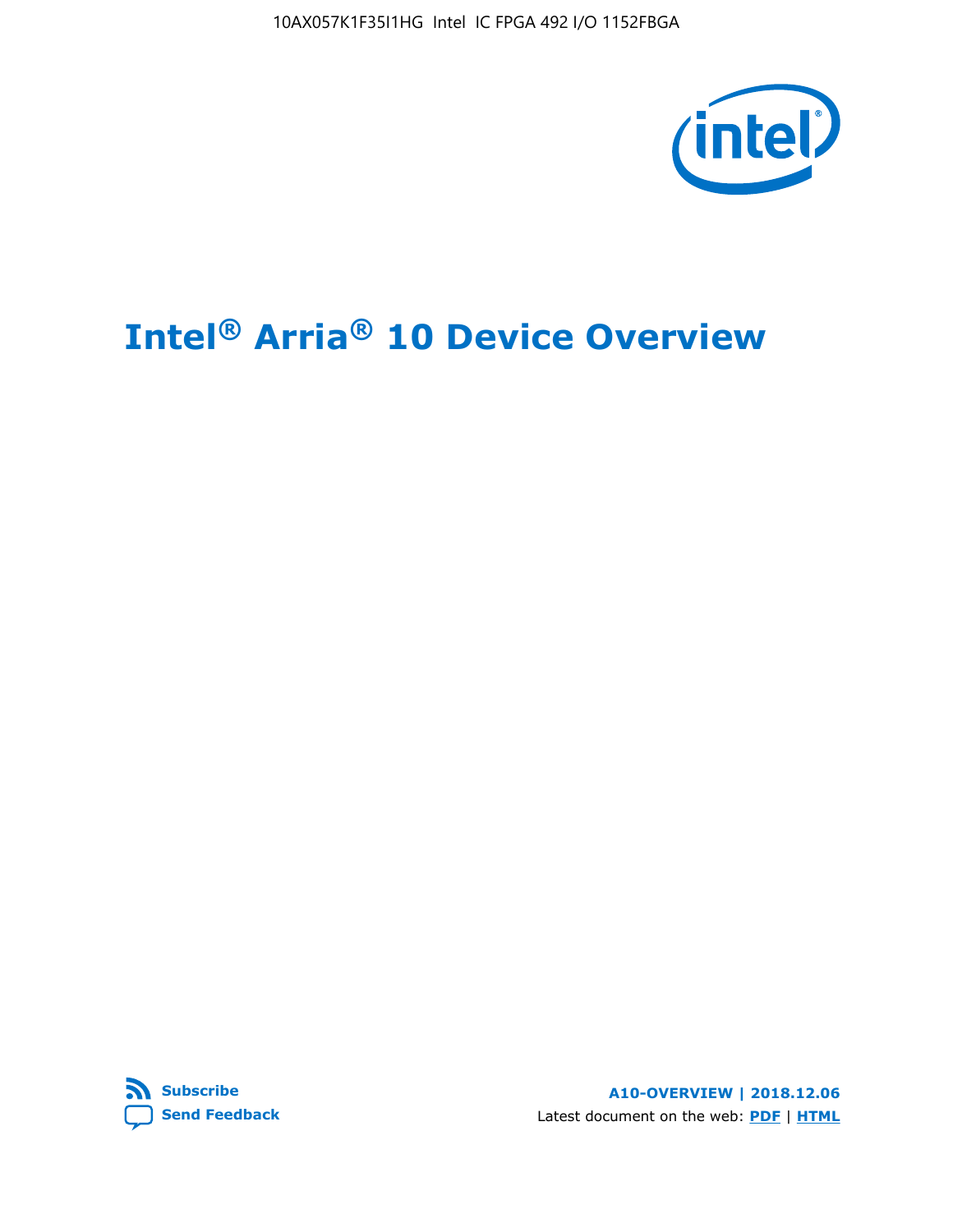

# **Intel® Arria® 10 Device Overview**



**A10-OVERVIEW | 2018.12.06** Latest document on the web: **[PDF](https://www.intel.com/content/dam/www/programmable/us/en/pdfs/literature/hb/arria-10/a10_overview.pdf)** | **[HTML](https://www.intel.com/content/www/us/en/programmable/documentation/sam1403480274650.html)**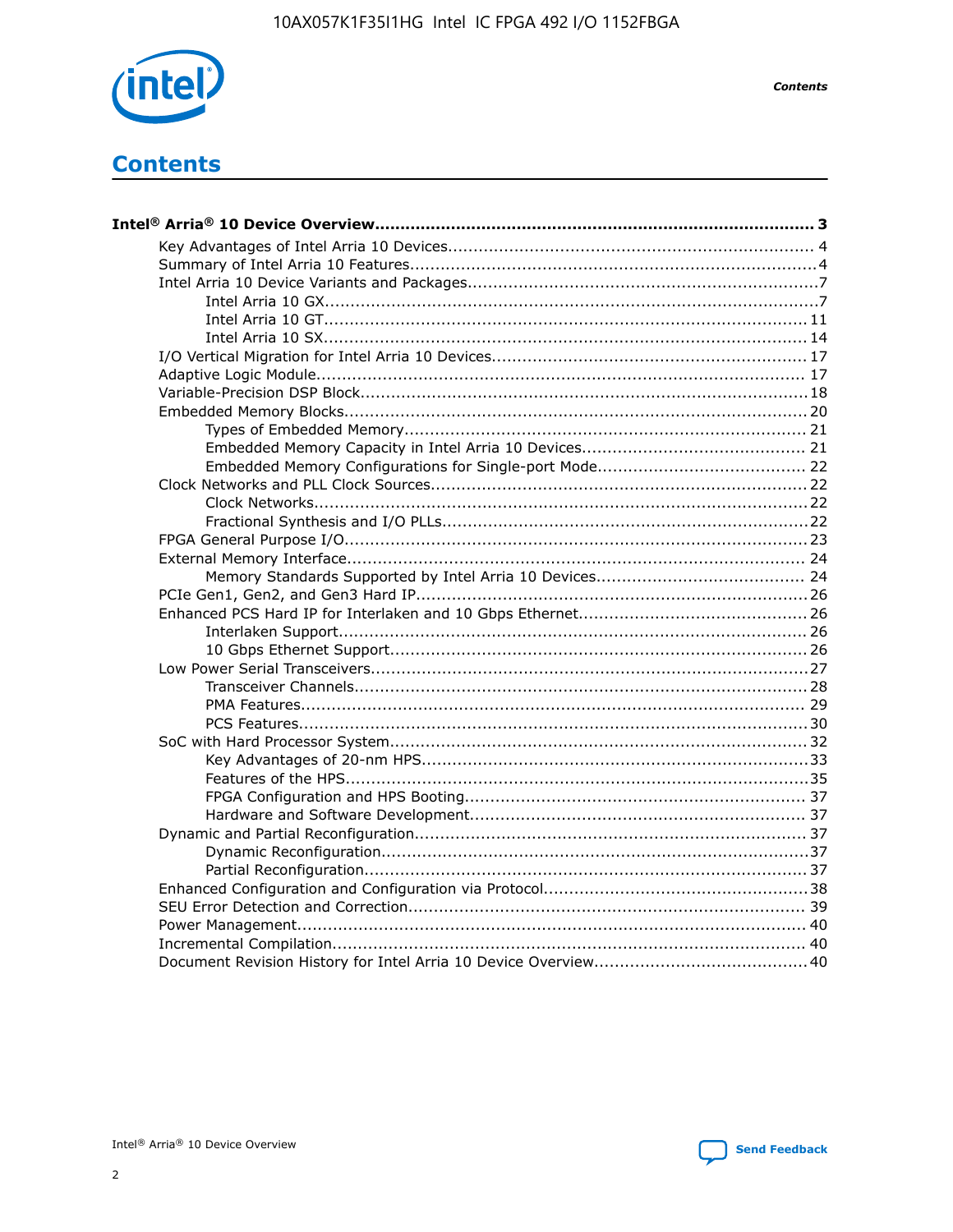

**Contents** 

# **Contents**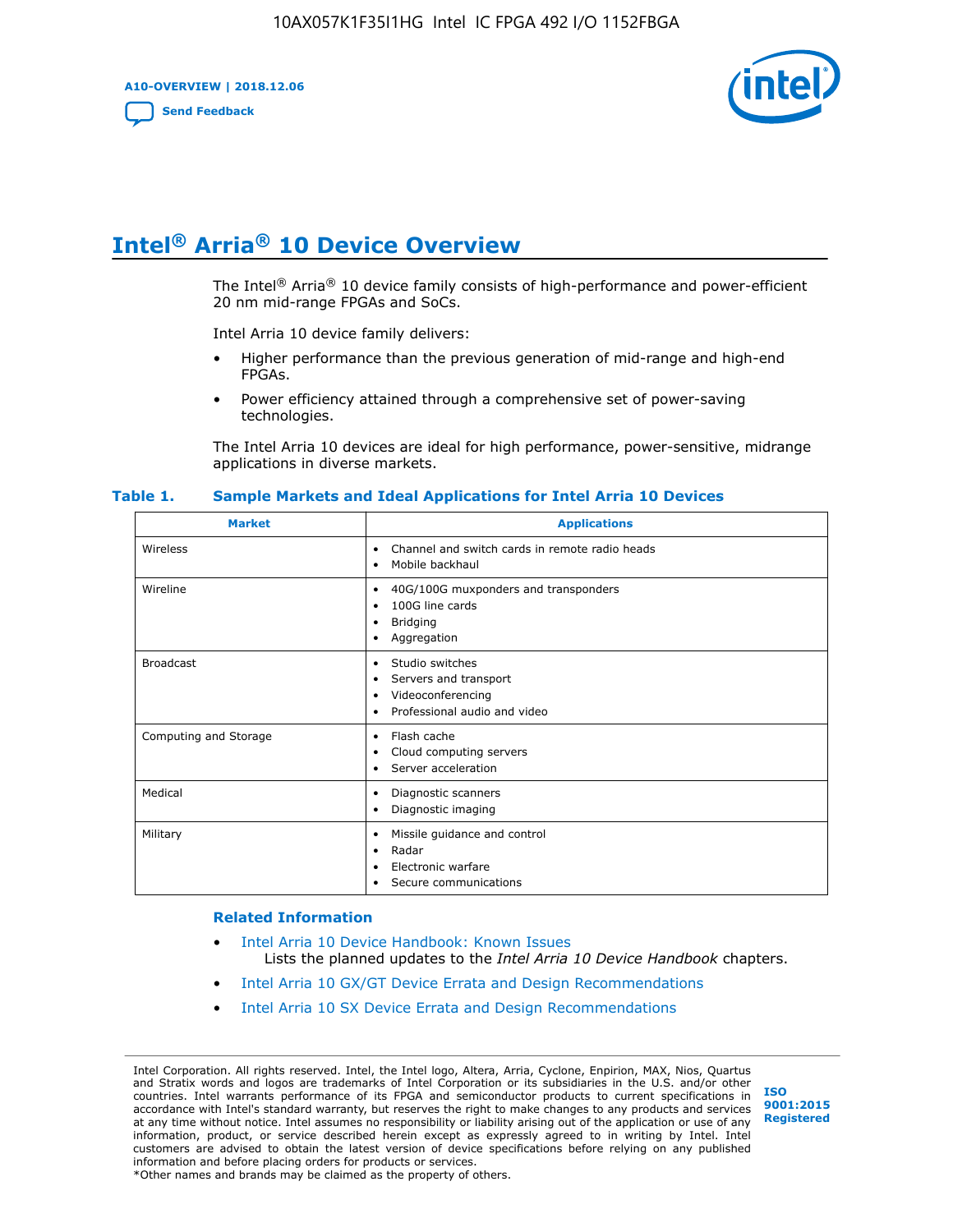**A10-OVERVIEW | 2018.12.06**

**[Send Feedback](mailto:FPGAtechdocfeedback@intel.com?subject=Feedback%20on%20Intel%20Arria%2010%20Device%20Overview%20(A10-OVERVIEW%202018.12.06)&body=We%20appreciate%20your%20feedback.%20In%20your%20comments,%20also%20specify%20the%20page%20number%20or%20paragraph.%20Thank%20you.)**



# **Intel® Arria® 10 Device Overview**

The Intel<sup>®</sup> Arria<sup>®</sup> 10 device family consists of high-performance and power-efficient 20 nm mid-range FPGAs and SoCs.

Intel Arria 10 device family delivers:

- Higher performance than the previous generation of mid-range and high-end FPGAs.
- Power efficiency attained through a comprehensive set of power-saving technologies.

The Intel Arria 10 devices are ideal for high performance, power-sensitive, midrange applications in diverse markets.

| <b>Market</b>         | <b>Applications</b>                                                                                               |
|-----------------------|-------------------------------------------------------------------------------------------------------------------|
| Wireless              | Channel and switch cards in remote radio heads<br>٠<br>Mobile backhaul<br>٠                                       |
| Wireline              | 40G/100G muxponders and transponders<br>٠<br>100G line cards<br>٠<br><b>Bridging</b><br>٠<br>Aggregation<br>٠     |
| <b>Broadcast</b>      | Studio switches<br>٠<br>Servers and transport<br>٠<br>Videoconferencing<br>٠<br>Professional audio and video<br>٠ |
| Computing and Storage | Flash cache<br>٠<br>Cloud computing servers<br>٠<br>Server acceleration<br>٠                                      |
| Medical               | Diagnostic scanners<br>٠<br>Diagnostic imaging<br>٠                                                               |
| Military              | Missile guidance and control<br>٠<br>Radar<br>٠<br>Electronic warfare<br>٠<br>Secure communications<br>٠          |

#### **Table 1. Sample Markets and Ideal Applications for Intel Arria 10 Devices**

#### **Related Information**

- [Intel Arria 10 Device Handbook: Known Issues](http://www.altera.com/support/kdb/solutions/rd07302013_646.html) Lists the planned updates to the *Intel Arria 10 Device Handbook* chapters.
- [Intel Arria 10 GX/GT Device Errata and Design Recommendations](https://www.intel.com/content/www/us/en/programmable/documentation/agz1493851706374.html#yqz1494433888646)
- [Intel Arria 10 SX Device Errata and Design Recommendations](https://www.intel.com/content/www/us/en/programmable/documentation/cru1462832385668.html#cru1462832558642)

Intel Corporation. All rights reserved. Intel, the Intel logo, Altera, Arria, Cyclone, Enpirion, MAX, Nios, Quartus and Stratix words and logos are trademarks of Intel Corporation or its subsidiaries in the U.S. and/or other countries. Intel warrants performance of its FPGA and semiconductor products to current specifications in accordance with Intel's standard warranty, but reserves the right to make changes to any products and services at any time without notice. Intel assumes no responsibility or liability arising out of the application or use of any information, product, or service described herein except as expressly agreed to in writing by Intel. Intel customers are advised to obtain the latest version of device specifications before relying on any published information and before placing orders for products or services. \*Other names and brands may be claimed as the property of others.

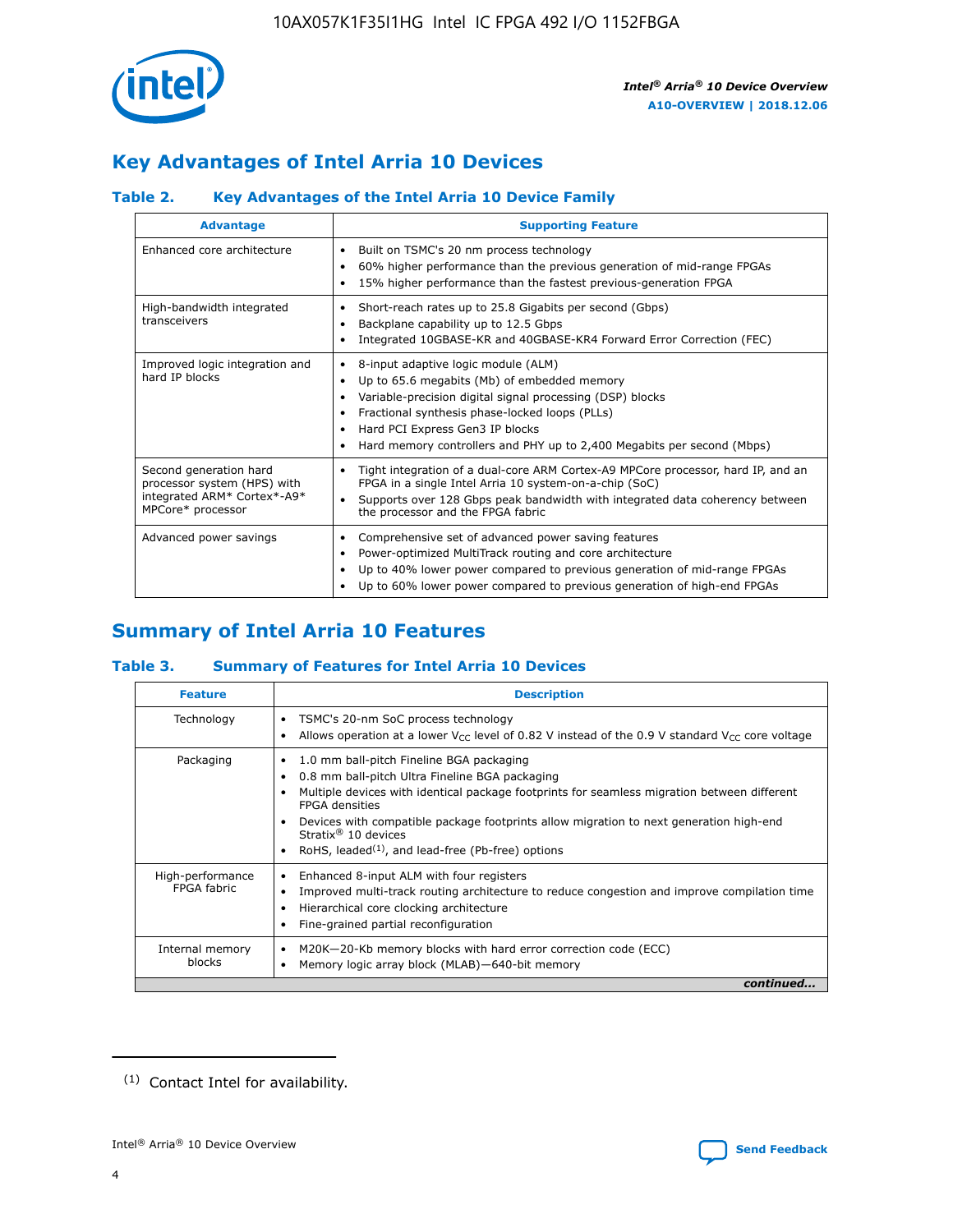

# **Key Advantages of Intel Arria 10 Devices**

# **Table 2. Key Advantages of the Intel Arria 10 Device Family**

| <b>Advantage</b>                                                                                          | <b>Supporting Feature</b>                                                                                                                                                                                                                                                                                                     |
|-----------------------------------------------------------------------------------------------------------|-------------------------------------------------------------------------------------------------------------------------------------------------------------------------------------------------------------------------------------------------------------------------------------------------------------------------------|
| Enhanced core architecture                                                                                | Built on TSMC's 20 nm process technology<br>٠<br>60% higher performance than the previous generation of mid-range FPGAs<br>٠<br>15% higher performance than the fastest previous-generation FPGA<br>٠                                                                                                                         |
| High-bandwidth integrated<br>transceivers                                                                 | Short-reach rates up to 25.8 Gigabits per second (Gbps)<br>٠<br>Backplane capability up to 12.5 Gbps<br>٠<br>Integrated 10GBASE-KR and 40GBASE-KR4 Forward Error Correction (FEC)<br>٠                                                                                                                                        |
| Improved logic integration and<br>hard IP blocks                                                          | 8-input adaptive logic module (ALM)<br>٠<br>Up to 65.6 megabits (Mb) of embedded memory<br>٠<br>Variable-precision digital signal processing (DSP) blocks<br>Fractional synthesis phase-locked loops (PLLs)<br>٠<br>Hard PCI Express Gen3 IP blocks<br>Hard memory controllers and PHY up to 2,400 Megabits per second (Mbps) |
| Second generation hard<br>processor system (HPS) with<br>integrated ARM* Cortex*-A9*<br>MPCore* processor | Tight integration of a dual-core ARM Cortex-A9 MPCore processor, hard IP, and an<br>٠<br>FPGA in a single Intel Arria 10 system-on-a-chip (SoC)<br>Supports over 128 Gbps peak bandwidth with integrated data coherency between<br>$\bullet$<br>the processor and the FPGA fabric                                             |
| Advanced power savings                                                                                    | Comprehensive set of advanced power saving features<br>٠<br>Power-optimized MultiTrack routing and core architecture<br>٠<br>Up to 40% lower power compared to previous generation of mid-range FPGAs<br>٠<br>Up to 60% lower power compared to previous generation of high-end FPGAs                                         |

# **Summary of Intel Arria 10 Features**

## **Table 3. Summary of Features for Intel Arria 10 Devices**

| <b>Feature</b>                  | <b>Description</b>                                                                                                                                                                                                                                                                                                                                                                                 |
|---------------------------------|----------------------------------------------------------------------------------------------------------------------------------------------------------------------------------------------------------------------------------------------------------------------------------------------------------------------------------------------------------------------------------------------------|
| Technology                      | TSMC's 20-nm SoC process technology<br>Allows operation at a lower $V_{\text{CC}}$ level of 0.82 V instead of the 0.9 V standard $V_{\text{CC}}$ core voltage                                                                                                                                                                                                                                      |
| Packaging                       | 1.0 mm ball-pitch Fineline BGA packaging<br>٠<br>0.8 mm ball-pitch Ultra Fineline BGA packaging<br>Multiple devices with identical package footprints for seamless migration between different<br><b>FPGA</b> densities<br>Devices with compatible package footprints allow migration to next generation high-end<br>Stratix $@10$ devices<br>RoHS, leaded $(1)$ , and lead-free (Pb-free) options |
| High-performance<br>FPGA fabric | Enhanced 8-input ALM with four registers<br>Improved multi-track routing architecture to reduce congestion and improve compilation time<br>Hierarchical core clocking architecture<br>Fine-grained partial reconfiguration                                                                                                                                                                         |
| Internal memory<br>blocks       | M20K-20-Kb memory blocks with hard error correction code (ECC)<br>Memory logic array block (MLAB)-640-bit memory                                                                                                                                                                                                                                                                                   |
|                                 | continued                                                                                                                                                                                                                                                                                                                                                                                          |



<sup>(1)</sup> Contact Intel for availability.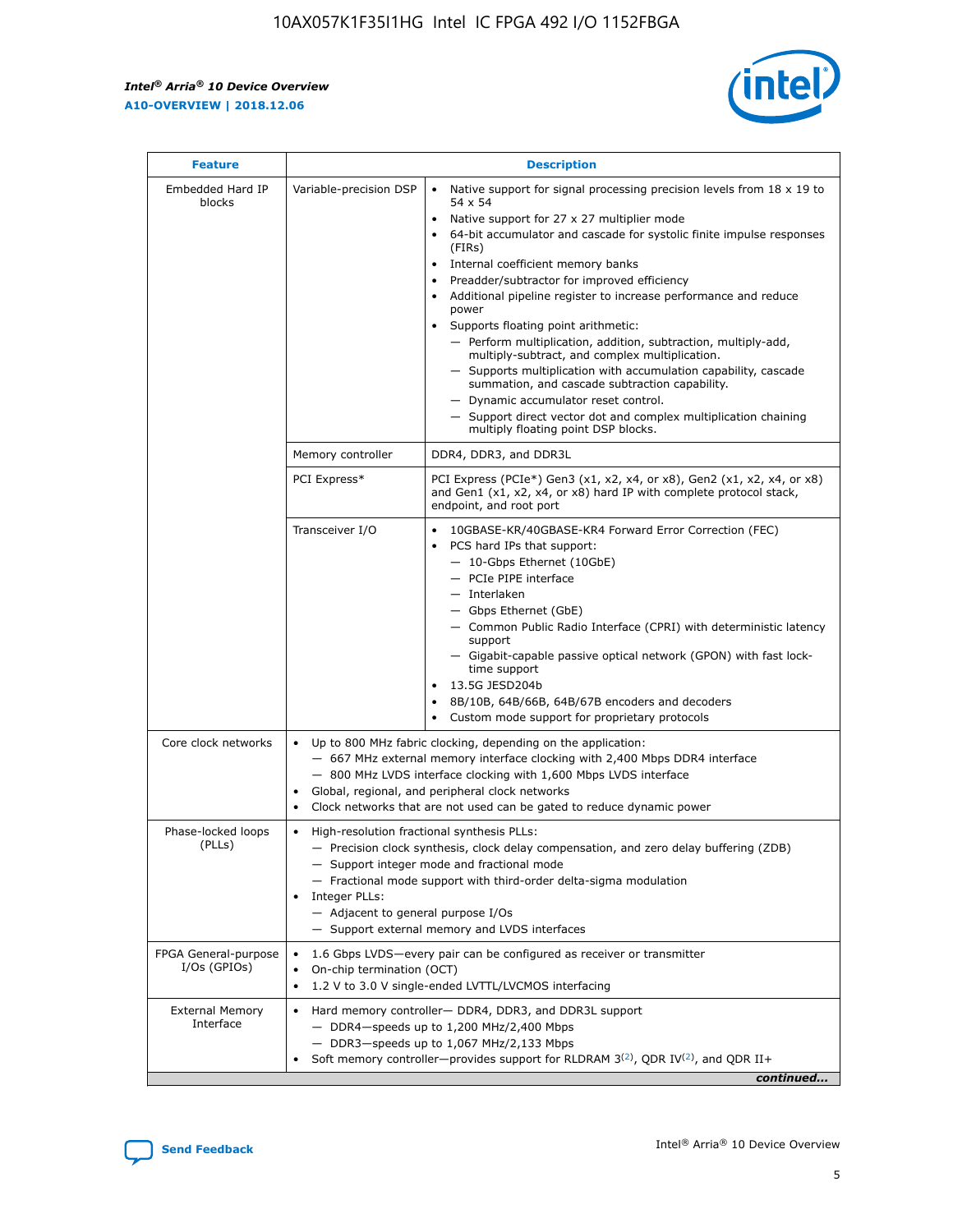$\mathbf{r}$ 



| <b>Feature</b>                         |                                                                                                        | <b>Description</b>                                                                                                                                                                                                                                                                                                                                                                                                                                                                                                                                                                                                                                                                                                                                                                                                                                                            |  |  |  |  |  |  |
|----------------------------------------|--------------------------------------------------------------------------------------------------------|-------------------------------------------------------------------------------------------------------------------------------------------------------------------------------------------------------------------------------------------------------------------------------------------------------------------------------------------------------------------------------------------------------------------------------------------------------------------------------------------------------------------------------------------------------------------------------------------------------------------------------------------------------------------------------------------------------------------------------------------------------------------------------------------------------------------------------------------------------------------------------|--|--|--|--|--|--|
| Embedded Hard IP<br>blocks             | Variable-precision DSP                                                                                 | Native support for signal processing precision levels from $18 \times 19$ to<br>$\bullet$<br>54 x 54<br>Native support for 27 x 27 multiplier mode<br>$\bullet$<br>64-bit accumulator and cascade for systolic finite impulse responses<br>$\bullet$<br>(FIRs)<br>Internal coefficient memory banks<br>$\bullet$<br>Preadder/subtractor for improved efficiency<br>Additional pipeline register to increase performance and reduce<br>power<br>Supports floating point arithmetic:<br>- Perform multiplication, addition, subtraction, multiply-add,<br>multiply-subtract, and complex multiplication.<br>- Supports multiplication with accumulation capability, cascade<br>summation, and cascade subtraction capability.<br>- Dynamic accumulator reset control.<br>- Support direct vector dot and complex multiplication chaining<br>multiply floating point DSP blocks. |  |  |  |  |  |  |
|                                        | Memory controller                                                                                      | DDR4, DDR3, and DDR3L                                                                                                                                                                                                                                                                                                                                                                                                                                                                                                                                                                                                                                                                                                                                                                                                                                                         |  |  |  |  |  |  |
|                                        | PCI Express*                                                                                           | PCI Express (PCIe*) Gen3 (x1, x2, x4, or x8), Gen2 (x1, x2, x4, or x8)<br>and Gen1 (x1, x2, x4, or x8) hard IP with complete protocol stack,<br>endpoint, and root port                                                                                                                                                                                                                                                                                                                                                                                                                                                                                                                                                                                                                                                                                                       |  |  |  |  |  |  |
|                                        | Transceiver I/O                                                                                        | 10GBASE-KR/40GBASE-KR4 Forward Error Correction (FEC)<br>PCS hard IPs that support:<br>٠<br>- 10-Gbps Ethernet (10GbE)<br>- PCIe PIPE interface<br>- Interlaken<br>- Gbps Ethernet (GbE)<br>- Common Public Radio Interface (CPRI) with deterministic latency<br>support<br>- Gigabit-capable passive optical network (GPON) with fast lock-<br>time support<br>13.5G JESD204b<br>$\bullet$<br>8B/10B, 64B/66B, 64B/67B encoders and decoders<br>$\bullet$<br>Custom mode support for proprietary protocols                                                                                                                                                                                                                                                                                                                                                                   |  |  |  |  |  |  |
| Core clock networks                    | $\bullet$                                                                                              | Up to 800 MHz fabric clocking, depending on the application:<br>- 667 MHz external memory interface clocking with 2,400 Mbps DDR4 interface<br>- 800 MHz LVDS interface clocking with 1,600 Mbps LVDS interface<br>Global, regional, and peripheral clock networks<br>Clock networks that are not used can be gated to reduce dynamic power                                                                                                                                                                                                                                                                                                                                                                                                                                                                                                                                   |  |  |  |  |  |  |
| Phase-locked loops<br>(PLLs)           | High-resolution fractional synthesis PLLs:<br>٠<br>Integer PLLs:<br>- Adjacent to general purpose I/Os | - Precision clock synthesis, clock delay compensation, and zero delay buffering (ZDB)<br>- Support integer mode and fractional mode<br>- Fractional mode support with third-order delta-sigma modulation<br>- Support external memory and LVDS interfaces                                                                                                                                                                                                                                                                                                                                                                                                                                                                                                                                                                                                                     |  |  |  |  |  |  |
| FPGA General-purpose<br>$I/Os$ (GPIOs) | On-chip termination (OCT)<br>٠                                                                         | 1.6 Gbps LVDS-every pair can be configured as receiver or transmitter                                                                                                                                                                                                                                                                                                                                                                                                                                                                                                                                                                                                                                                                                                                                                                                                         |  |  |  |  |  |  |
| <b>External Memory</b><br>Interface    | $\bullet$                                                                                              | 1.2 V to 3.0 V single-ended LVTTL/LVCMOS interfacing<br>Hard memory controller- DDR4, DDR3, and DDR3L support<br>$-$ DDR4 $-$ speeds up to 1,200 MHz/2,400 Mbps<br>- DDR3-speeds up to 1,067 MHz/2,133 Mbps<br>Soft memory controller—provides support for RLDRAM $3^{(2)}$ , QDR IV $^{(2)}$ , and QDR II+<br>continued                                                                                                                                                                                                                                                                                                                                                                                                                                                                                                                                                      |  |  |  |  |  |  |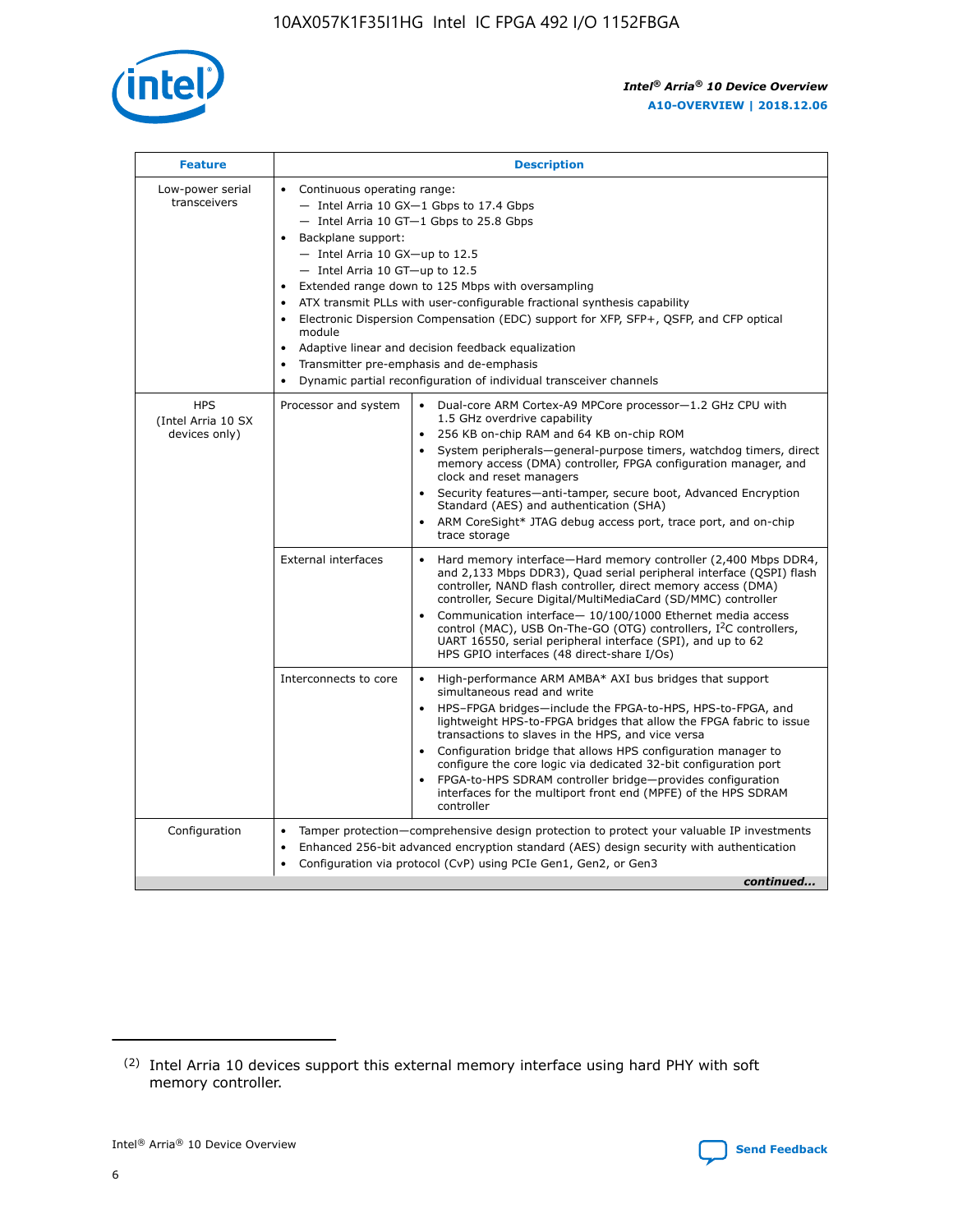

| <b>Feature</b>                                    | <b>Description</b>                                                                                                                                                                                                                                                                                                                                                                                                                                                                                                                                                                                                                                  |
|---------------------------------------------------|-----------------------------------------------------------------------------------------------------------------------------------------------------------------------------------------------------------------------------------------------------------------------------------------------------------------------------------------------------------------------------------------------------------------------------------------------------------------------------------------------------------------------------------------------------------------------------------------------------------------------------------------------------|
| Low-power serial<br>transceivers                  | • Continuous operating range:<br>- Intel Arria 10 GX-1 Gbps to 17.4 Gbps<br>- Intel Arria 10 GT-1 Gbps to 25.8 Gbps<br>Backplane support:<br>- Intel Arria 10 GX-up to 12.5<br>- Intel Arria 10 GT-up to 12.5<br>Extended range down to 125 Mbps with oversampling<br>ATX transmit PLLs with user-configurable fractional synthesis capability<br>Electronic Dispersion Compensation (EDC) support for XFP, SFP+, QSFP, and CFP optical<br>module<br>Adaptive linear and decision feedback equalization<br>$\bullet$<br>Transmitter pre-emphasis and de-emphasis<br>$\bullet$<br>Dynamic partial reconfiguration of individual transceiver channels |
| <b>HPS</b><br>(Intel Arria 10 SX<br>devices only) | Dual-core ARM Cortex-A9 MPCore processor-1.2 GHz CPU with<br>Processor and system<br>$\bullet$<br>1.5 GHz overdrive capability<br>256 KB on-chip RAM and 64 KB on-chip ROM<br>System peripherals—general-purpose timers, watchdog timers, direct<br>memory access (DMA) controller, FPGA configuration manager, and<br>clock and reset managers<br>Security features-anti-tamper, secure boot, Advanced Encryption<br>Standard (AES) and authentication (SHA)<br>ARM CoreSight* JTAG debug access port, trace port, and on-chip<br>trace storage                                                                                                    |
|                                                   | <b>External interfaces</b><br>Hard memory interface-Hard memory controller (2,400 Mbps DDR4,<br>$\bullet$<br>and 2,133 Mbps DDR3), Quad serial peripheral interface (QSPI) flash<br>controller, NAND flash controller, direct memory access (DMA)<br>controller, Secure Digital/MultiMediaCard (SD/MMC) controller<br>Communication interface-10/100/1000 Ethernet media access<br>control (MAC), USB On-The-GO (OTG) controllers, I <sup>2</sup> C controllers,<br>UART 16550, serial peripheral interface (SPI), and up to 62<br>HPS GPIO interfaces (48 direct-share I/Os)                                                                       |
|                                                   | High-performance ARM AMBA* AXI bus bridges that support<br>Interconnects to core<br>$\bullet$<br>simultaneous read and write<br>HPS-FPGA bridges-include the FPGA-to-HPS, HPS-to-FPGA, and<br>$\bullet$<br>lightweight HPS-to-FPGA bridges that allow the FPGA fabric to issue<br>transactions to slaves in the HPS, and vice versa<br>Configuration bridge that allows HPS configuration manager to<br>configure the core logic via dedicated 32-bit configuration port<br>FPGA-to-HPS SDRAM controller bridge-provides configuration<br>interfaces for the multiport front end (MPFE) of the HPS SDRAM<br>controller                              |
| Configuration                                     | Tamper protection—comprehensive design protection to protect your valuable IP investments<br>Enhanced 256-bit advanced encryption standard (AES) design security with authentication<br>٠<br>Configuration via protocol (CvP) using PCIe Gen1, Gen2, or Gen3<br>continued                                                                                                                                                                                                                                                                                                                                                                           |

<sup>(2)</sup> Intel Arria 10 devices support this external memory interface using hard PHY with soft memory controller.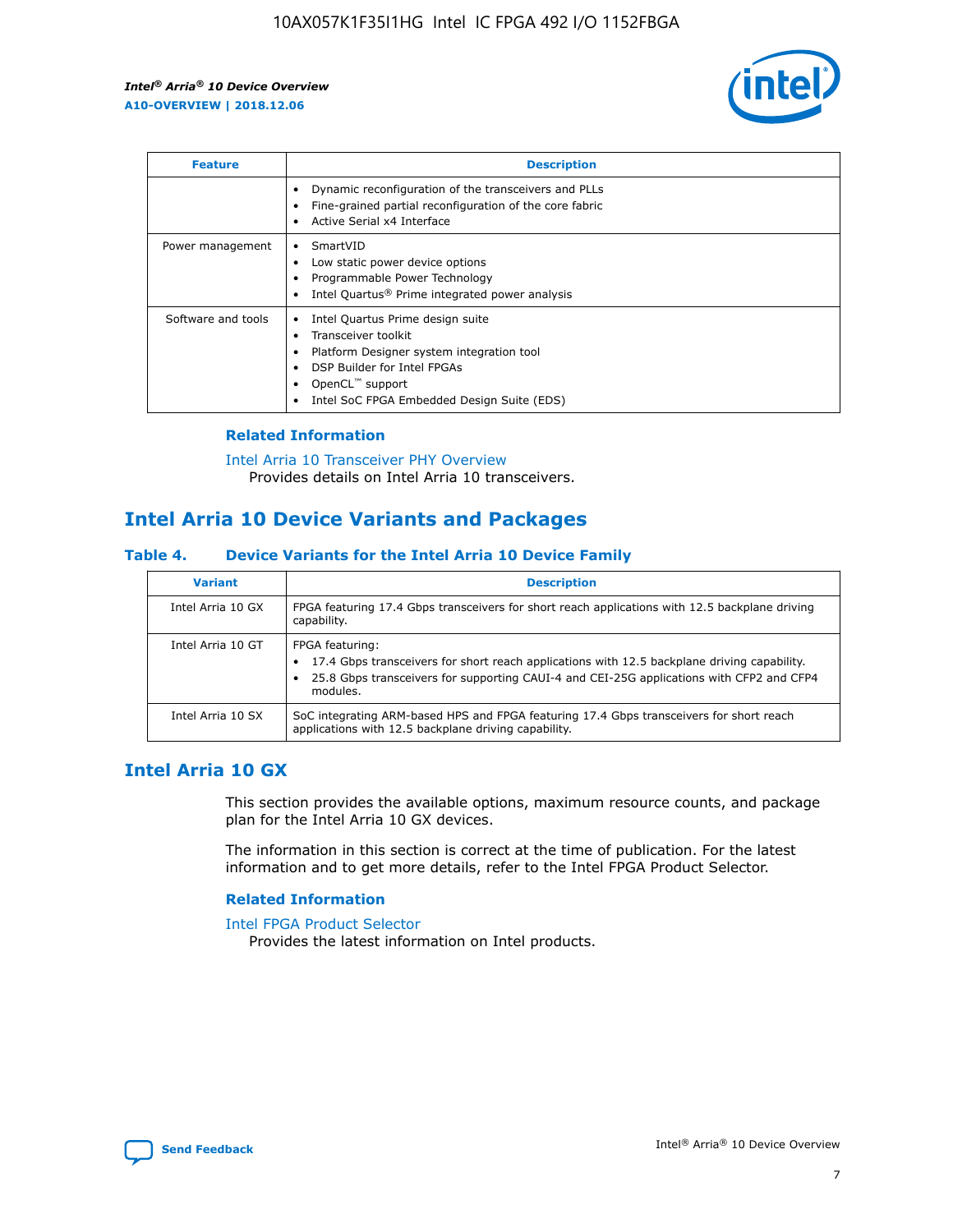

| <b>Feature</b>     | <b>Description</b>                                                                                                                                                                                               |
|--------------------|------------------------------------------------------------------------------------------------------------------------------------------------------------------------------------------------------------------|
|                    | Dynamic reconfiguration of the transceivers and PLLs<br>Fine-grained partial reconfiguration of the core fabric<br>Active Serial x4 Interface<br>$\bullet$                                                       |
| Power management   | SmartVID<br>Low static power device options<br>Programmable Power Technology<br>Intel Quartus <sup>®</sup> Prime integrated power analysis                                                                       |
| Software and tools | Intel Quartus Prime design suite<br>Transceiver toolkit<br>Platform Designer system integration tool<br>DSP Builder for Intel FPGAs<br>OpenCL <sup>™</sup> support<br>Intel SoC FPGA Embedded Design Suite (EDS) |

## **Related Information**

[Intel Arria 10 Transceiver PHY Overview](https://www.intel.com/content/www/us/en/programmable/documentation/nik1398707230472.html#nik1398706768037) Provides details on Intel Arria 10 transceivers.

# **Intel Arria 10 Device Variants and Packages**

#### **Table 4. Device Variants for the Intel Arria 10 Device Family**

| <b>Variant</b>    | <b>Description</b>                                                                                                                                                                                                     |
|-------------------|------------------------------------------------------------------------------------------------------------------------------------------------------------------------------------------------------------------------|
| Intel Arria 10 GX | FPGA featuring 17.4 Gbps transceivers for short reach applications with 12.5 backplane driving<br>capability.                                                                                                          |
| Intel Arria 10 GT | FPGA featuring:<br>17.4 Gbps transceivers for short reach applications with 12.5 backplane driving capability.<br>25.8 Gbps transceivers for supporting CAUI-4 and CEI-25G applications with CFP2 and CFP4<br>modules. |
| Intel Arria 10 SX | SoC integrating ARM-based HPS and FPGA featuring 17.4 Gbps transceivers for short reach<br>applications with 12.5 backplane driving capability.                                                                        |

# **Intel Arria 10 GX**

This section provides the available options, maximum resource counts, and package plan for the Intel Arria 10 GX devices.

The information in this section is correct at the time of publication. For the latest information and to get more details, refer to the Intel FPGA Product Selector.

### **Related Information**

#### [Intel FPGA Product Selector](http://www.altera.com/products/selector/psg-selector.html) Provides the latest information on Intel products.

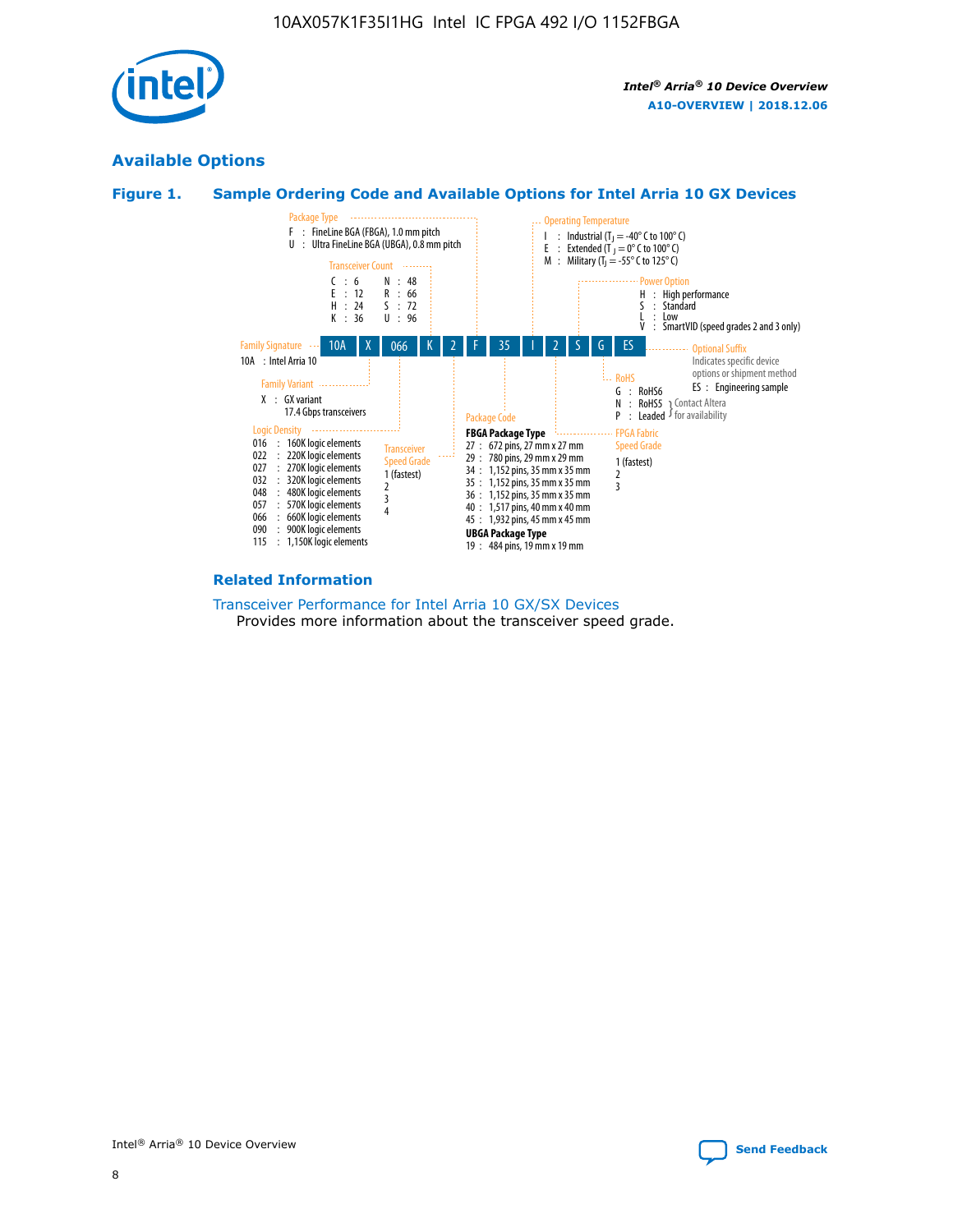

# **Available Options**





#### **Related Information**

[Transceiver Performance for Intel Arria 10 GX/SX Devices](https://www.intel.com/content/www/us/en/programmable/documentation/mcn1413182292568.html#mcn1413213965502) Provides more information about the transceiver speed grade.

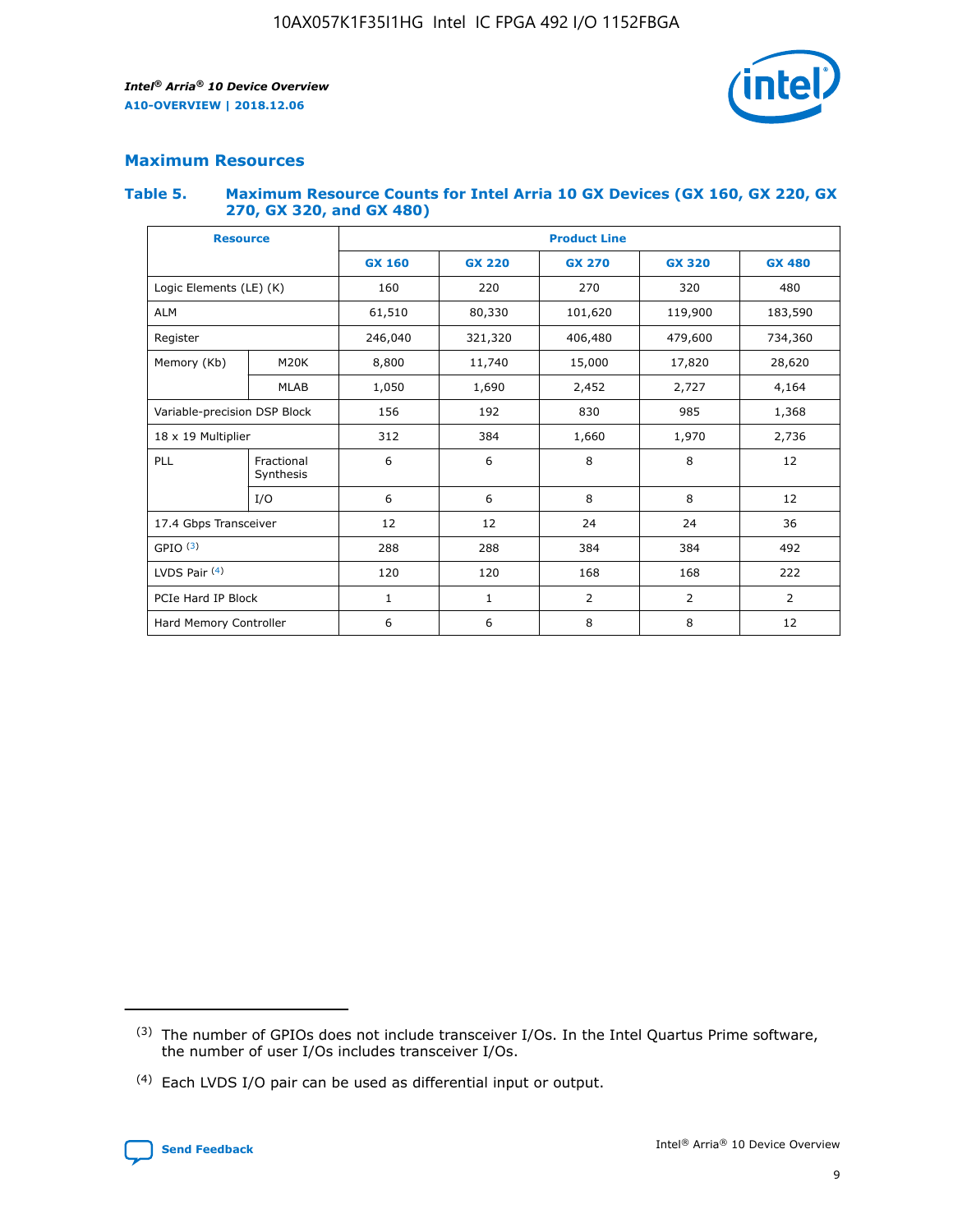

## **Maximum Resources**

#### **Table 5. Maximum Resource Counts for Intel Arria 10 GX Devices (GX 160, GX 220, GX 270, GX 320, and GX 480)**

| <b>Resource</b>         |                              | <b>Product Line</b> |                                                 |                |                |                |  |  |
|-------------------------|------------------------------|---------------------|-------------------------------------------------|----------------|----------------|----------------|--|--|
|                         |                              | <b>GX 160</b>       | <b>GX 220</b><br><b>GX 270</b><br><b>GX 320</b> |                |                | <b>GX 480</b>  |  |  |
| Logic Elements (LE) (K) |                              | 160                 | 220                                             | 270            | 320            | 480            |  |  |
| <b>ALM</b>              |                              | 61,510              | 80,330                                          | 101,620        | 119,900        | 183,590        |  |  |
| Register                |                              | 246,040             | 321,320                                         | 406,480        | 479,600        | 734,360        |  |  |
| Memory (Kb)             | M <sub>20</sub> K            | 8,800               | 11,740                                          | 15,000         | 17,820         | 28,620         |  |  |
|                         | <b>MLAB</b>                  | 1,050               | 1,690                                           | 2,452          | 2,727          | 4,164          |  |  |
|                         | Variable-precision DSP Block |                     | 192                                             | 830<br>985     |                | 1,368          |  |  |
| 18 x 19 Multiplier      |                              | 312                 | 384                                             | 1,970<br>1,660 |                | 2,736          |  |  |
| PLL                     | Fractional<br>Synthesis      | 6                   | 6                                               | 8              | 8              | 12             |  |  |
|                         | I/O                          | 6                   | 6                                               | 8              | 8              | 12             |  |  |
| 17.4 Gbps Transceiver   |                              | 12                  | 12                                              | 24             | 24             | 36             |  |  |
| GPIO <sup>(3)</sup>     |                              | 288                 | 288                                             | 384            | 384            | 492            |  |  |
| LVDS Pair $(4)$         |                              | 120                 | 120                                             | 168            | 168            | 222            |  |  |
| PCIe Hard IP Block      |                              | 1                   | 1                                               | 2              | $\overline{2}$ | $\overline{2}$ |  |  |
| Hard Memory Controller  |                              | 6                   | 6                                               | 8              | 8              | 12             |  |  |

<sup>(4)</sup> Each LVDS I/O pair can be used as differential input or output.



<sup>(3)</sup> The number of GPIOs does not include transceiver I/Os. In the Intel Quartus Prime software, the number of user I/Os includes transceiver I/Os.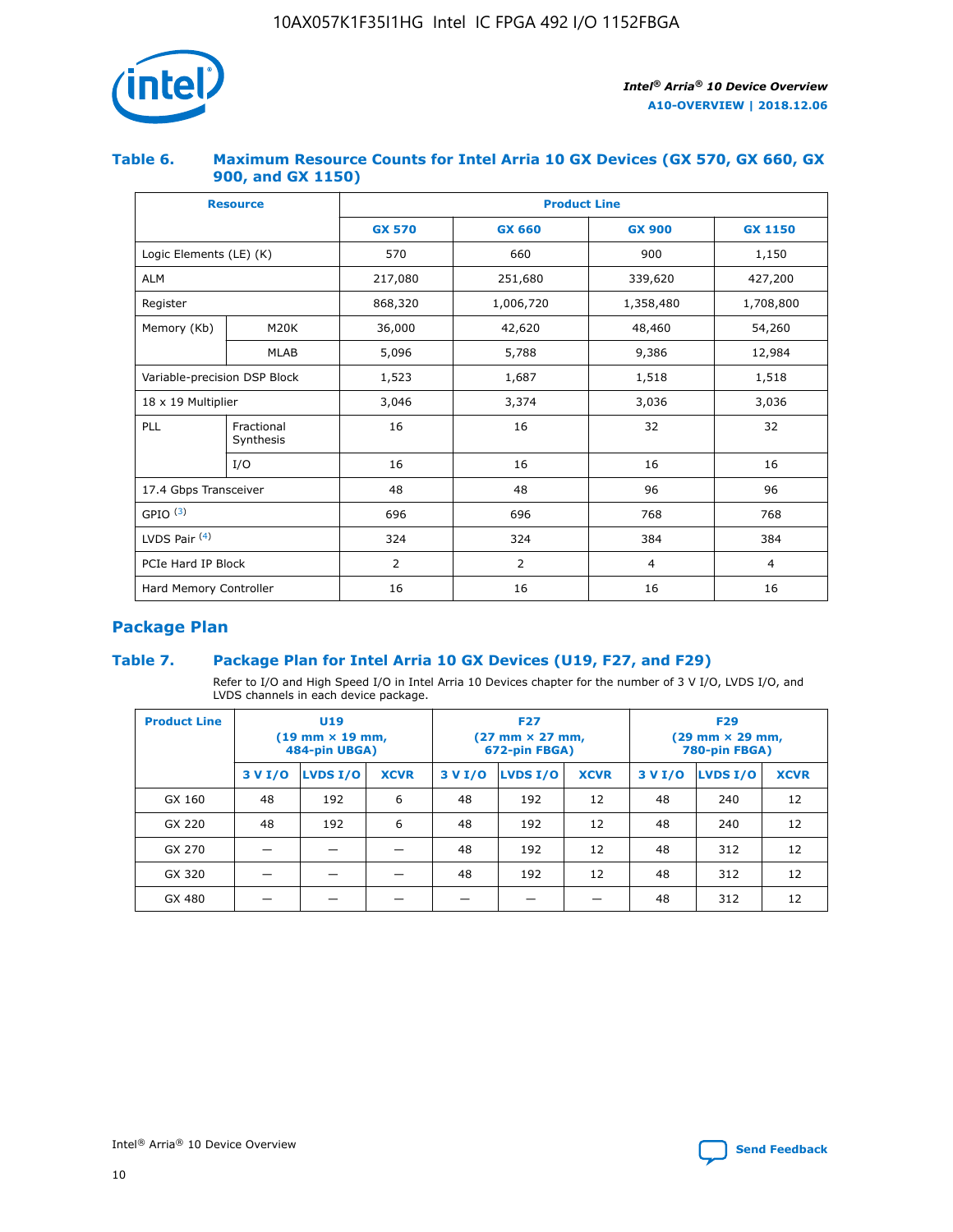

## **Table 6. Maximum Resource Counts for Intel Arria 10 GX Devices (GX 570, GX 660, GX 900, and GX 1150)**

|                              | <b>Resource</b>         | <b>Product Line</b> |                |                |                |  |  |  |
|------------------------------|-------------------------|---------------------|----------------|----------------|----------------|--|--|--|
|                              |                         | <b>GX 570</b>       | <b>GX 660</b>  |                | <b>GX 1150</b> |  |  |  |
| Logic Elements (LE) (K)      |                         | 570                 | 660            | 900            | 1,150          |  |  |  |
| <b>ALM</b>                   |                         | 217,080             | 251,680        | 339,620        | 427,200        |  |  |  |
| Register                     |                         | 868,320             | 1,006,720      | 1,358,480      | 1,708,800      |  |  |  |
| Memory (Kb)                  | <b>M20K</b>             | 36,000              | 42,620         | 48,460         | 54,260         |  |  |  |
|                              | <b>MLAB</b>             | 5,096               | 5,788          | 9,386          | 12,984         |  |  |  |
| Variable-precision DSP Block |                         | 1,523               | 1,687          | 1,518          | 1,518          |  |  |  |
| $18 \times 19$ Multiplier    |                         | 3,046               | 3,374          | 3,036          | 3,036          |  |  |  |
| PLL                          | Fractional<br>Synthesis | 16                  | 16             | 32             | 32             |  |  |  |
|                              | I/O                     | 16                  | 16             | 16             | 16             |  |  |  |
| 17.4 Gbps Transceiver        |                         | 48                  | 48<br>96       |                | 96             |  |  |  |
| GPIO <sup>(3)</sup>          |                         | 696                 | 696            | 768            | 768            |  |  |  |
| LVDS Pair $(4)$              |                         | 324                 | 324<br>384     |                | 384            |  |  |  |
| PCIe Hard IP Block           |                         | 2                   | $\overline{2}$ | $\overline{4}$ | 4              |  |  |  |
| Hard Memory Controller       |                         | 16                  | 16             | 16             | 16             |  |  |  |

# **Package Plan**

# **Table 7. Package Plan for Intel Arria 10 GX Devices (U19, F27, and F29)**

Refer to I/O and High Speed I/O in Intel Arria 10 Devices chapter for the number of 3 V I/O, LVDS I/O, and LVDS channels in each device package.

| <b>Product Line</b> | U <sub>19</sub><br>$(19 \text{ mm} \times 19 \text{ mm})$<br>484-pin UBGA) |          |             |         | <b>F27</b><br>(27 mm × 27 mm,<br>672-pin FBGA) |             | <b>F29</b><br>(29 mm × 29 mm,<br>780-pin FBGA) |          |             |  |
|---------------------|----------------------------------------------------------------------------|----------|-------------|---------|------------------------------------------------|-------------|------------------------------------------------|----------|-------------|--|
|                     | 3 V I/O                                                                    | LVDS I/O | <b>XCVR</b> | 3 V I/O | <b>LVDS I/O</b>                                | <b>XCVR</b> | 3 V I/O                                        | LVDS I/O | <b>XCVR</b> |  |
| GX 160              | 48                                                                         | 192      | 6           | 48      | 192                                            | 12          | 48                                             | 240      | 12          |  |
| GX 220              | 48                                                                         | 192      | 6           | 48      | 192                                            | 12          | 48                                             | 240      | 12          |  |
| GX 270              |                                                                            |          |             | 48      | 192                                            | 12          | 48                                             | 312      | 12          |  |
| GX 320              |                                                                            |          |             | 48      | 192                                            | 12          | 48                                             | 312      | 12          |  |
| GX 480              |                                                                            |          |             |         |                                                |             | 48                                             | 312      | 12          |  |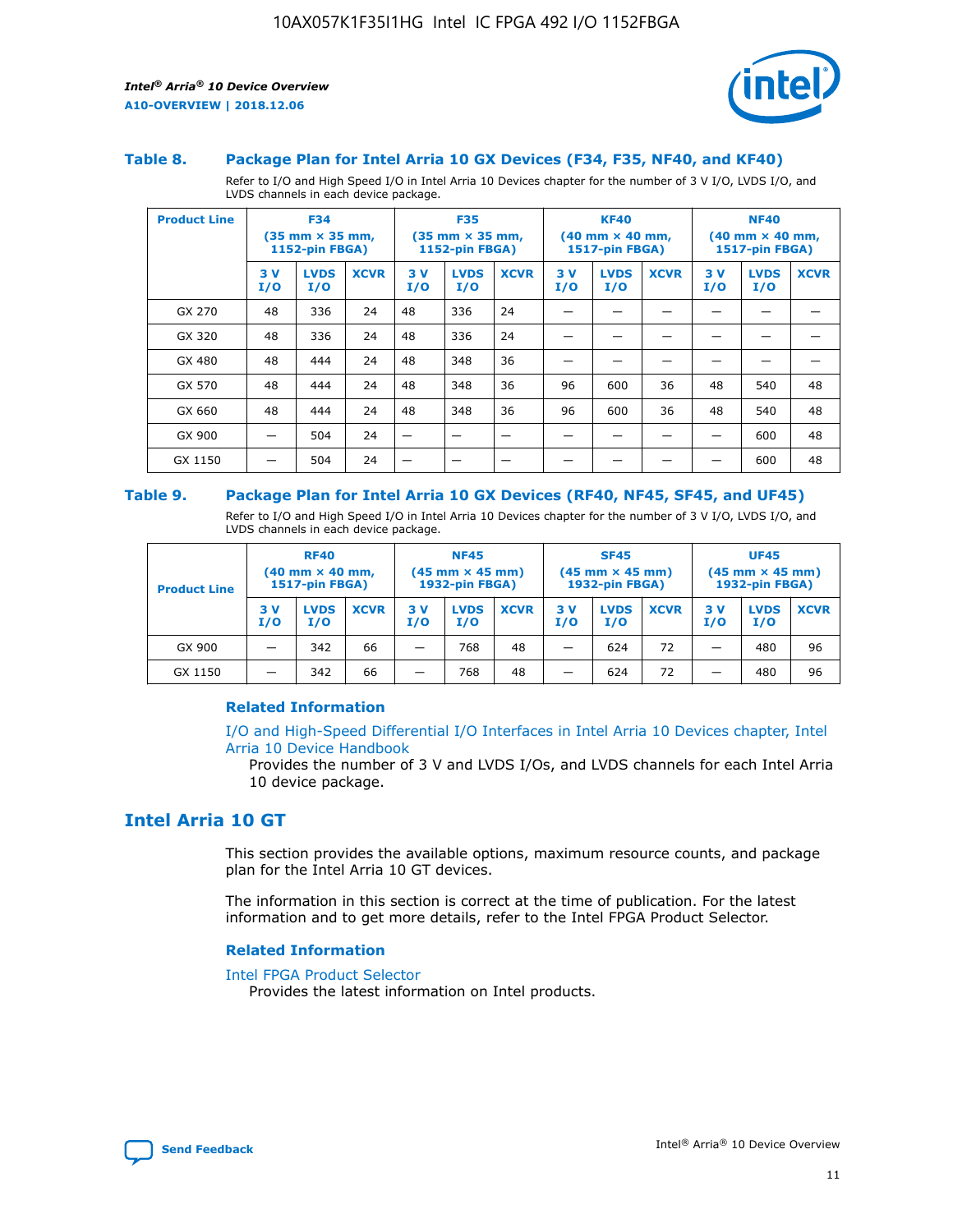

#### **Table 8. Package Plan for Intel Arria 10 GX Devices (F34, F35, NF40, and KF40)**

Refer to I/O and High Speed I/O in Intel Arria 10 Devices chapter for the number of 3 V I/O, LVDS I/O, and LVDS channels in each device package.

| <b>Product Line</b> | <b>F34</b><br>$(35 \text{ mm} \times 35 \text{ mm})$<br><b>1152-pin FBGA)</b> |                    | <b>F35</b><br>$(35 \text{ mm} \times 35 \text{ mm})$<br><b>1152-pin FBGA)</b> |           | <b>KF40</b><br>$(40$ mm $\times$ 40 mm,<br>1517-pin FBGA) |             |           | <b>NF40</b><br>$(40 \text{ mm} \times 40 \text{ mm})$<br>1517-pin FBGA) |             |           |                    |             |
|---------------------|-------------------------------------------------------------------------------|--------------------|-------------------------------------------------------------------------------|-----------|-----------------------------------------------------------|-------------|-----------|-------------------------------------------------------------------------|-------------|-----------|--------------------|-------------|
|                     | 3V<br>I/O                                                                     | <b>LVDS</b><br>I/O | <b>XCVR</b>                                                                   | 3V<br>I/O | <b>LVDS</b><br>I/O                                        | <b>XCVR</b> | 3V<br>I/O | <b>LVDS</b><br>I/O                                                      | <b>XCVR</b> | 3V<br>I/O | <b>LVDS</b><br>I/O | <b>XCVR</b> |
| GX 270              | 48                                                                            | 336                | 24                                                                            | 48        | 336                                                       | 24          |           |                                                                         |             |           |                    |             |
| GX 320              | 48                                                                            | 336                | 24                                                                            | 48        | 336                                                       | 24          |           |                                                                         |             |           |                    |             |
| GX 480              | 48                                                                            | 444                | 24                                                                            | 48        | 348                                                       | 36          |           |                                                                         |             |           |                    |             |
| GX 570              | 48                                                                            | 444                | 24                                                                            | 48        | 348                                                       | 36          | 96        | 600                                                                     | 36          | 48        | 540                | 48          |
| GX 660              | 48                                                                            | 444                | 24                                                                            | 48        | 348                                                       | 36          | 96        | 600                                                                     | 36          | 48        | 540                | 48          |
| GX 900              |                                                                               | 504                | 24                                                                            | —         |                                                           | -           |           |                                                                         |             |           | 600                | 48          |
| GX 1150             |                                                                               | 504                | 24                                                                            |           |                                                           |             |           |                                                                         |             |           | 600                | 48          |

#### **Table 9. Package Plan for Intel Arria 10 GX Devices (RF40, NF45, SF45, and UF45)**

Refer to I/O and High Speed I/O in Intel Arria 10 Devices chapter for the number of 3 V I/O, LVDS I/O, and LVDS channels in each device package.

| <b>Product Line</b> | <b>RF40</b><br>$(40$ mm $\times$ 40 mm,<br>1517-pin FBGA) |                    |             | <b>NF45</b><br>$(45 \text{ mm} \times 45 \text{ mm})$<br><b>1932-pin FBGA)</b> |                    |             | <b>SF45</b><br>$(45 \text{ mm} \times 45 \text{ mm})$<br><b>1932-pin FBGA)</b> |                    |             | <b>UF45</b><br>$(45 \text{ mm} \times 45 \text{ mm})$<br><b>1932-pin FBGA)</b> |                    |             |
|---------------------|-----------------------------------------------------------|--------------------|-------------|--------------------------------------------------------------------------------|--------------------|-------------|--------------------------------------------------------------------------------|--------------------|-------------|--------------------------------------------------------------------------------|--------------------|-------------|
|                     | 3V<br>I/O                                                 | <b>LVDS</b><br>I/O | <b>XCVR</b> | 3 V<br>I/O                                                                     | <b>LVDS</b><br>I/O | <b>XCVR</b> | 3 V<br>I/O                                                                     | <b>LVDS</b><br>I/O | <b>XCVR</b> | 3V<br>I/O                                                                      | <b>LVDS</b><br>I/O | <b>XCVR</b> |
| GX 900              |                                                           | 342                | 66          | _                                                                              | 768                | 48          |                                                                                | 624                | 72          |                                                                                | 480                | 96          |
| GX 1150             |                                                           | 342                | 66          | _                                                                              | 768                | 48          |                                                                                | 624                | 72          |                                                                                | 480                | 96          |

### **Related Information**

[I/O and High-Speed Differential I/O Interfaces in Intel Arria 10 Devices chapter, Intel](https://www.intel.com/content/www/us/en/programmable/documentation/sam1403482614086.html#sam1403482030321) [Arria 10 Device Handbook](https://www.intel.com/content/www/us/en/programmable/documentation/sam1403482614086.html#sam1403482030321)

Provides the number of 3 V and LVDS I/Os, and LVDS channels for each Intel Arria 10 device package.

# **Intel Arria 10 GT**

This section provides the available options, maximum resource counts, and package plan for the Intel Arria 10 GT devices.

The information in this section is correct at the time of publication. For the latest information and to get more details, refer to the Intel FPGA Product Selector.

#### **Related Information**

#### [Intel FPGA Product Selector](http://www.altera.com/products/selector/psg-selector.html)

Provides the latest information on Intel products.

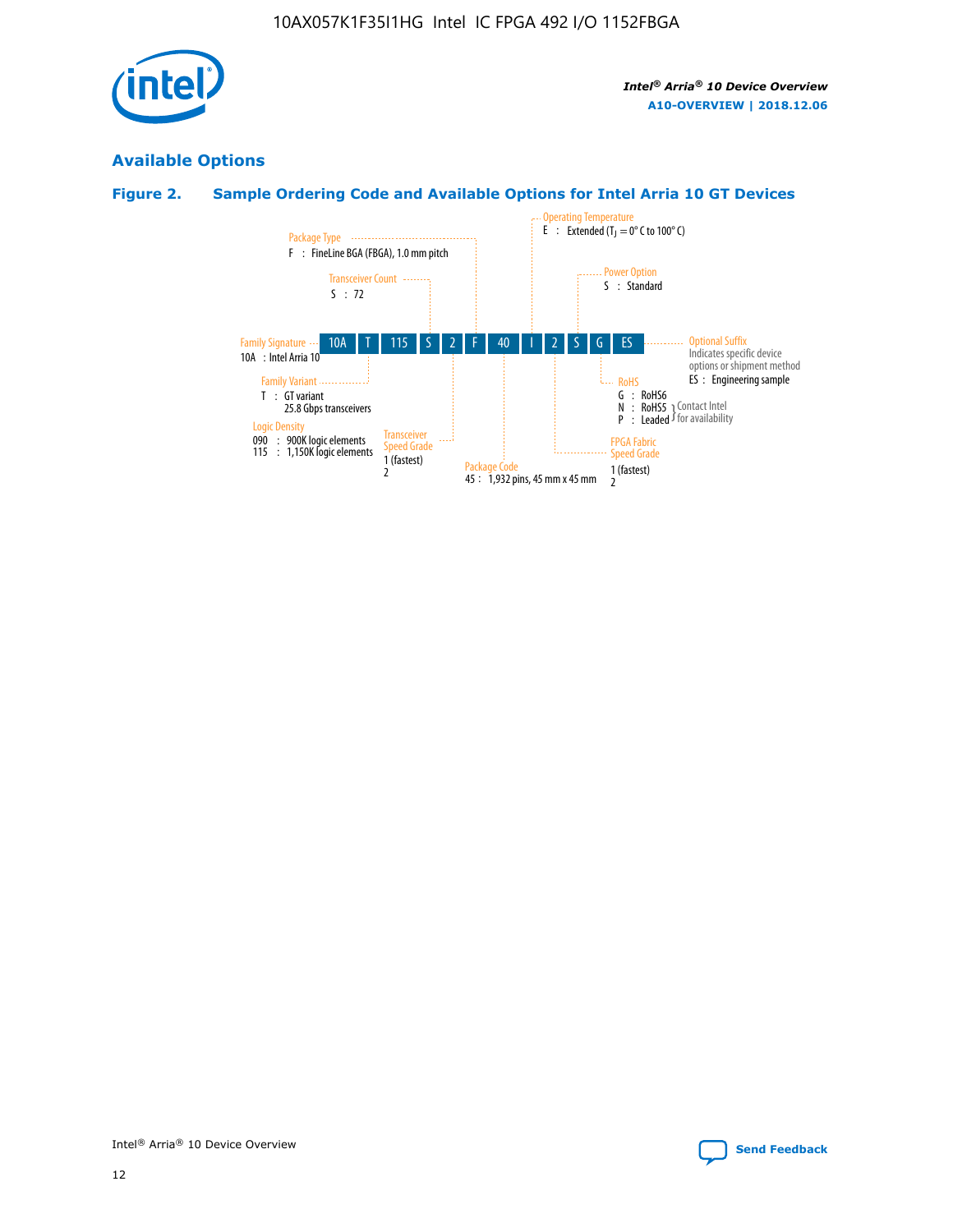

# **Available Options**

# **Figure 2. Sample Ordering Code and Available Options for Intel Arria 10 GT Devices**

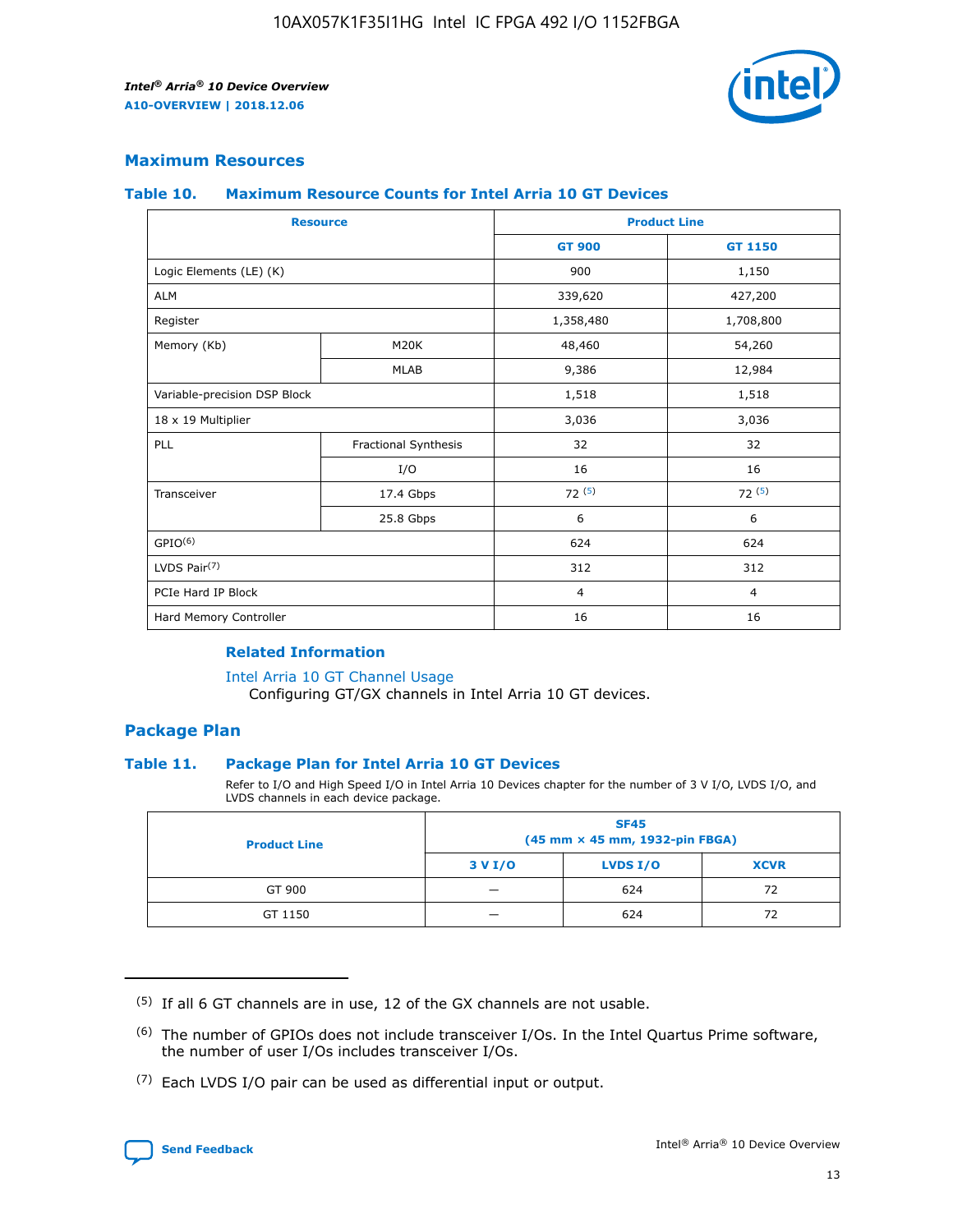

## **Maximum Resources**

#### **Table 10. Maximum Resource Counts for Intel Arria 10 GT Devices**

| <b>Resource</b>              |                      |                | <b>Product Line</b> |  |
|------------------------------|----------------------|----------------|---------------------|--|
|                              |                      | <b>GT 900</b>  | <b>GT 1150</b>      |  |
| Logic Elements (LE) (K)      |                      | 900            | 1,150               |  |
| <b>ALM</b>                   |                      | 339,620        | 427,200             |  |
| Register                     |                      | 1,358,480      | 1,708,800           |  |
| Memory (Kb)                  | M20K                 | 48,460         | 54,260              |  |
|                              | <b>MLAB</b>          | 9,386          | 12,984              |  |
| Variable-precision DSP Block |                      | 1,518          | 1,518               |  |
| 18 x 19 Multiplier           |                      | 3,036          | 3,036               |  |
| <b>PLL</b>                   | Fractional Synthesis | 32             | 32                  |  |
|                              | I/O                  | 16             | 16                  |  |
| Transceiver                  | 17.4 Gbps            | 72(5)          | 72(5)               |  |
|                              | 25.8 Gbps            | 6              | 6                   |  |
| GPIO <sup>(6)</sup>          |                      | 624            | 624                 |  |
| LVDS Pair $(7)$              |                      | 312            | 312                 |  |
| PCIe Hard IP Block           |                      | $\overline{4}$ | $\overline{4}$      |  |
| Hard Memory Controller       |                      | 16             | 16                  |  |

## **Related Information**

#### [Intel Arria 10 GT Channel Usage](https://www.intel.com/content/www/us/en/programmable/documentation/nik1398707230472.html#nik1398707008178)

Configuring GT/GX channels in Intel Arria 10 GT devices.

## **Package Plan**

#### **Table 11. Package Plan for Intel Arria 10 GT Devices**

Refer to I/O and High Speed I/O in Intel Arria 10 Devices chapter for the number of 3 V I/O, LVDS I/O, and LVDS channels in each device package.

| <b>Product Line</b> | <b>SF45</b><br>(45 mm × 45 mm, 1932-pin FBGA) |                 |             |  |  |  |  |
|---------------------|-----------------------------------------------|-----------------|-------------|--|--|--|--|
|                     | 3 V I/O                                       | <b>LVDS I/O</b> | <b>XCVR</b> |  |  |  |  |
| GT 900              |                                               | 624             | 72          |  |  |  |  |
| GT 1150             |                                               | 624             | 72          |  |  |  |  |

<sup>(7)</sup> Each LVDS I/O pair can be used as differential input or output.



 $(5)$  If all 6 GT channels are in use, 12 of the GX channels are not usable.

<sup>(6)</sup> The number of GPIOs does not include transceiver I/Os. In the Intel Quartus Prime software, the number of user I/Os includes transceiver I/Os.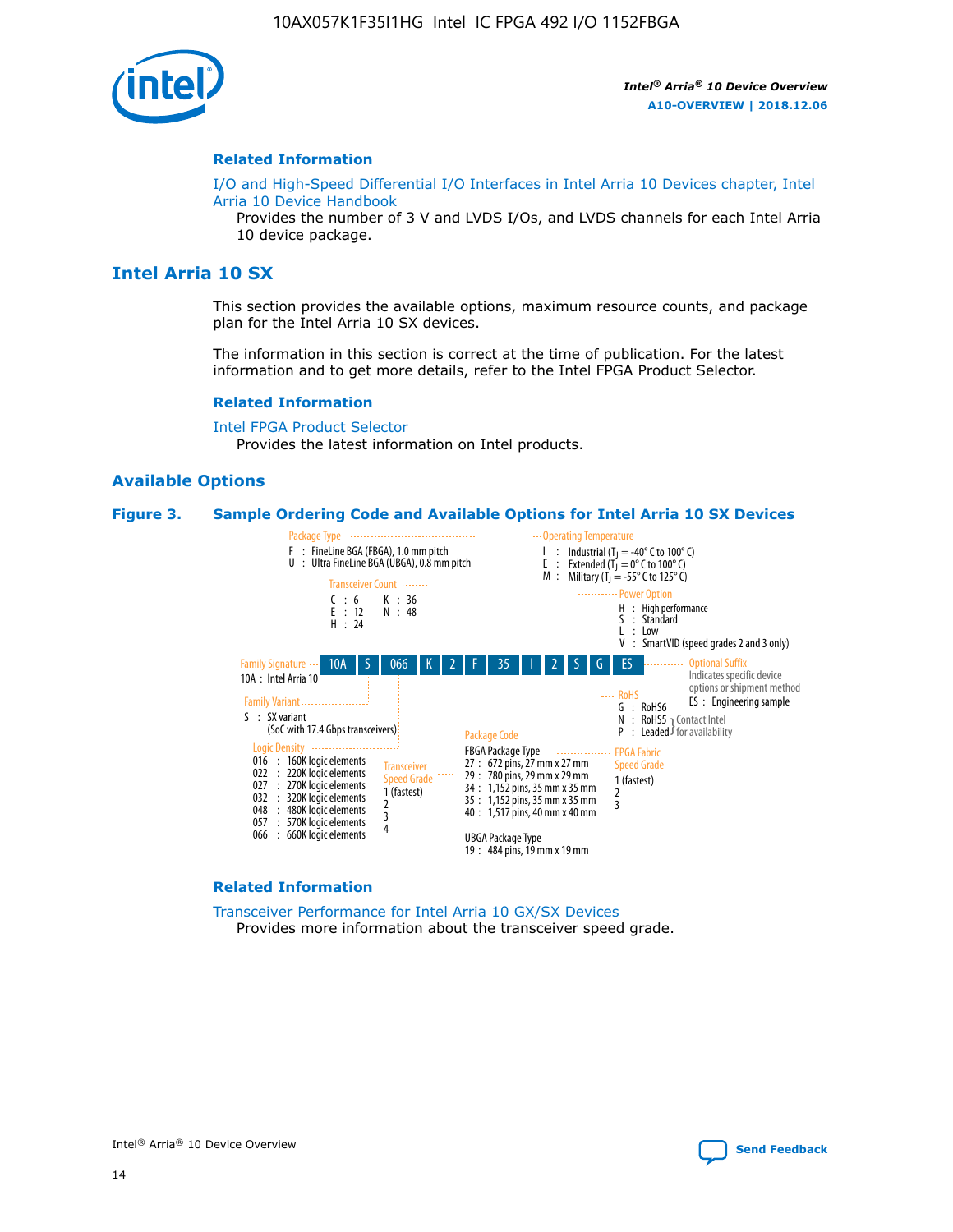

#### **Related Information**

[I/O and High-Speed Differential I/O Interfaces in Intel Arria 10 Devices chapter, Intel](https://www.intel.com/content/www/us/en/programmable/documentation/sam1403482614086.html#sam1403482030321) [Arria 10 Device Handbook](https://www.intel.com/content/www/us/en/programmable/documentation/sam1403482614086.html#sam1403482030321)

Provides the number of 3 V and LVDS I/Os, and LVDS channels for each Intel Arria 10 device package.

# **Intel Arria 10 SX**

This section provides the available options, maximum resource counts, and package plan for the Intel Arria 10 SX devices.

The information in this section is correct at the time of publication. For the latest information and to get more details, refer to the Intel FPGA Product Selector.

#### **Related Information**

[Intel FPGA Product Selector](http://www.altera.com/products/selector/psg-selector.html) Provides the latest information on Intel products.

#### **Available Options**

#### **Figure 3. Sample Ordering Code and Available Options for Intel Arria 10 SX Devices**



#### **Related Information**

[Transceiver Performance for Intel Arria 10 GX/SX Devices](https://www.intel.com/content/www/us/en/programmable/documentation/mcn1413182292568.html#mcn1413213965502) Provides more information about the transceiver speed grade.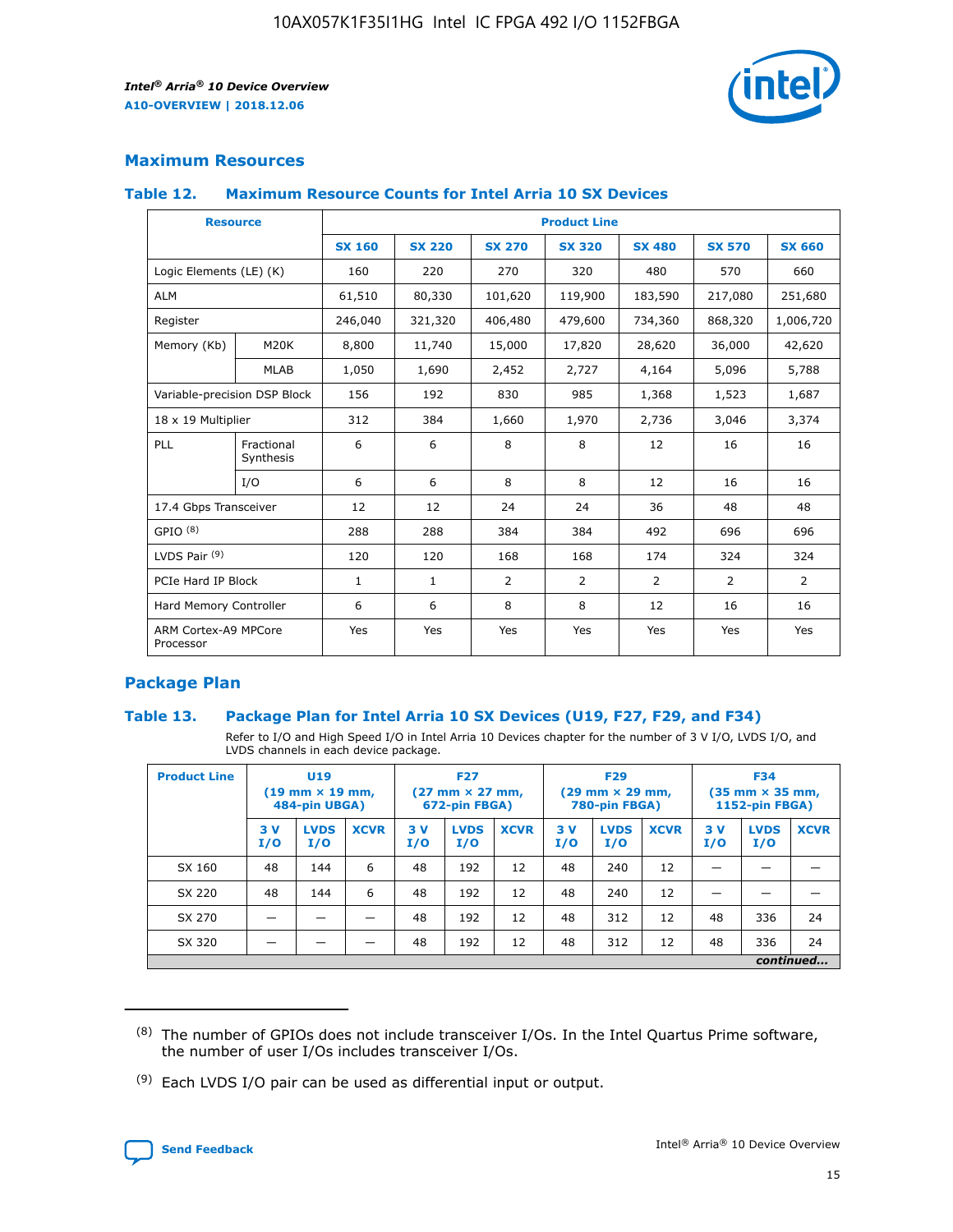

# **Maximum Resources**

#### **Table 12. Maximum Resource Counts for Intel Arria 10 SX Devices**

| <b>Resource</b>                   |                         | <b>Product Line</b> |               |                |                |                |                |                |  |  |  |
|-----------------------------------|-------------------------|---------------------|---------------|----------------|----------------|----------------|----------------|----------------|--|--|--|
|                                   |                         | <b>SX 160</b>       | <b>SX 220</b> | <b>SX 270</b>  | <b>SX 320</b>  | <b>SX 480</b>  | <b>SX 570</b>  | <b>SX 660</b>  |  |  |  |
| Logic Elements (LE) (K)           |                         | 160                 | 220           | 270            | 320            | 480            | 570            | 660            |  |  |  |
| <b>ALM</b>                        |                         | 61,510              | 80,330        | 101,620        | 119,900        | 183,590        | 217,080        | 251,680        |  |  |  |
| Register                          |                         | 246,040             | 321,320       | 406,480        | 479,600        | 734,360        | 868,320        | 1,006,720      |  |  |  |
| Memory (Kb)                       | M <sub>20</sub> K       | 8,800               | 11,740        | 15,000         | 17,820         | 28,620         | 36,000         | 42,620         |  |  |  |
|                                   | <b>MLAB</b>             | 1,050               | 1,690         | 2,452          | 2,727          | 4,164          | 5,096          | 5,788          |  |  |  |
| Variable-precision DSP Block      |                         | 156                 | 192           | 830            | 985            | 1,368          | 1,523          | 1,687          |  |  |  |
| 18 x 19 Multiplier                |                         | 312                 | 384           | 1,660          | 1,970          | 2,736          | 3,046          | 3,374          |  |  |  |
| PLL                               | Fractional<br>Synthesis | 6                   | 6             | 8              | 8              | 12             | 16             | 16             |  |  |  |
|                                   | I/O                     | 6                   | 6             | 8              | 8              | 12             | 16             | 16             |  |  |  |
| 17.4 Gbps Transceiver             |                         | 12                  | 12            | 24             | 24             | 36             | 48             | 48             |  |  |  |
| GPIO <sup>(8)</sup>               |                         | 288                 | 288           | 384            | 384            | 492            | 696            | 696            |  |  |  |
| LVDS Pair $(9)$                   |                         | 120                 | 120           | 168            | 168            | 174            | 324            | 324            |  |  |  |
| PCIe Hard IP Block                |                         | $\mathbf{1}$        | $\mathbf{1}$  | $\overline{2}$ | $\overline{2}$ | $\overline{2}$ | $\overline{2}$ | $\overline{2}$ |  |  |  |
| Hard Memory Controller            |                         | 6                   | 6             | 8              | 8              | 12             | 16             | 16             |  |  |  |
| ARM Cortex-A9 MPCore<br>Processor |                         | Yes                 | Yes           | Yes            | Yes            | Yes            | Yes            | <b>Yes</b>     |  |  |  |

# **Package Plan**

#### **Table 13. Package Plan for Intel Arria 10 SX Devices (U19, F27, F29, and F34)**

Refer to I/O and High Speed I/O in Intel Arria 10 Devices chapter for the number of 3 V I/O, LVDS I/O, and LVDS channels in each device package.

| <b>Product Line</b> | U19<br>$(19 \text{ mm} \times 19 \text{ mm})$<br>484-pin UBGA) |                    |             | <b>F27</b><br>$(27 \text{ mm} \times 27 \text{ mm})$<br>672-pin FBGA) |                    | <b>F29</b><br>$(29 \text{ mm} \times 29 \text{ mm})$<br>780-pin FBGA) |           |                    | <b>F34</b><br>$(35 \text{ mm} \times 35 \text{ mm})$<br><b>1152-pin FBGA)</b> |           |                    |             |
|---------------------|----------------------------------------------------------------|--------------------|-------------|-----------------------------------------------------------------------|--------------------|-----------------------------------------------------------------------|-----------|--------------------|-------------------------------------------------------------------------------|-----------|--------------------|-------------|
|                     | 3V<br>I/O                                                      | <b>LVDS</b><br>I/O | <b>XCVR</b> | 3V<br>I/O                                                             | <b>LVDS</b><br>I/O | <b>XCVR</b>                                                           | 3V<br>I/O | <b>LVDS</b><br>I/O | <b>XCVR</b>                                                                   | 3V<br>I/O | <b>LVDS</b><br>I/O | <b>XCVR</b> |
| SX 160              | 48                                                             | 144                | 6           | 48                                                                    | 192                | 12                                                                    | 48        | 240                | 12                                                                            |           |                    |             |
| SX 220              | 48                                                             | 144                | 6           | 48                                                                    | 192                | 12                                                                    | 48        | 240                | 12                                                                            |           |                    |             |
| SX 270              |                                                                |                    |             | 48                                                                    | 192                | 12                                                                    | 48        | 312                | 12                                                                            | 48        | 336                | 24          |
| SX 320              |                                                                |                    |             | 48                                                                    | 192                | 12                                                                    | 48        | 312                | 12                                                                            | 48        | 336                | 24          |
|                     | continued                                                      |                    |             |                                                                       |                    |                                                                       |           |                    |                                                                               |           |                    |             |

 $(8)$  The number of GPIOs does not include transceiver I/Os. In the Intel Quartus Prime software, the number of user I/Os includes transceiver I/Os.

 $(9)$  Each LVDS I/O pair can be used as differential input or output.

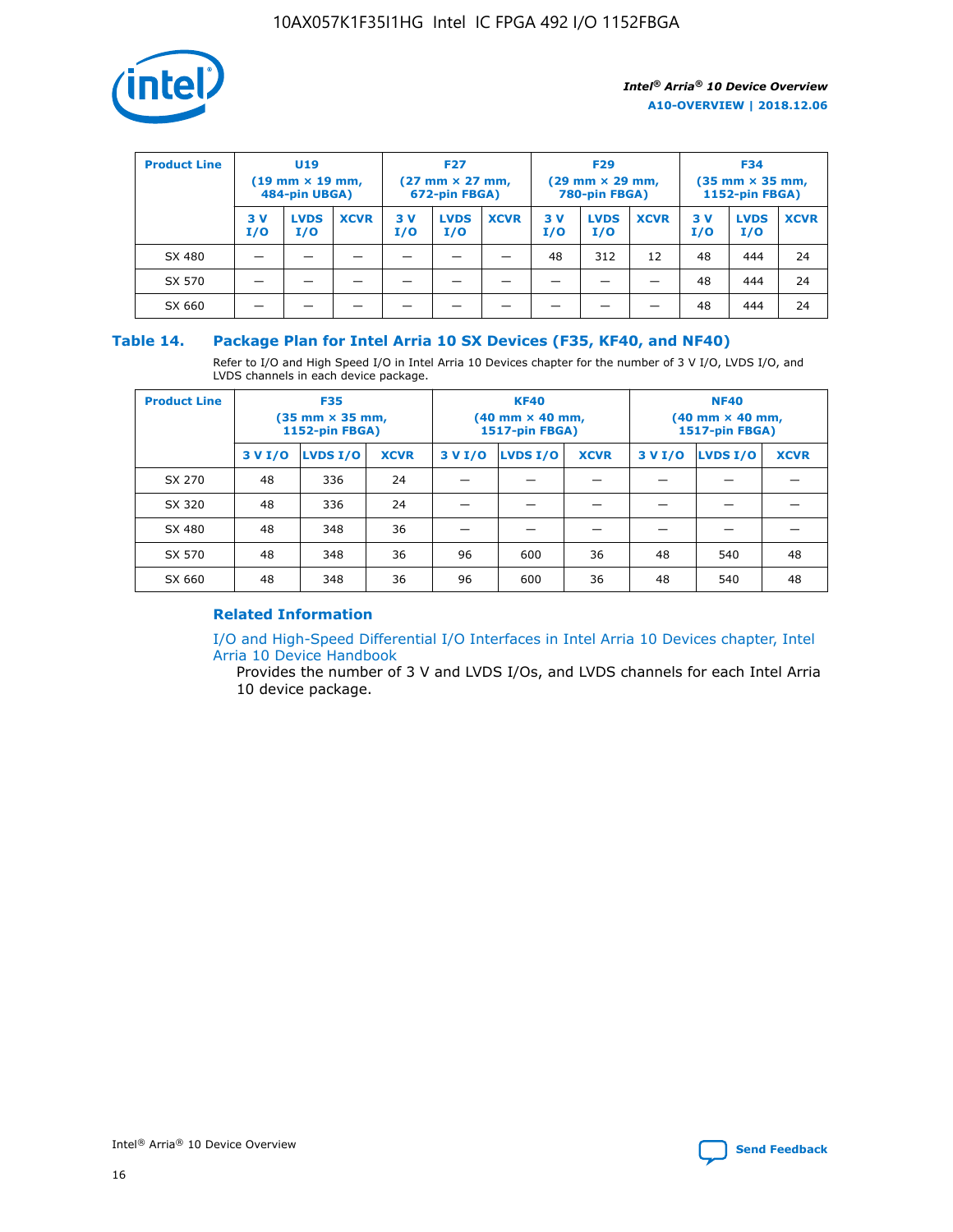

| <b>Product Line</b> | U <sub>19</sub><br>$(19 \text{ mm} \times 19 \text{ mm})$<br>484-pin UBGA) |                    | <b>F27</b><br>$(27 \text{ mm} \times 27 \text{ mm})$<br>672-pin FBGA) |           | <b>F29</b><br>$(29 \text{ mm} \times 29 \text{ mm})$<br>780-pin FBGA) |             |           | <b>F34</b><br>$(35 \text{ mm} \times 35 \text{ mm})$<br><b>1152-pin FBGA)</b> |             |           |                    |             |
|---------------------|----------------------------------------------------------------------------|--------------------|-----------------------------------------------------------------------|-----------|-----------------------------------------------------------------------|-------------|-----------|-------------------------------------------------------------------------------|-------------|-----------|--------------------|-------------|
|                     | 3 V<br>I/O                                                                 | <b>LVDS</b><br>I/O | <b>XCVR</b>                                                           | 3V<br>I/O | <b>LVDS</b><br>I/O                                                    | <b>XCVR</b> | 3V<br>I/O | <b>LVDS</b><br>I/O                                                            | <b>XCVR</b> | 3V<br>I/O | <b>LVDS</b><br>I/O | <b>XCVR</b> |
| SX 480              |                                                                            |                    |                                                                       |           |                                                                       |             | 48        | 312                                                                           | 12          | 48        | 444                | 24          |
| SX 570              |                                                                            |                    |                                                                       |           |                                                                       |             |           |                                                                               |             | 48        | 444                | 24          |
| SX 660              |                                                                            |                    |                                                                       |           |                                                                       |             |           |                                                                               |             | 48        | 444                | 24          |

## **Table 14. Package Plan for Intel Arria 10 SX Devices (F35, KF40, and NF40)**

Refer to I/O and High Speed I/O in Intel Arria 10 Devices chapter for the number of 3 V I/O, LVDS I/O, and LVDS channels in each device package.

| <b>Product Line</b> | <b>F35</b><br>$(35 \text{ mm} \times 35 \text{ mm})$<br><b>1152-pin FBGA)</b> |          |             |                                           | <b>KF40</b><br>(40 mm × 40 mm,<br>1517-pin FBGA) |    | <b>NF40</b><br>$(40 \text{ mm} \times 40 \text{ mm})$<br>1517-pin FBGA) |          |             |  |
|---------------------|-------------------------------------------------------------------------------|----------|-------------|-------------------------------------------|--------------------------------------------------|----|-------------------------------------------------------------------------|----------|-------------|--|
|                     | 3 V I/O                                                                       | LVDS I/O | <b>XCVR</b> | <b>LVDS I/O</b><br><b>XCVR</b><br>3 V I/O |                                                  |    | 3 V I/O                                                                 | LVDS I/O | <b>XCVR</b> |  |
| SX 270              | 48                                                                            | 336      | 24          |                                           |                                                  |    |                                                                         |          |             |  |
| SX 320              | 48                                                                            | 336      | 24          |                                           |                                                  |    |                                                                         |          |             |  |
| SX 480              | 48                                                                            | 348      | 36          |                                           |                                                  |    |                                                                         |          |             |  |
| SX 570              | 48                                                                            | 348      | 36          | 96                                        | 600                                              | 36 | 48                                                                      | 540      | 48          |  |
| SX 660              | 48                                                                            | 348      | 36          | 96                                        | 600                                              | 36 | 48                                                                      | 540      | 48          |  |

# **Related Information**

[I/O and High-Speed Differential I/O Interfaces in Intel Arria 10 Devices chapter, Intel](https://www.intel.com/content/www/us/en/programmable/documentation/sam1403482614086.html#sam1403482030321) [Arria 10 Device Handbook](https://www.intel.com/content/www/us/en/programmable/documentation/sam1403482614086.html#sam1403482030321)

Provides the number of 3 V and LVDS I/Os, and LVDS channels for each Intel Arria 10 device package.

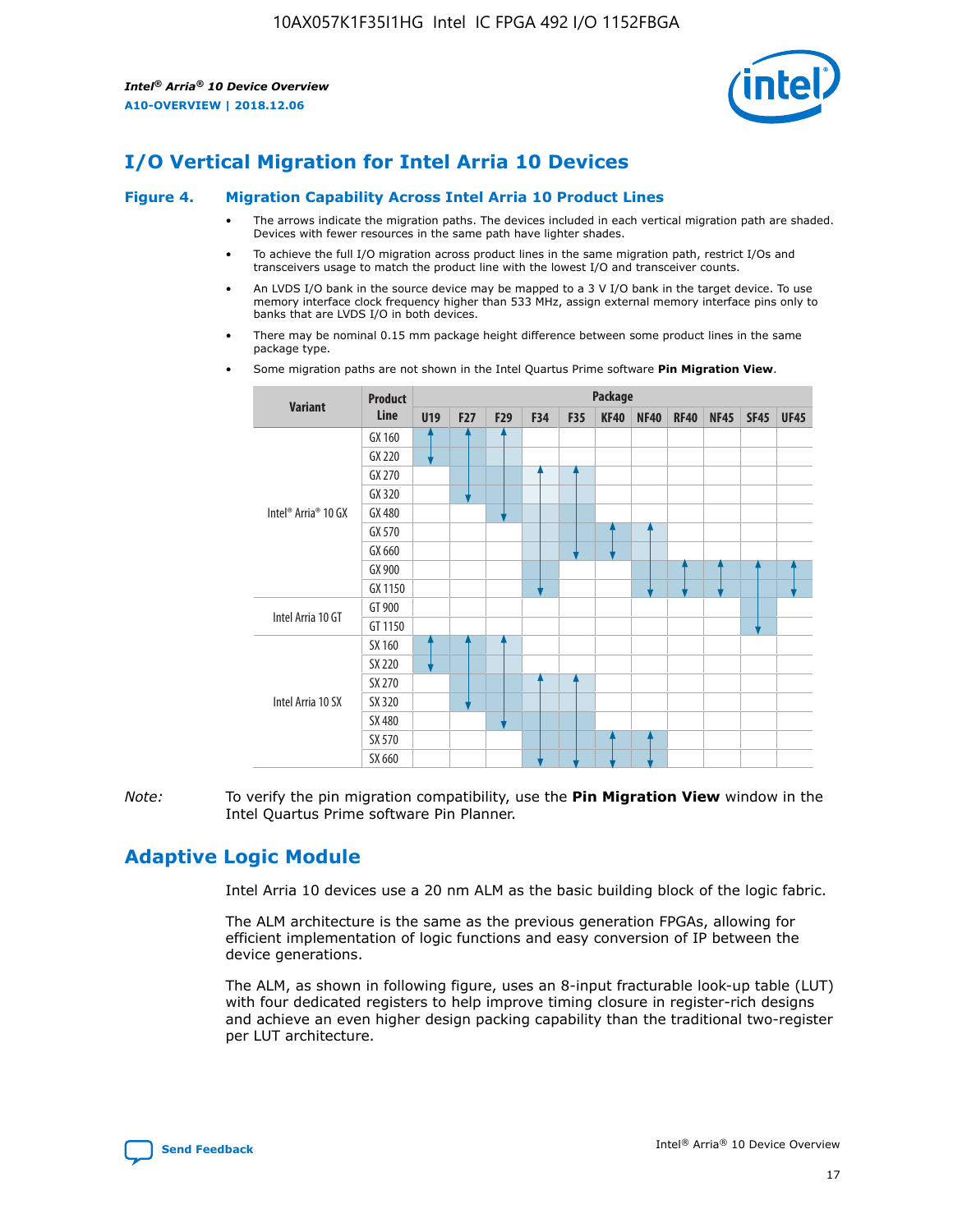

# **I/O Vertical Migration for Intel Arria 10 Devices**

#### **Figure 4. Migration Capability Across Intel Arria 10 Product Lines**

- The arrows indicate the migration paths. The devices included in each vertical migration path are shaded. Devices with fewer resources in the same path have lighter shades.
- To achieve the full I/O migration across product lines in the same migration path, restrict I/Os and transceivers usage to match the product line with the lowest I/O and transceiver counts.
- An LVDS I/O bank in the source device may be mapped to a 3 V I/O bank in the target device. To use memory interface clock frequency higher than 533 MHz, assign external memory interface pins only to banks that are LVDS I/O in both devices.
- There may be nominal 0.15 mm package height difference between some product lines in the same package type.
	- **Variant Product Line Package U19 F27 F29 F34 F35 KF40 NF40 RF40 NF45 SF45 UF45** Intel® Arria® 10 GX GX 160 GX 220 GX 270 GX 320 GX 480 GX 570 GX 660 GX 900 GX 1150 Intel Arria 10 GT GT 900 GT 1150 Intel Arria 10 SX SX 160 SX 220 SX 270 SX 320 SX 480 SX 570 SX 660
- Some migration paths are not shown in the Intel Quartus Prime software **Pin Migration View**.

*Note:* To verify the pin migration compatibility, use the **Pin Migration View** window in the Intel Quartus Prime software Pin Planner.

# **Adaptive Logic Module**

Intel Arria 10 devices use a 20 nm ALM as the basic building block of the logic fabric.

The ALM architecture is the same as the previous generation FPGAs, allowing for efficient implementation of logic functions and easy conversion of IP between the device generations.

The ALM, as shown in following figure, uses an 8-input fracturable look-up table (LUT) with four dedicated registers to help improve timing closure in register-rich designs and achieve an even higher design packing capability than the traditional two-register per LUT architecture.

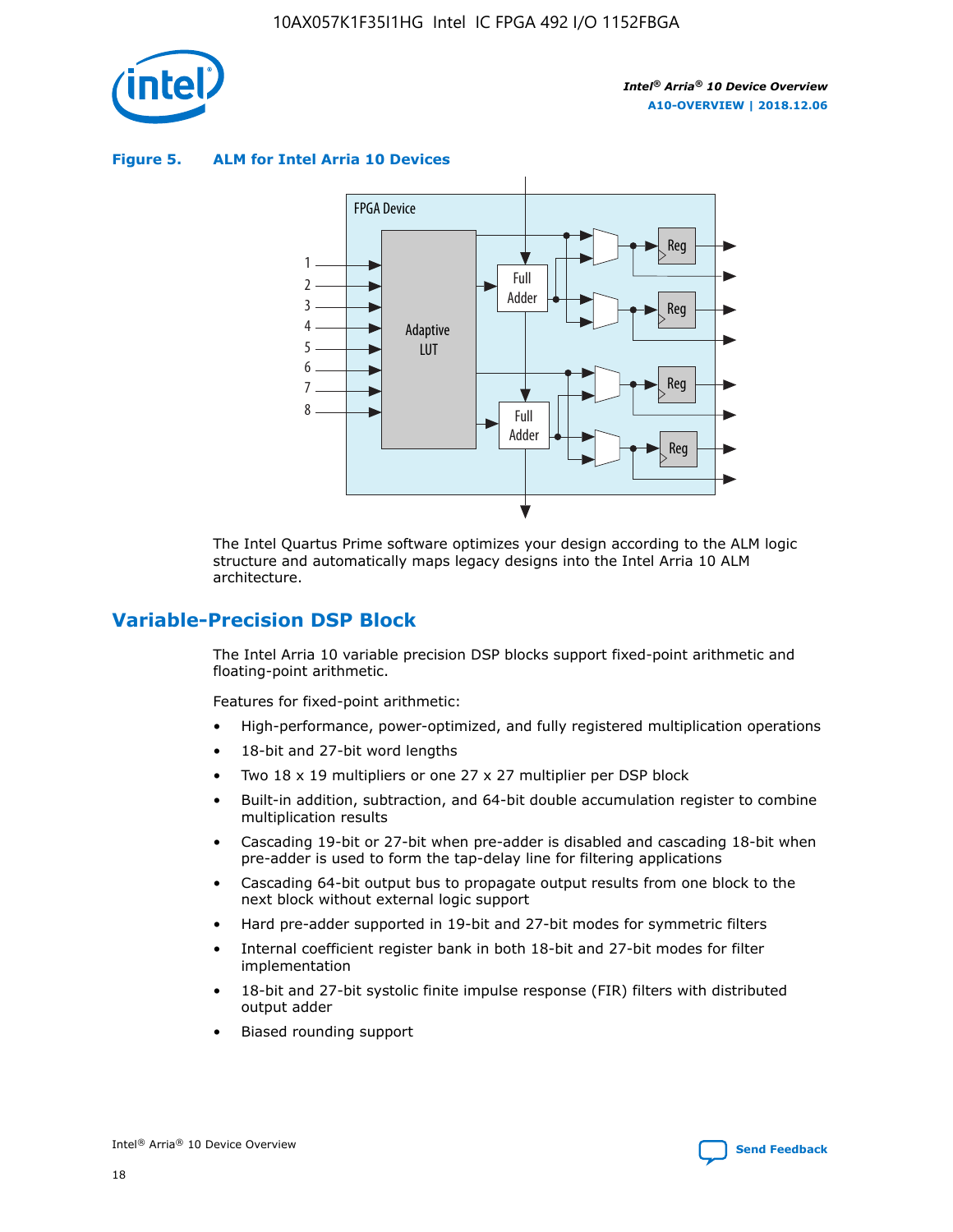

**Figure 5. ALM for Intel Arria 10 Devices**



The Intel Quartus Prime software optimizes your design according to the ALM logic structure and automatically maps legacy designs into the Intel Arria 10 ALM architecture.

# **Variable-Precision DSP Block**

The Intel Arria 10 variable precision DSP blocks support fixed-point arithmetic and floating-point arithmetic.

Features for fixed-point arithmetic:

- High-performance, power-optimized, and fully registered multiplication operations
- 18-bit and 27-bit word lengths
- Two 18 x 19 multipliers or one 27 x 27 multiplier per DSP block
- Built-in addition, subtraction, and 64-bit double accumulation register to combine multiplication results
- Cascading 19-bit or 27-bit when pre-adder is disabled and cascading 18-bit when pre-adder is used to form the tap-delay line for filtering applications
- Cascading 64-bit output bus to propagate output results from one block to the next block without external logic support
- Hard pre-adder supported in 19-bit and 27-bit modes for symmetric filters
- Internal coefficient register bank in both 18-bit and 27-bit modes for filter implementation
- 18-bit and 27-bit systolic finite impulse response (FIR) filters with distributed output adder
- Biased rounding support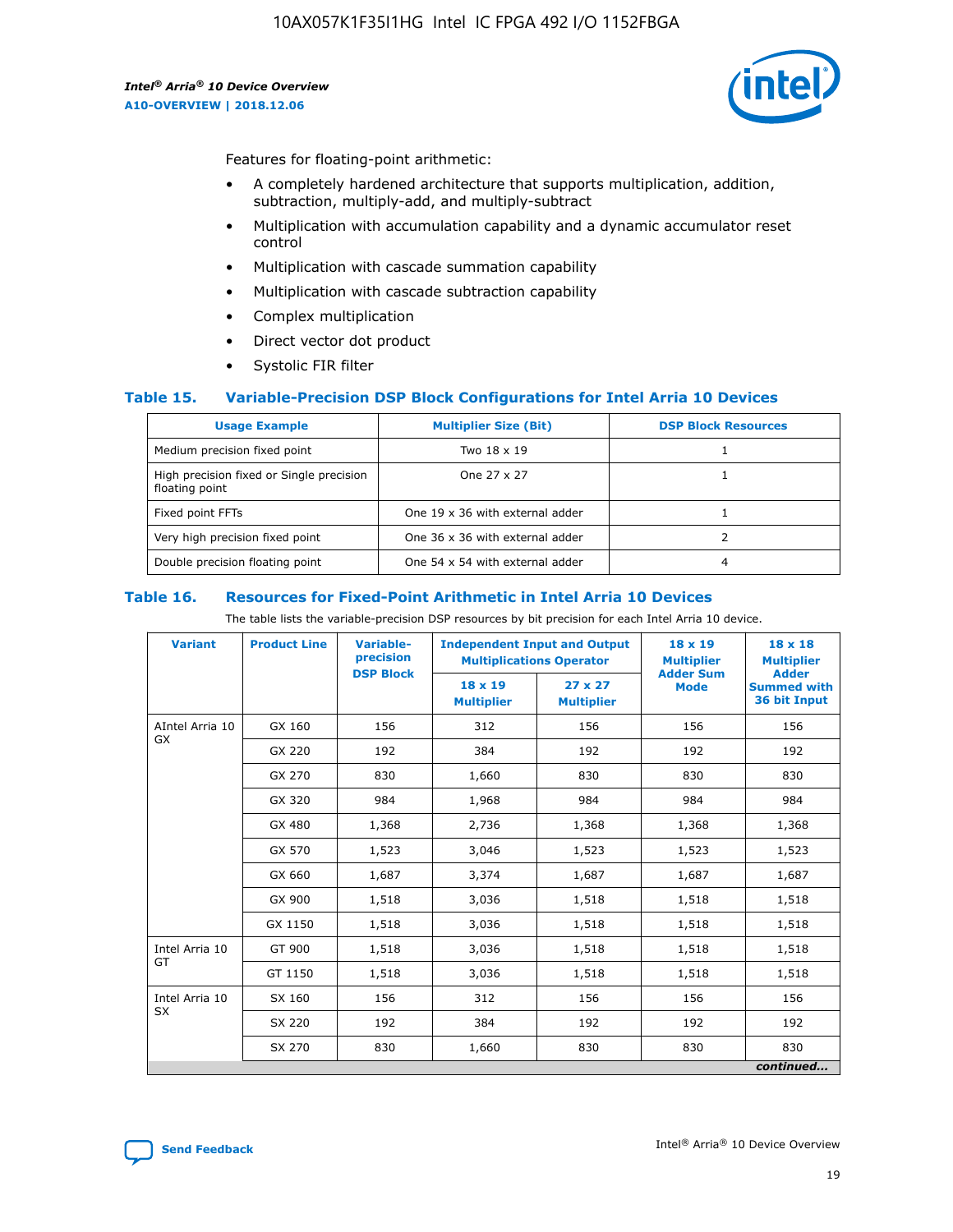

Features for floating-point arithmetic:

- A completely hardened architecture that supports multiplication, addition, subtraction, multiply-add, and multiply-subtract
- Multiplication with accumulation capability and a dynamic accumulator reset control
- Multiplication with cascade summation capability
- Multiplication with cascade subtraction capability
- Complex multiplication
- Direct vector dot product
- Systolic FIR filter

#### **Table 15. Variable-Precision DSP Block Configurations for Intel Arria 10 Devices**

| <b>Usage Example</b>                                       | <b>Multiplier Size (Bit)</b>    | <b>DSP Block Resources</b> |
|------------------------------------------------------------|---------------------------------|----------------------------|
| Medium precision fixed point                               | Two 18 x 19                     |                            |
| High precision fixed or Single precision<br>floating point | One 27 x 27                     |                            |
| Fixed point FFTs                                           | One 19 x 36 with external adder |                            |
| Very high precision fixed point                            | One 36 x 36 with external adder |                            |
| Double precision floating point                            | One 54 x 54 with external adder | 4                          |

#### **Table 16. Resources for Fixed-Point Arithmetic in Intel Arria 10 Devices**

The table lists the variable-precision DSP resources by bit precision for each Intel Arria 10 device.

| <b>Variant</b>  | <b>Product Line</b> | <b>Variable-</b><br>precision | <b>Independent Input and Output</b><br><b>Multiplications Operator</b> |                                     | 18 x 19<br><b>Multiplier</b>    | $18 \times 18$<br><b>Multiplier</b>                |
|-----------------|---------------------|-------------------------------|------------------------------------------------------------------------|-------------------------------------|---------------------------------|----------------------------------------------------|
|                 |                     | <b>DSP Block</b>              | 18 x 19<br><b>Multiplier</b>                                           | $27 \times 27$<br><b>Multiplier</b> | <b>Adder Sum</b><br><b>Mode</b> | <b>Adder</b><br><b>Summed with</b><br>36 bit Input |
| AIntel Arria 10 | GX 160              | 156                           | 312                                                                    | 156                                 | 156                             | 156                                                |
| <b>GX</b>       | GX 220              | 192                           | 384                                                                    | 192                                 | 192                             | 192                                                |
|                 | GX 270              | 830                           | 1,660                                                                  | 830                                 | 830                             | 830                                                |
|                 | GX 320              | 984                           | 1,968                                                                  | 984                                 | 984                             | 984                                                |
|                 | GX 480              | 1,368                         | 2,736                                                                  | 1,368                               | 1,368                           | 1,368                                              |
|                 | GX 570              | 1,523                         | 3,046                                                                  | 1,523                               | 1,523                           | 1,523                                              |
|                 | GX 660              | 1,687                         | 3,374                                                                  | 1,687                               | 1,687                           | 1,687                                              |
|                 | GX 900              | 1,518                         | 3,036                                                                  | 1,518                               | 1,518                           | 1,518                                              |
|                 | GX 1150             | 1,518                         | 3,036                                                                  | 1,518                               | 1,518                           | 1,518                                              |
| Intel Arria 10  | GT 900              | 1,518                         | 3,036                                                                  | 1,518                               | 1,518                           | 1,518                                              |
| GT              | GT 1150             | 1,518                         | 3,036                                                                  | 1,518                               | 1,518                           | 1,518                                              |
| Intel Arria 10  | SX 160              | 156                           | 312                                                                    | 156                                 | 156                             | 156                                                |
| <b>SX</b>       | SX 220              | 192                           | 384                                                                    | 192                                 | 192                             | 192                                                |
|                 | SX 270              | 830                           | 1,660                                                                  | 830                                 | 830                             | 830                                                |
|                 |                     |                               |                                                                        |                                     |                                 | continued                                          |

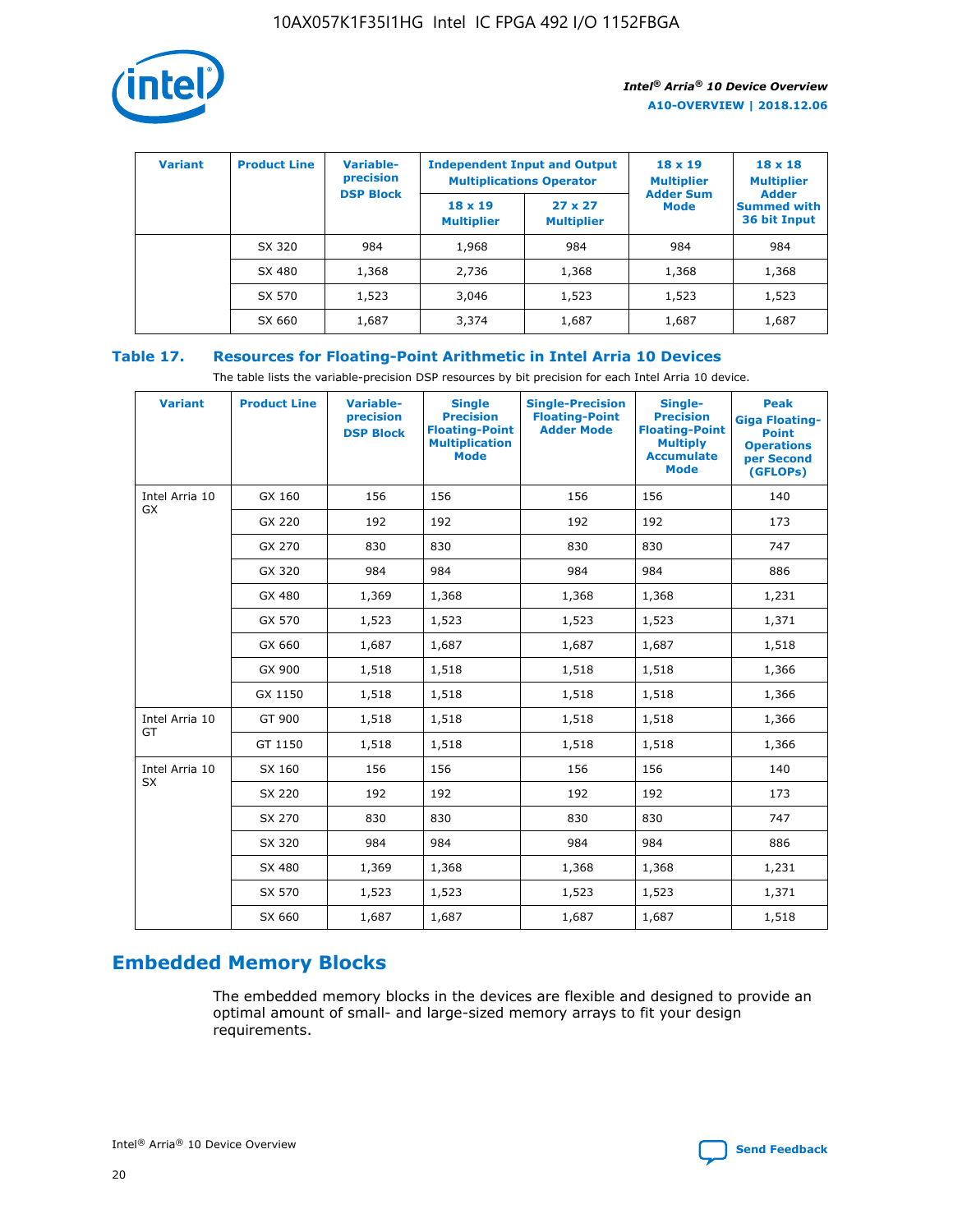

| <b>Variant</b> | <b>Product Line</b> | <b>Variable-</b><br>precision<br><b>DSP Block</b> | <b>Independent Input and Output</b><br><b>Multiplications Operator</b> |                                     | $18 \times 19$<br><b>Multiplier</b><br><b>Adder Sum</b> | $18 \times 18$<br><b>Multiplier</b><br><b>Adder</b> |  |
|----------------|---------------------|---------------------------------------------------|------------------------------------------------------------------------|-------------------------------------|---------------------------------------------------------|-----------------------------------------------------|--|
|                |                     |                                                   | $18 \times 19$<br><b>Multiplier</b>                                    | $27 \times 27$<br><b>Multiplier</b> | <b>Mode</b>                                             | <b>Summed with</b><br>36 bit Input                  |  |
|                | SX 320              | 984                                               | 1,968                                                                  | 984                                 | 984                                                     | 984                                                 |  |
|                | SX 480              | 1,368                                             | 2,736                                                                  | 1,368                               | 1,368                                                   | 1,368                                               |  |
|                | SX 570              | 1,523                                             | 3,046                                                                  | 1,523                               | 1,523                                                   | 1,523                                               |  |
|                | SX 660              | 1,687                                             | 3,374                                                                  | 1,687                               | 1,687                                                   | 1,687                                               |  |

# **Table 17. Resources for Floating-Point Arithmetic in Intel Arria 10 Devices**

The table lists the variable-precision DSP resources by bit precision for each Intel Arria 10 device.

| <b>Variant</b> | <b>Product Line</b> | <b>Variable-</b><br>precision<br><b>DSP Block</b> | <b>Single</b><br><b>Precision</b><br><b>Floating-Point</b><br><b>Multiplication</b><br><b>Mode</b> | <b>Single-Precision</b><br><b>Floating-Point</b><br><b>Adder Mode</b> | Single-<br><b>Precision</b><br><b>Floating-Point</b><br><b>Multiply</b><br><b>Accumulate</b><br><b>Mode</b> | <b>Peak</b><br><b>Giga Floating-</b><br><b>Point</b><br><b>Operations</b><br>per Second<br>(GFLOPs) |
|----------------|---------------------|---------------------------------------------------|----------------------------------------------------------------------------------------------------|-----------------------------------------------------------------------|-------------------------------------------------------------------------------------------------------------|-----------------------------------------------------------------------------------------------------|
| Intel Arria 10 | GX 160              | 156                                               | 156                                                                                                | 156                                                                   | 156                                                                                                         | 140                                                                                                 |
| GX             | GX 220              | 192                                               | 192                                                                                                | 192                                                                   | 192                                                                                                         | 173                                                                                                 |
|                | GX 270              | 830                                               | 830                                                                                                | 830                                                                   | 830                                                                                                         | 747                                                                                                 |
|                | GX 320              | 984                                               | 984                                                                                                | 984                                                                   | 984                                                                                                         | 886                                                                                                 |
|                | GX 480              | 1,369                                             | 1,368                                                                                              | 1,368                                                                 | 1,368                                                                                                       | 1,231                                                                                               |
|                | GX 570              | 1,523                                             | 1,523                                                                                              | 1,523                                                                 | 1,523                                                                                                       | 1,371                                                                                               |
|                | GX 660              | 1,687                                             | 1,687                                                                                              | 1,687                                                                 | 1,687                                                                                                       | 1,518                                                                                               |
|                | GX 900              | 1,518                                             | 1,518                                                                                              | 1,518                                                                 | 1,518                                                                                                       | 1,366                                                                                               |
|                | GX 1150             | 1,518                                             | 1,518                                                                                              | 1,518                                                                 | 1,518                                                                                                       | 1,366                                                                                               |
| Intel Arria 10 | GT 900              | 1,518                                             | 1,518                                                                                              | 1,518                                                                 | 1,518                                                                                                       | 1,366                                                                                               |
| GT             | GT 1150             | 1,518                                             | 1,518                                                                                              | 1,518                                                                 | 1,518                                                                                                       | 1,366                                                                                               |
| Intel Arria 10 | SX 160              | 156                                               | 156                                                                                                | 156                                                                   | 156                                                                                                         | 140                                                                                                 |
| SX             | SX 220              | 192                                               | 192                                                                                                | 192                                                                   | 192                                                                                                         | 173                                                                                                 |
|                | SX 270              | 830                                               | 830                                                                                                | 830                                                                   | 830                                                                                                         | 747                                                                                                 |
|                | SX 320              | 984                                               | 984                                                                                                | 984                                                                   | 984                                                                                                         | 886                                                                                                 |
|                | SX 480              | 1,369                                             | 1,368                                                                                              | 1,368                                                                 | 1,368                                                                                                       | 1,231                                                                                               |
|                | SX 570              | 1,523                                             | 1,523                                                                                              | 1,523                                                                 | 1,523                                                                                                       | 1,371                                                                                               |
|                | SX 660              | 1,687                                             | 1,687                                                                                              | 1,687                                                                 | 1,687                                                                                                       | 1,518                                                                                               |

# **Embedded Memory Blocks**

The embedded memory blocks in the devices are flexible and designed to provide an optimal amount of small- and large-sized memory arrays to fit your design requirements.

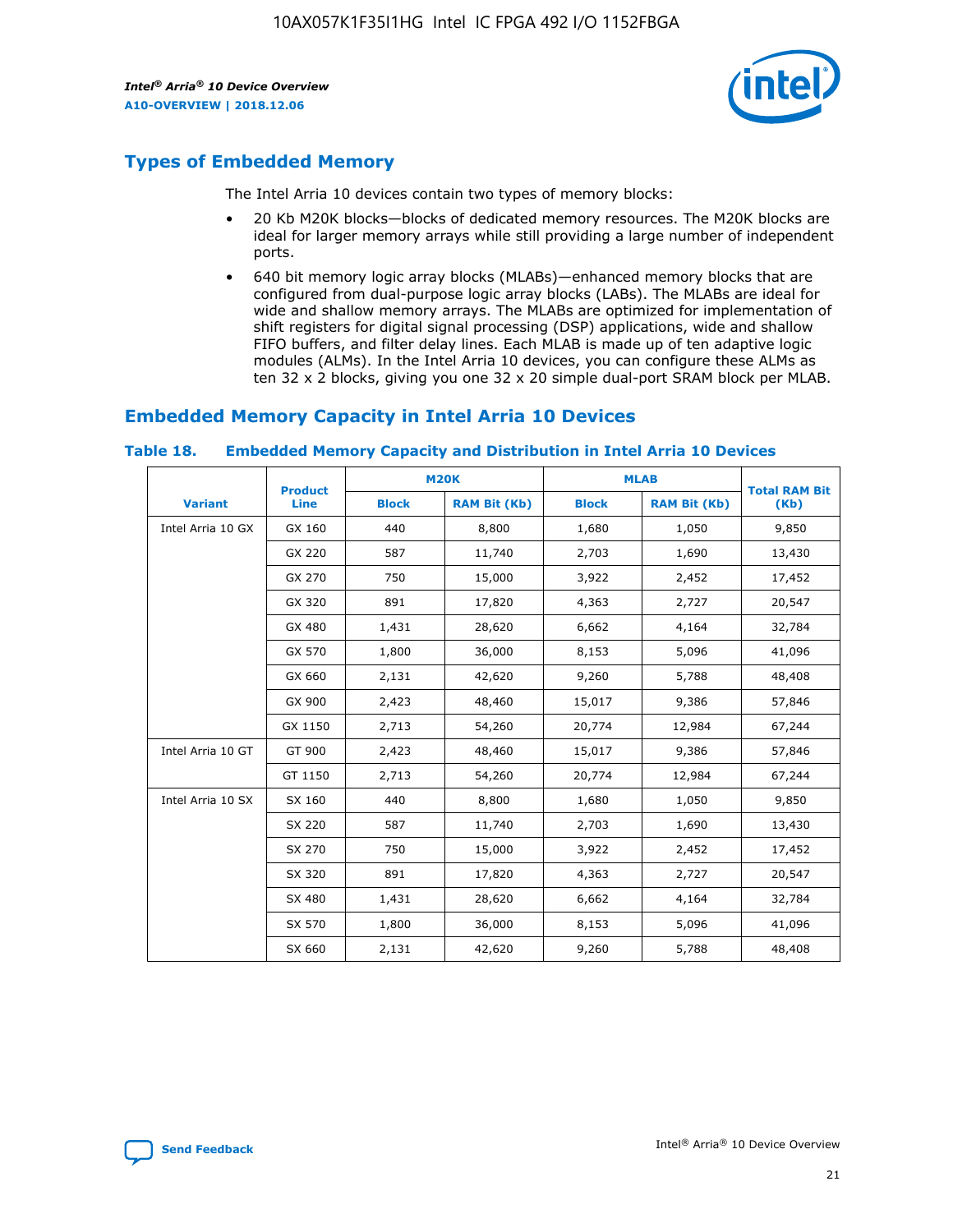

# **Types of Embedded Memory**

The Intel Arria 10 devices contain two types of memory blocks:

- 20 Kb M20K blocks—blocks of dedicated memory resources. The M20K blocks are ideal for larger memory arrays while still providing a large number of independent ports.
- 640 bit memory logic array blocks (MLABs)—enhanced memory blocks that are configured from dual-purpose logic array blocks (LABs). The MLABs are ideal for wide and shallow memory arrays. The MLABs are optimized for implementation of shift registers for digital signal processing (DSP) applications, wide and shallow FIFO buffers, and filter delay lines. Each MLAB is made up of ten adaptive logic modules (ALMs). In the Intel Arria 10 devices, you can configure these ALMs as ten 32 x 2 blocks, giving you one 32 x 20 simple dual-port SRAM block per MLAB.

# **Embedded Memory Capacity in Intel Arria 10 Devices**

|                   | <b>Product</b> |              | <b>M20K</b>         |              | <b>MLAB</b>         | <b>Total RAM Bit</b> |
|-------------------|----------------|--------------|---------------------|--------------|---------------------|----------------------|
| <b>Variant</b>    | Line           | <b>Block</b> | <b>RAM Bit (Kb)</b> | <b>Block</b> | <b>RAM Bit (Kb)</b> | (Kb)                 |
| Intel Arria 10 GX | GX 160         | 440          | 8,800               | 1,680        | 1,050               | 9,850                |
|                   | GX 220         | 587          | 11,740              | 2,703        | 1,690               | 13,430               |
|                   | GX 270         | 750          | 15,000              | 3,922        | 2,452               | 17,452               |
|                   | GX 320         | 891          | 17,820              | 4,363        | 2,727               | 20,547               |
|                   | GX 480         | 1,431        | 28,620              | 6,662        | 4,164               | 32,784               |
|                   | GX 570         | 1,800        | 36,000              | 8,153        | 5,096               | 41,096               |
|                   | GX 660         | 2,131        | 42,620              | 9,260        | 5,788               | 48,408               |
|                   | GX 900         | 2,423        | 48,460              | 15,017       | 9,386               | 57,846               |
|                   | GX 1150        | 2,713        | 54,260              | 20,774       | 12,984              | 67,244               |
| Intel Arria 10 GT | GT 900         | 2,423        | 48,460              | 15,017       | 9,386               | 57,846               |
|                   | GT 1150        | 2,713        | 54,260              | 20,774       | 12,984              | 67,244               |
| Intel Arria 10 SX | SX 160         | 440          | 8,800               | 1,680        | 1,050               | 9,850                |
|                   | SX 220         | 587          | 11,740              | 2,703        | 1,690               | 13,430               |
|                   | SX 270         | 750          | 15,000              | 3,922        | 2,452               | 17,452               |
|                   | SX 320         | 891          | 17,820              | 4,363        | 2,727               | 20,547               |
|                   | SX 480         | 1,431        | 28,620              | 6,662        | 4,164               | 32,784               |
|                   | SX 570         | 1,800        | 36,000              | 8,153        | 5,096               | 41,096               |
|                   | SX 660         | 2,131        | 42,620              | 9,260        | 5,788               | 48,408               |

#### **Table 18. Embedded Memory Capacity and Distribution in Intel Arria 10 Devices**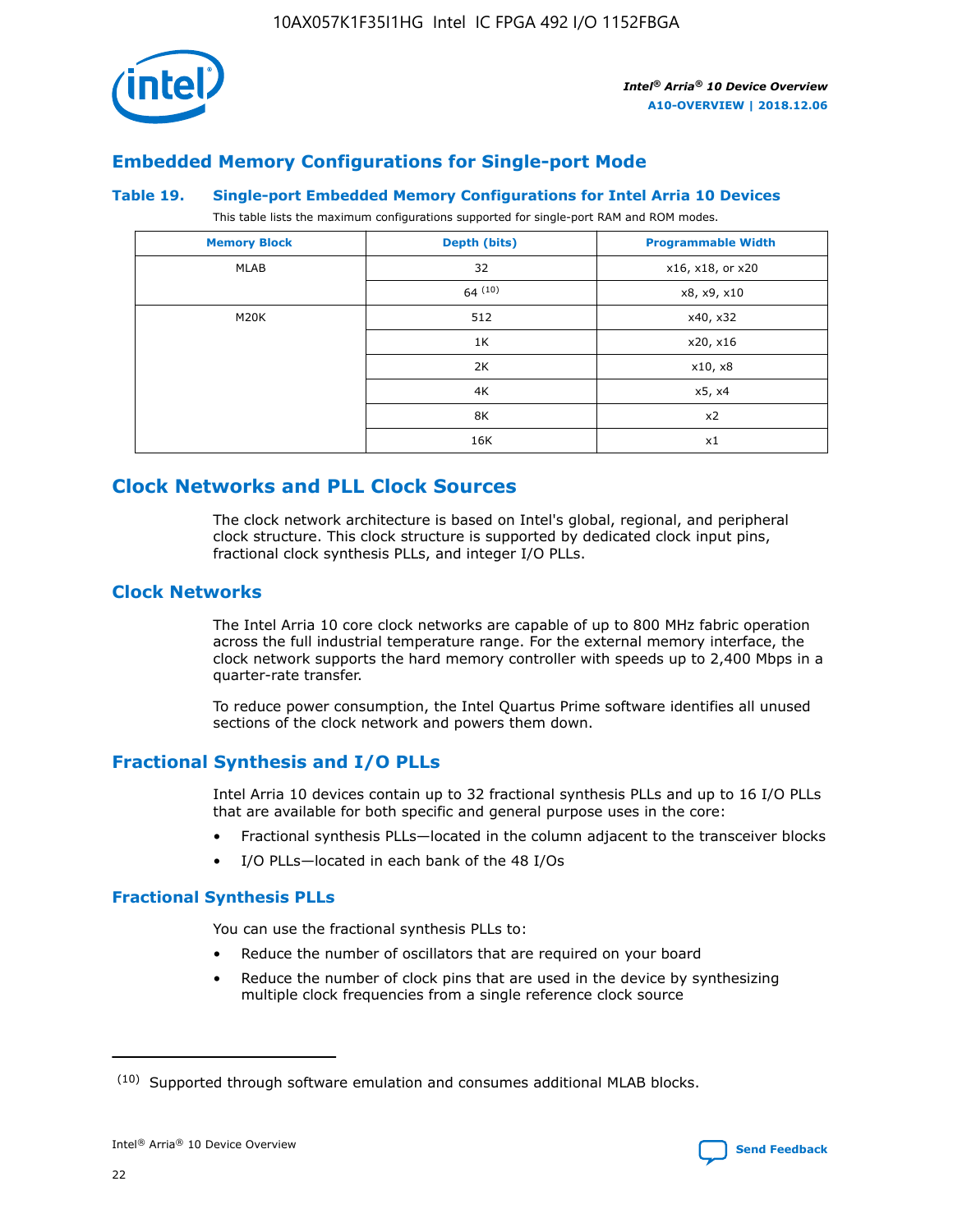

# **Embedded Memory Configurations for Single-port Mode**

#### **Table 19. Single-port Embedded Memory Configurations for Intel Arria 10 Devices**

This table lists the maximum configurations supported for single-port RAM and ROM modes.

| <b>Memory Block</b> | Depth (bits) | <b>Programmable Width</b> |
|---------------------|--------------|---------------------------|
| MLAB                | 32           | x16, x18, or x20          |
|                     | 64(10)       | x8, x9, x10               |
| M20K                | 512          | x40, x32                  |
|                     | 1K           | x20, x16                  |
|                     | 2K           | x10, x8                   |
|                     | 4K           | x5, x4                    |
|                     | 8K           | x2                        |
|                     | 16K          | x1                        |

# **Clock Networks and PLL Clock Sources**

The clock network architecture is based on Intel's global, regional, and peripheral clock structure. This clock structure is supported by dedicated clock input pins, fractional clock synthesis PLLs, and integer I/O PLLs.

# **Clock Networks**

The Intel Arria 10 core clock networks are capable of up to 800 MHz fabric operation across the full industrial temperature range. For the external memory interface, the clock network supports the hard memory controller with speeds up to 2,400 Mbps in a quarter-rate transfer.

To reduce power consumption, the Intel Quartus Prime software identifies all unused sections of the clock network and powers them down.

# **Fractional Synthesis and I/O PLLs**

Intel Arria 10 devices contain up to 32 fractional synthesis PLLs and up to 16 I/O PLLs that are available for both specific and general purpose uses in the core:

- Fractional synthesis PLLs—located in the column adjacent to the transceiver blocks
- I/O PLLs—located in each bank of the 48 I/Os

# **Fractional Synthesis PLLs**

You can use the fractional synthesis PLLs to:

- Reduce the number of oscillators that are required on your board
- Reduce the number of clock pins that are used in the device by synthesizing multiple clock frequencies from a single reference clock source

<sup>(10)</sup> Supported through software emulation and consumes additional MLAB blocks.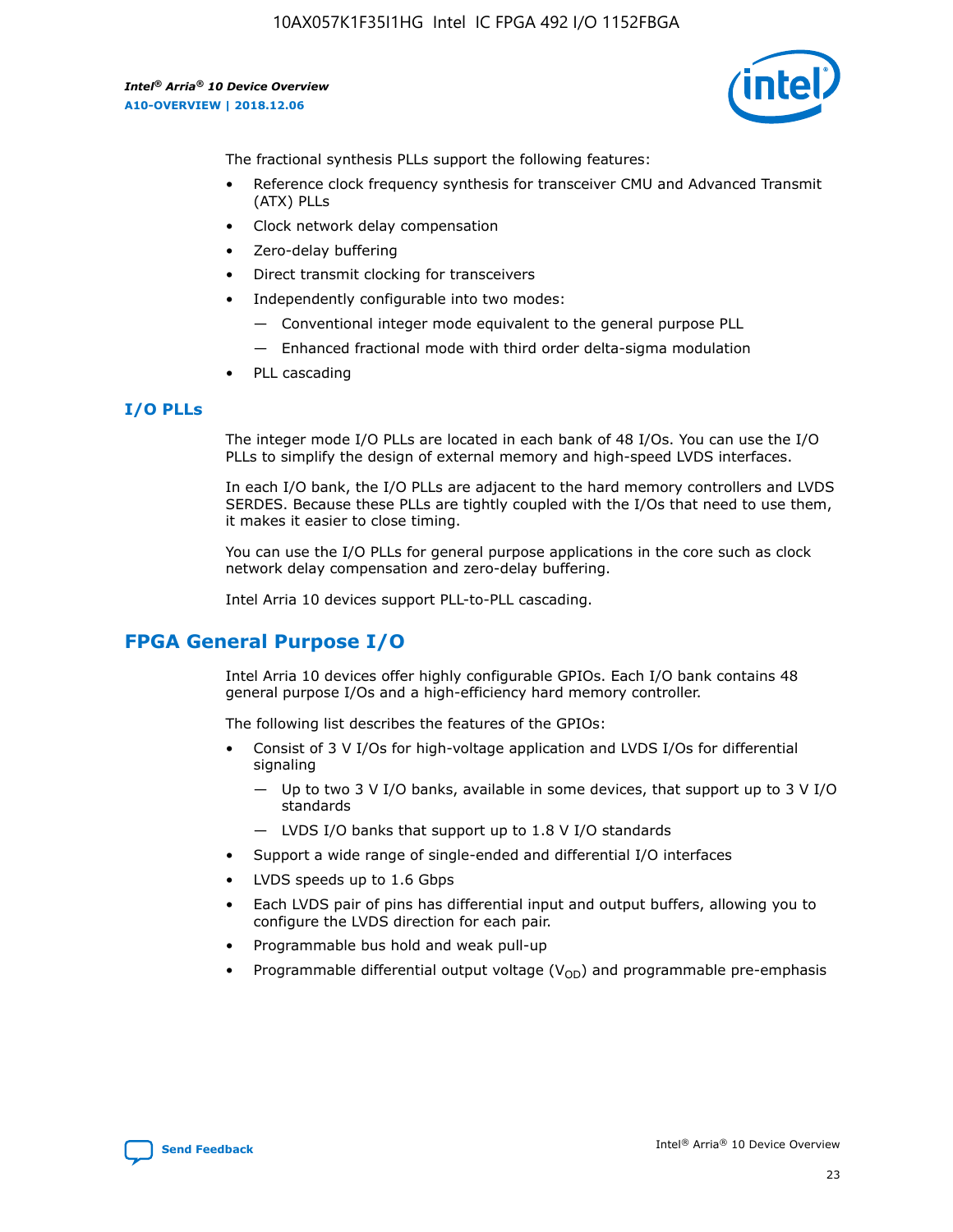

The fractional synthesis PLLs support the following features:

- Reference clock frequency synthesis for transceiver CMU and Advanced Transmit (ATX) PLLs
- Clock network delay compensation
- Zero-delay buffering
- Direct transmit clocking for transceivers
- Independently configurable into two modes:
	- Conventional integer mode equivalent to the general purpose PLL
	- Enhanced fractional mode with third order delta-sigma modulation
- PLL cascading

# **I/O PLLs**

The integer mode I/O PLLs are located in each bank of 48 I/Os. You can use the I/O PLLs to simplify the design of external memory and high-speed LVDS interfaces.

In each I/O bank, the I/O PLLs are adjacent to the hard memory controllers and LVDS SERDES. Because these PLLs are tightly coupled with the I/Os that need to use them, it makes it easier to close timing.

You can use the I/O PLLs for general purpose applications in the core such as clock network delay compensation and zero-delay buffering.

Intel Arria 10 devices support PLL-to-PLL cascading.

# **FPGA General Purpose I/O**

Intel Arria 10 devices offer highly configurable GPIOs. Each I/O bank contains 48 general purpose I/Os and a high-efficiency hard memory controller.

The following list describes the features of the GPIOs:

- Consist of 3 V I/Os for high-voltage application and LVDS I/Os for differential signaling
	- Up to two 3 V I/O banks, available in some devices, that support up to 3 V I/O standards
	- LVDS I/O banks that support up to 1.8 V I/O standards
- Support a wide range of single-ended and differential I/O interfaces
- LVDS speeds up to 1.6 Gbps
- Each LVDS pair of pins has differential input and output buffers, allowing you to configure the LVDS direction for each pair.
- Programmable bus hold and weak pull-up
- Programmable differential output voltage  $(V_{OD})$  and programmable pre-emphasis

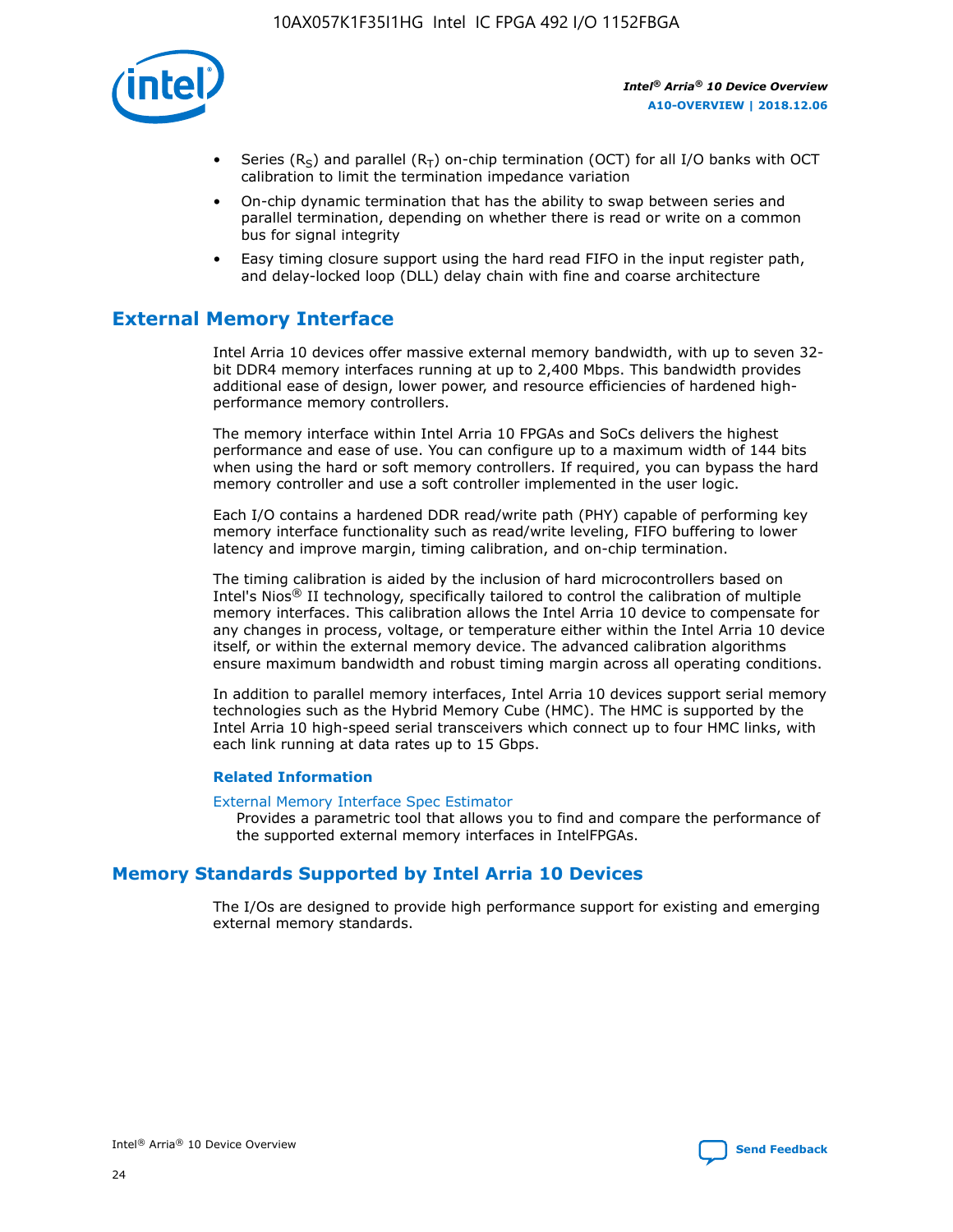

- Series (R<sub>S</sub>) and parallel (R<sub>T</sub>) on-chip termination (OCT) for all I/O banks with OCT calibration to limit the termination impedance variation
- On-chip dynamic termination that has the ability to swap between series and parallel termination, depending on whether there is read or write on a common bus for signal integrity
- Easy timing closure support using the hard read FIFO in the input register path, and delay-locked loop (DLL) delay chain with fine and coarse architecture

# **External Memory Interface**

Intel Arria 10 devices offer massive external memory bandwidth, with up to seven 32 bit DDR4 memory interfaces running at up to 2,400 Mbps. This bandwidth provides additional ease of design, lower power, and resource efficiencies of hardened highperformance memory controllers.

The memory interface within Intel Arria 10 FPGAs and SoCs delivers the highest performance and ease of use. You can configure up to a maximum width of 144 bits when using the hard or soft memory controllers. If required, you can bypass the hard memory controller and use a soft controller implemented in the user logic.

Each I/O contains a hardened DDR read/write path (PHY) capable of performing key memory interface functionality such as read/write leveling, FIFO buffering to lower latency and improve margin, timing calibration, and on-chip termination.

The timing calibration is aided by the inclusion of hard microcontrollers based on Intel's Nios® II technology, specifically tailored to control the calibration of multiple memory interfaces. This calibration allows the Intel Arria 10 device to compensate for any changes in process, voltage, or temperature either within the Intel Arria 10 device itself, or within the external memory device. The advanced calibration algorithms ensure maximum bandwidth and robust timing margin across all operating conditions.

In addition to parallel memory interfaces, Intel Arria 10 devices support serial memory technologies such as the Hybrid Memory Cube (HMC). The HMC is supported by the Intel Arria 10 high-speed serial transceivers which connect up to four HMC links, with each link running at data rates up to 15 Gbps.

#### **Related Information**

#### [External Memory Interface Spec Estimator](http://www.altera.com/technology/memory/estimator/mem-emif-index.html)

Provides a parametric tool that allows you to find and compare the performance of the supported external memory interfaces in IntelFPGAs.

# **Memory Standards Supported by Intel Arria 10 Devices**

The I/Os are designed to provide high performance support for existing and emerging external memory standards.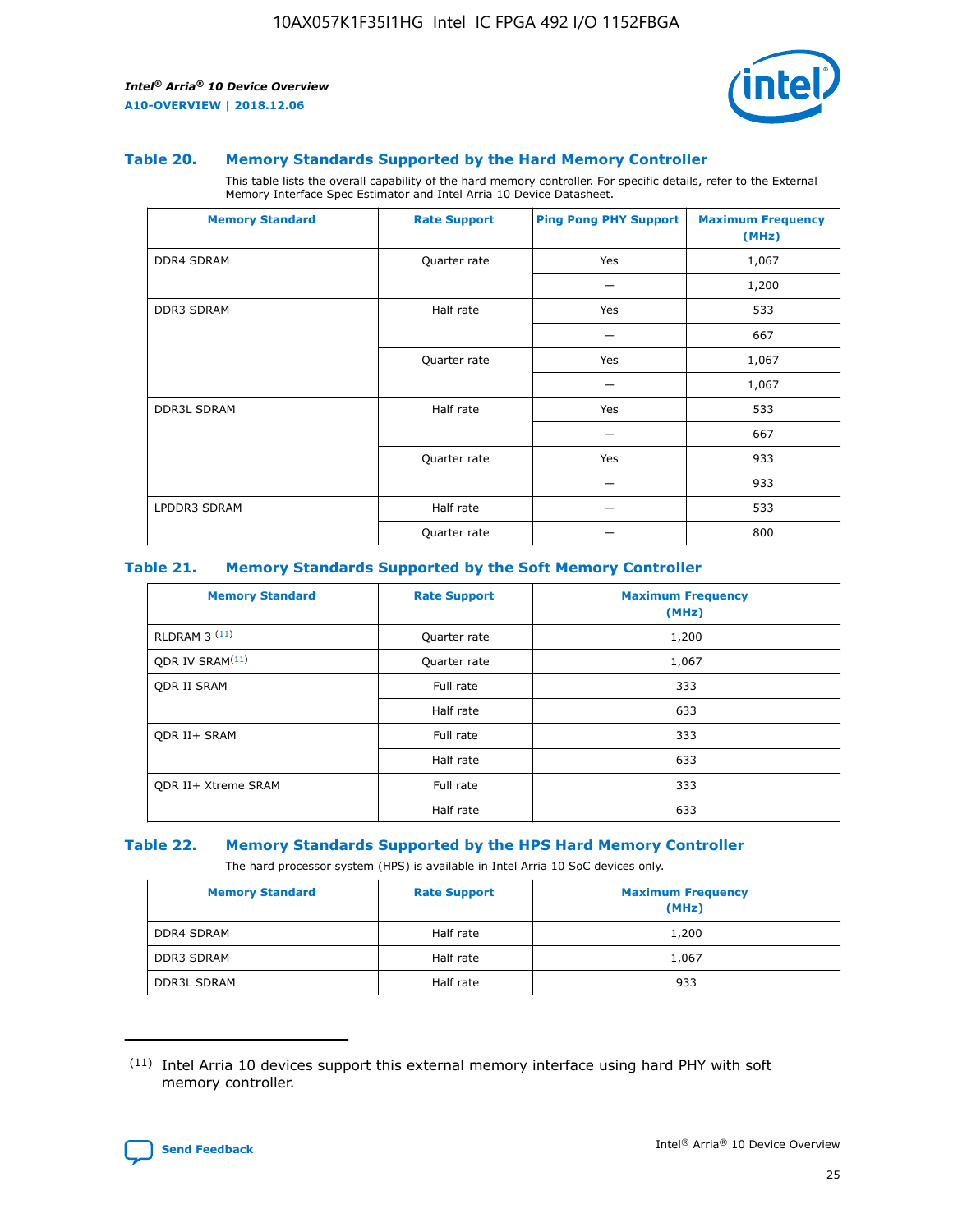

#### **Table 20. Memory Standards Supported by the Hard Memory Controller**

This table lists the overall capability of the hard memory controller. For specific details, refer to the External Memory Interface Spec Estimator and Intel Arria 10 Device Datasheet.

| <b>Memory Standard</b> | <b>Rate Support</b> | <b>Ping Pong PHY Support</b> | <b>Maximum Frequency</b><br>(MHz) |
|------------------------|---------------------|------------------------------|-----------------------------------|
| <b>DDR4 SDRAM</b>      | Quarter rate        | Yes                          | 1,067                             |
|                        |                     |                              | 1,200                             |
| DDR3 SDRAM             | Half rate           | Yes                          | 533                               |
|                        |                     |                              | 667                               |
|                        | Quarter rate        | Yes                          | 1,067                             |
|                        |                     |                              | 1,067                             |
| <b>DDR3L SDRAM</b>     | Half rate           | Yes                          | 533                               |
|                        |                     |                              | 667                               |
|                        | Quarter rate        | Yes                          | 933                               |
|                        |                     |                              | 933                               |
| LPDDR3 SDRAM           | Half rate           |                              | 533                               |
|                        | Quarter rate        |                              | 800                               |

#### **Table 21. Memory Standards Supported by the Soft Memory Controller**

| <b>Memory Standard</b>      | <b>Rate Support</b> | <b>Maximum Frequency</b><br>(MHz) |
|-----------------------------|---------------------|-----------------------------------|
| <b>RLDRAM 3 (11)</b>        | Quarter rate        | 1,200                             |
| QDR IV SRAM <sup>(11)</sup> | Quarter rate        | 1,067                             |
| <b>ODR II SRAM</b>          | Full rate           | 333                               |
|                             | Half rate           | 633                               |
| <b>ODR II+ SRAM</b>         | Full rate           | 333                               |
|                             | Half rate           | 633                               |
| <b>QDR II+ Xtreme SRAM</b>  | Full rate           | 333                               |
|                             | Half rate           | 633                               |

#### **Table 22. Memory Standards Supported by the HPS Hard Memory Controller**

The hard processor system (HPS) is available in Intel Arria 10 SoC devices only.

| <b>Memory Standard</b> | <b>Rate Support</b> | <b>Maximum Frequency</b><br>(MHz) |
|------------------------|---------------------|-----------------------------------|
| <b>DDR4 SDRAM</b>      | Half rate           | 1,200                             |
| <b>DDR3 SDRAM</b>      | Half rate           | 1,067                             |
| <b>DDR3L SDRAM</b>     | Half rate           | 933                               |

<sup>(11)</sup> Intel Arria 10 devices support this external memory interface using hard PHY with soft memory controller.

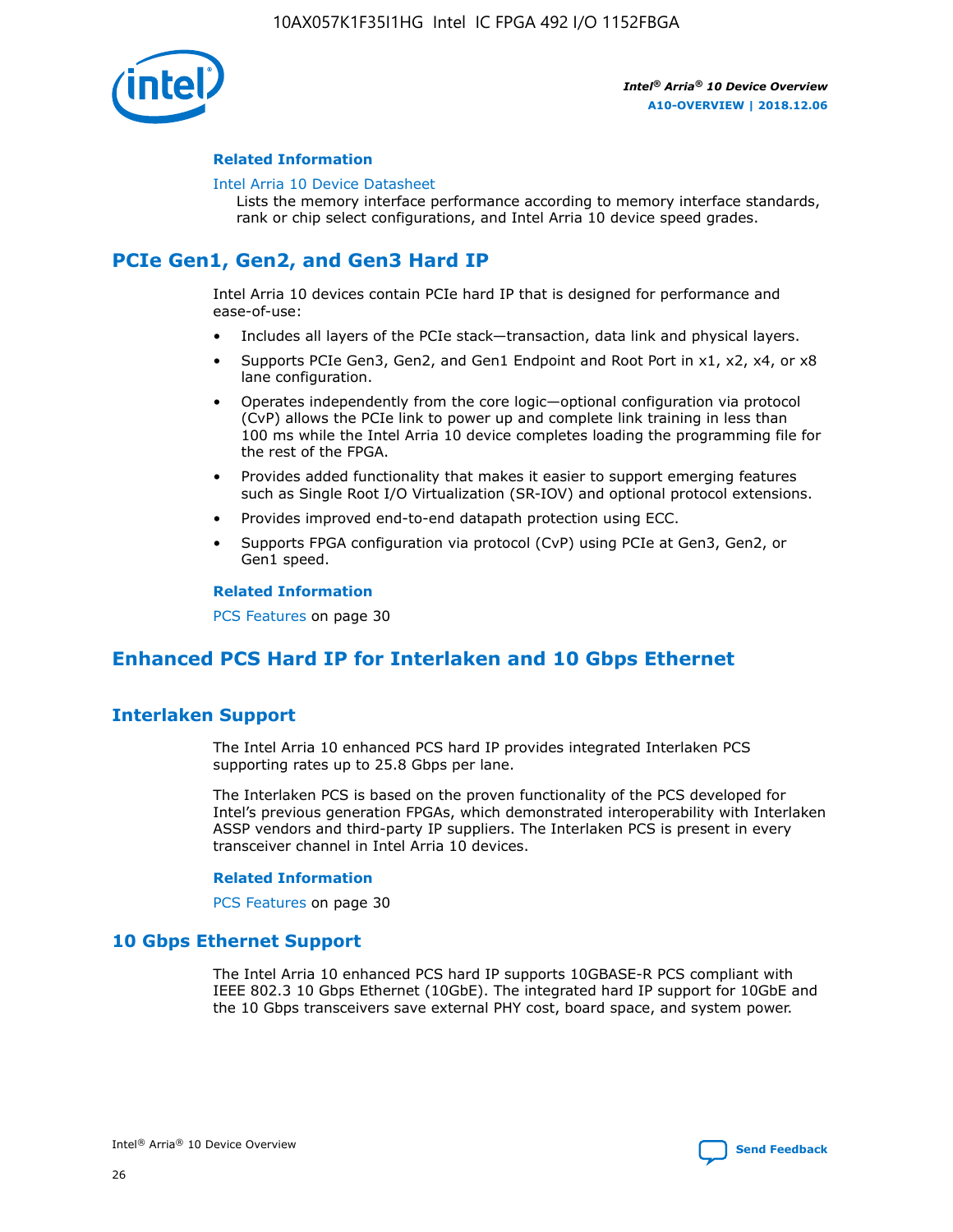

## **Related Information**

#### [Intel Arria 10 Device Datasheet](https://www.intel.com/content/www/us/en/programmable/documentation/mcn1413182292568.html#mcn1413182153340)

Lists the memory interface performance according to memory interface standards, rank or chip select configurations, and Intel Arria 10 device speed grades.

# **PCIe Gen1, Gen2, and Gen3 Hard IP**

Intel Arria 10 devices contain PCIe hard IP that is designed for performance and ease-of-use:

- Includes all layers of the PCIe stack—transaction, data link and physical layers.
- Supports PCIe Gen3, Gen2, and Gen1 Endpoint and Root Port in x1, x2, x4, or x8 lane configuration.
- Operates independently from the core logic—optional configuration via protocol (CvP) allows the PCIe link to power up and complete link training in less than 100 ms while the Intel Arria 10 device completes loading the programming file for the rest of the FPGA.
- Provides added functionality that makes it easier to support emerging features such as Single Root I/O Virtualization (SR-IOV) and optional protocol extensions.
- Provides improved end-to-end datapath protection using ECC.
- Supports FPGA configuration via protocol (CvP) using PCIe at Gen3, Gen2, or Gen1 speed.

#### **Related Information**

PCS Features on page 30

# **Enhanced PCS Hard IP for Interlaken and 10 Gbps Ethernet**

# **Interlaken Support**

The Intel Arria 10 enhanced PCS hard IP provides integrated Interlaken PCS supporting rates up to 25.8 Gbps per lane.

The Interlaken PCS is based on the proven functionality of the PCS developed for Intel's previous generation FPGAs, which demonstrated interoperability with Interlaken ASSP vendors and third-party IP suppliers. The Interlaken PCS is present in every transceiver channel in Intel Arria 10 devices.

#### **Related Information**

PCS Features on page 30

# **10 Gbps Ethernet Support**

The Intel Arria 10 enhanced PCS hard IP supports 10GBASE-R PCS compliant with IEEE 802.3 10 Gbps Ethernet (10GbE). The integrated hard IP support for 10GbE and the 10 Gbps transceivers save external PHY cost, board space, and system power.

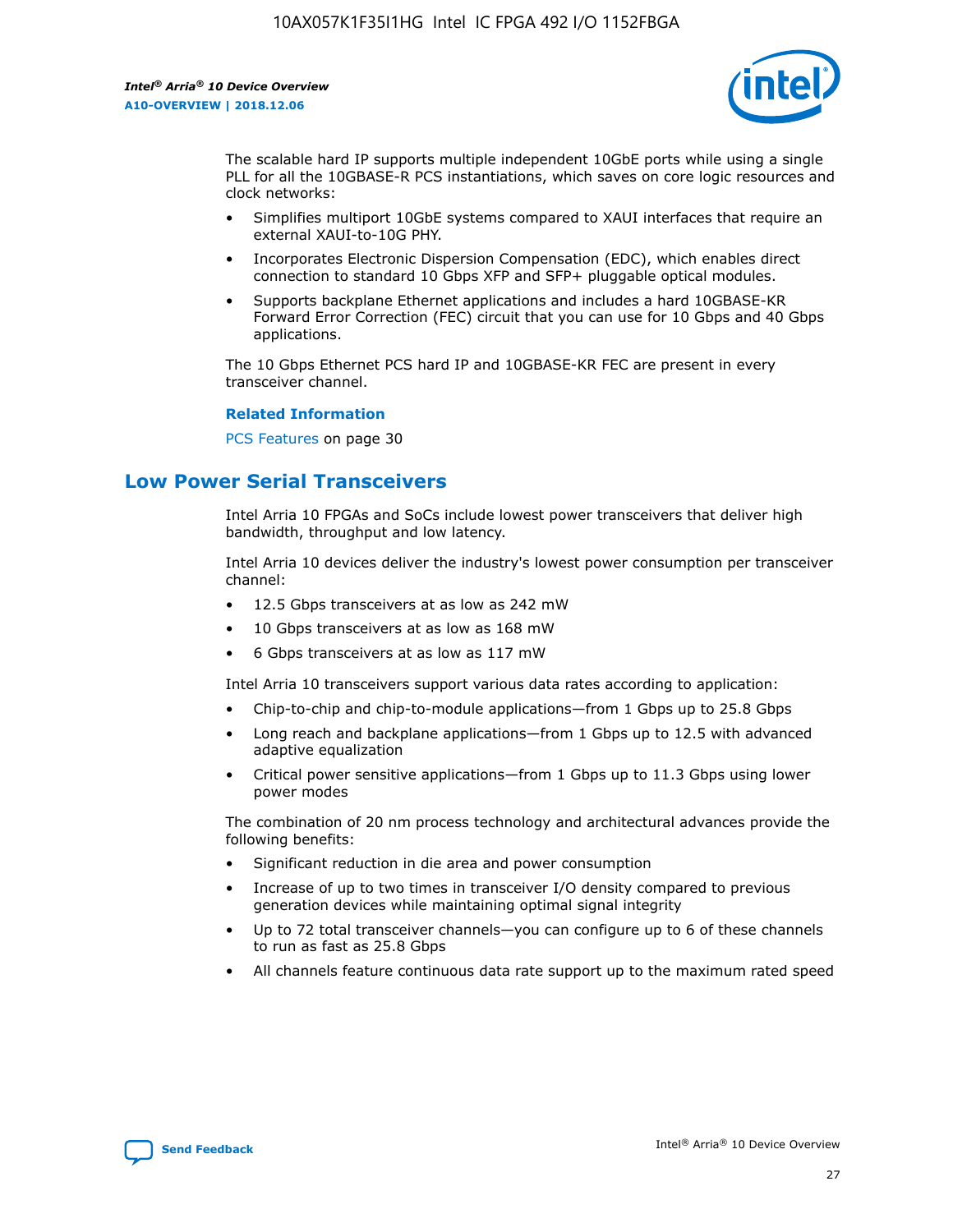

The scalable hard IP supports multiple independent 10GbE ports while using a single PLL for all the 10GBASE-R PCS instantiations, which saves on core logic resources and clock networks:

- Simplifies multiport 10GbE systems compared to XAUI interfaces that require an external XAUI-to-10G PHY.
- Incorporates Electronic Dispersion Compensation (EDC), which enables direct connection to standard 10 Gbps XFP and SFP+ pluggable optical modules.
- Supports backplane Ethernet applications and includes a hard 10GBASE-KR Forward Error Correction (FEC) circuit that you can use for 10 Gbps and 40 Gbps applications.

The 10 Gbps Ethernet PCS hard IP and 10GBASE-KR FEC are present in every transceiver channel.

#### **Related Information**

PCS Features on page 30

# **Low Power Serial Transceivers**

Intel Arria 10 FPGAs and SoCs include lowest power transceivers that deliver high bandwidth, throughput and low latency.

Intel Arria 10 devices deliver the industry's lowest power consumption per transceiver channel:

- 12.5 Gbps transceivers at as low as 242 mW
- 10 Gbps transceivers at as low as 168 mW
- 6 Gbps transceivers at as low as 117 mW

Intel Arria 10 transceivers support various data rates according to application:

- Chip-to-chip and chip-to-module applications—from 1 Gbps up to 25.8 Gbps
- Long reach and backplane applications—from 1 Gbps up to 12.5 with advanced adaptive equalization
- Critical power sensitive applications—from 1 Gbps up to 11.3 Gbps using lower power modes

The combination of 20 nm process technology and architectural advances provide the following benefits:

- Significant reduction in die area and power consumption
- Increase of up to two times in transceiver I/O density compared to previous generation devices while maintaining optimal signal integrity
- Up to 72 total transceiver channels—you can configure up to 6 of these channels to run as fast as 25.8 Gbps
- All channels feature continuous data rate support up to the maximum rated speed

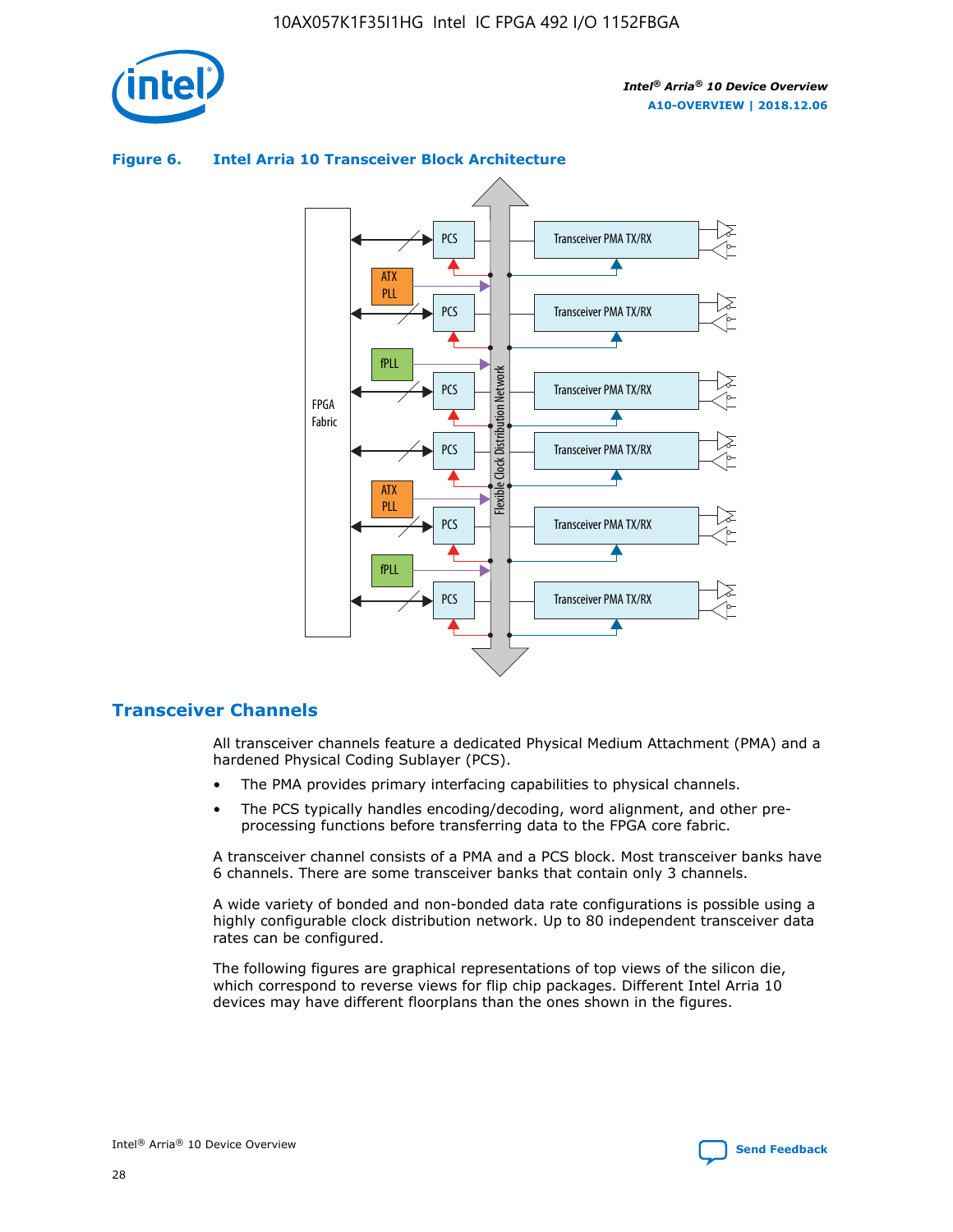

## **Figure 6. Intel Arria 10 Transceiver Block Architecture**



# **Transceiver Channels**

All transceiver channels feature a dedicated Physical Medium Attachment (PMA) and a hardened Physical Coding Sublayer (PCS).

- The PMA provides primary interfacing capabilities to physical channels.
- The PCS typically handles encoding/decoding, word alignment, and other preprocessing functions before transferring data to the FPGA core fabric.

A transceiver channel consists of a PMA and a PCS block. Most transceiver banks have 6 channels. There are some transceiver banks that contain only 3 channels.

A wide variety of bonded and non-bonded data rate configurations is possible using a highly configurable clock distribution network. Up to 80 independent transceiver data rates can be configured.

The following figures are graphical representations of top views of the silicon die, which correspond to reverse views for flip chip packages. Different Intel Arria 10 devices may have different floorplans than the ones shown in the figures.

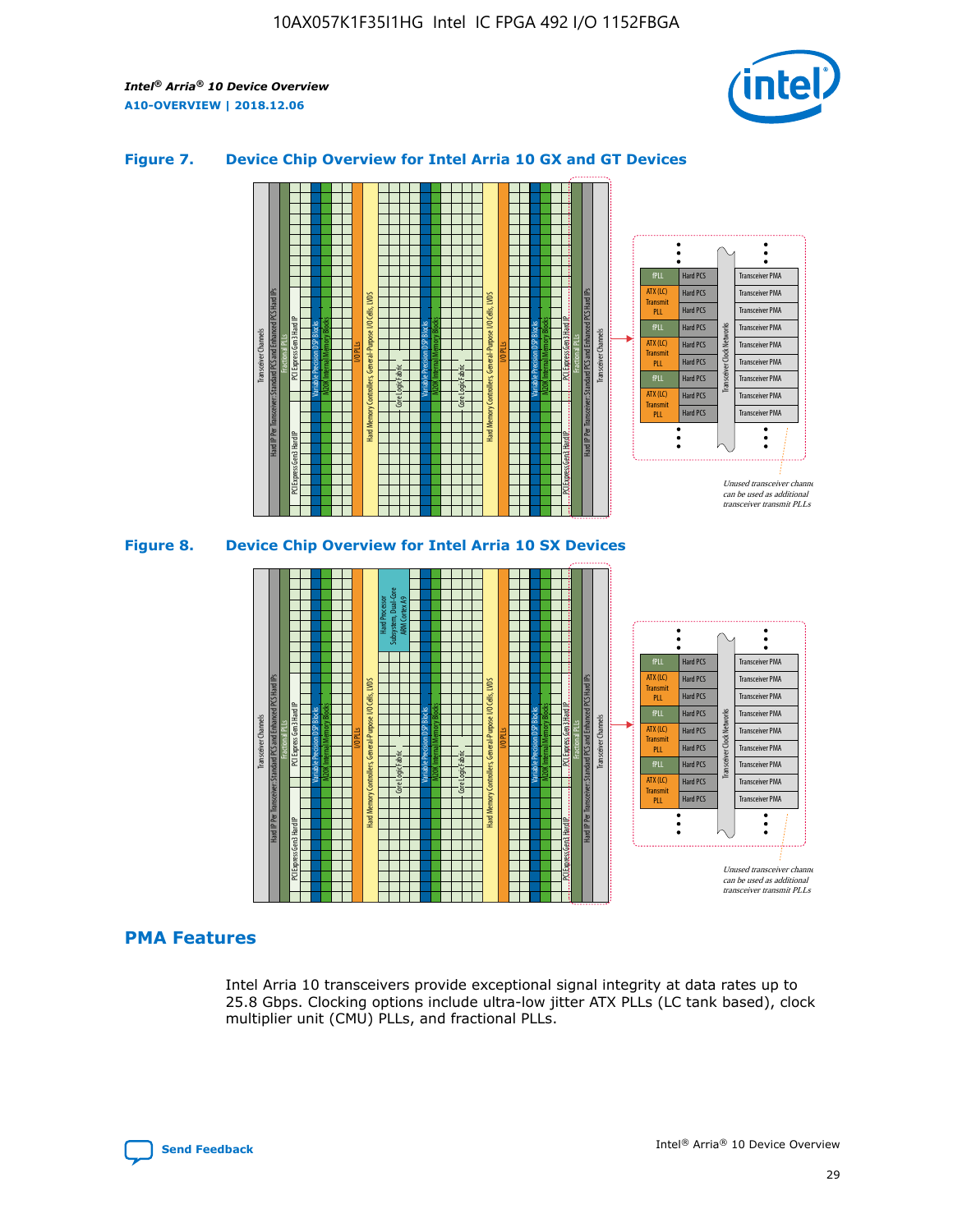

## **Figure 7. Device Chip Overview for Intel Arria 10 GX and GT Devices**





# **PMA Features**

Intel Arria 10 transceivers provide exceptional signal integrity at data rates up to 25.8 Gbps. Clocking options include ultra-low jitter ATX PLLs (LC tank based), clock multiplier unit (CMU) PLLs, and fractional PLLs.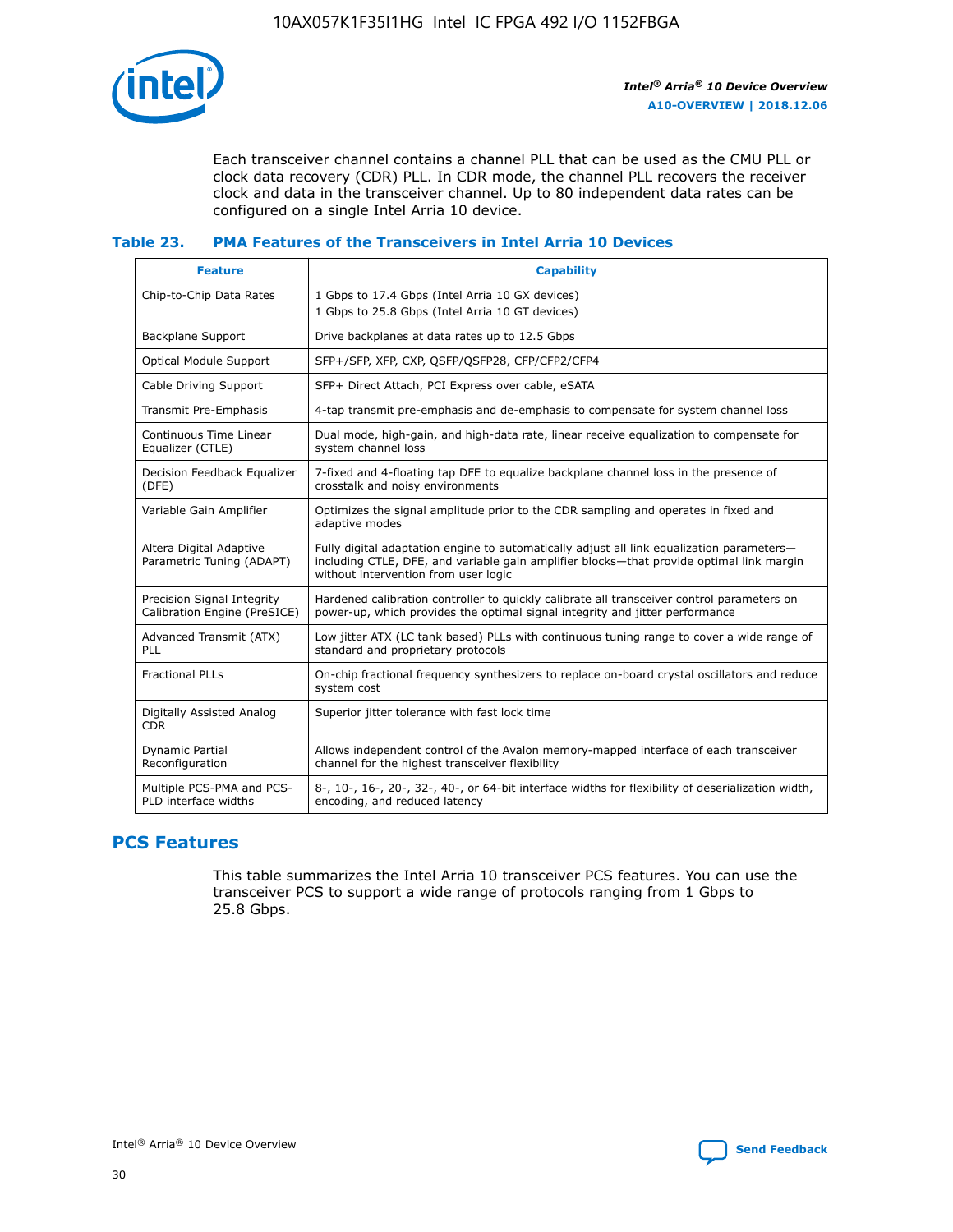

Each transceiver channel contains a channel PLL that can be used as the CMU PLL or clock data recovery (CDR) PLL. In CDR mode, the channel PLL recovers the receiver clock and data in the transceiver channel. Up to 80 independent data rates can be configured on a single Intel Arria 10 device.

## **Table 23. PMA Features of the Transceivers in Intel Arria 10 Devices**

| <b>Feature</b>                                             | <b>Capability</b>                                                                                                                                                                                                             |
|------------------------------------------------------------|-------------------------------------------------------------------------------------------------------------------------------------------------------------------------------------------------------------------------------|
| Chip-to-Chip Data Rates                                    | 1 Gbps to 17.4 Gbps (Intel Arria 10 GX devices)<br>1 Gbps to 25.8 Gbps (Intel Arria 10 GT devices)                                                                                                                            |
| <b>Backplane Support</b>                                   | Drive backplanes at data rates up to 12.5 Gbps                                                                                                                                                                                |
| <b>Optical Module Support</b>                              | SFP+/SFP, XFP, CXP, QSFP/QSFP28, CFP/CFP2/CFP4                                                                                                                                                                                |
| Cable Driving Support                                      | SFP+ Direct Attach, PCI Express over cable, eSATA                                                                                                                                                                             |
| Transmit Pre-Emphasis                                      | 4-tap transmit pre-emphasis and de-emphasis to compensate for system channel loss                                                                                                                                             |
| Continuous Time Linear<br>Equalizer (CTLE)                 | Dual mode, high-gain, and high-data rate, linear receive equalization to compensate for<br>system channel loss                                                                                                                |
| Decision Feedback Equalizer<br>(DFE)                       | 7-fixed and 4-floating tap DFE to equalize backplane channel loss in the presence of<br>crosstalk and noisy environments                                                                                                      |
| Variable Gain Amplifier                                    | Optimizes the signal amplitude prior to the CDR sampling and operates in fixed and<br>adaptive modes                                                                                                                          |
| Altera Digital Adaptive<br>Parametric Tuning (ADAPT)       | Fully digital adaptation engine to automatically adjust all link equalization parameters-<br>including CTLE, DFE, and variable gain amplifier blocks—that provide optimal link margin<br>without intervention from user logic |
| Precision Signal Integrity<br>Calibration Engine (PreSICE) | Hardened calibration controller to quickly calibrate all transceiver control parameters on<br>power-up, which provides the optimal signal integrity and jitter performance                                                    |
| Advanced Transmit (ATX)<br>PLL                             | Low jitter ATX (LC tank based) PLLs with continuous tuning range to cover a wide range of<br>standard and proprietary protocols                                                                                               |
| <b>Fractional PLLs</b>                                     | On-chip fractional frequency synthesizers to replace on-board crystal oscillators and reduce<br>system cost                                                                                                                   |
| Digitally Assisted Analog<br><b>CDR</b>                    | Superior jitter tolerance with fast lock time                                                                                                                                                                                 |
| Dynamic Partial<br>Reconfiguration                         | Allows independent control of the Avalon memory-mapped interface of each transceiver<br>channel for the highest transceiver flexibility                                                                                       |
| Multiple PCS-PMA and PCS-<br>PLD interface widths          | 8-, 10-, 16-, 20-, 32-, 40-, or 64-bit interface widths for flexibility of deserialization width,<br>encoding, and reduced latency                                                                                            |

# **PCS Features**

This table summarizes the Intel Arria 10 transceiver PCS features. You can use the transceiver PCS to support a wide range of protocols ranging from 1 Gbps to 25.8 Gbps.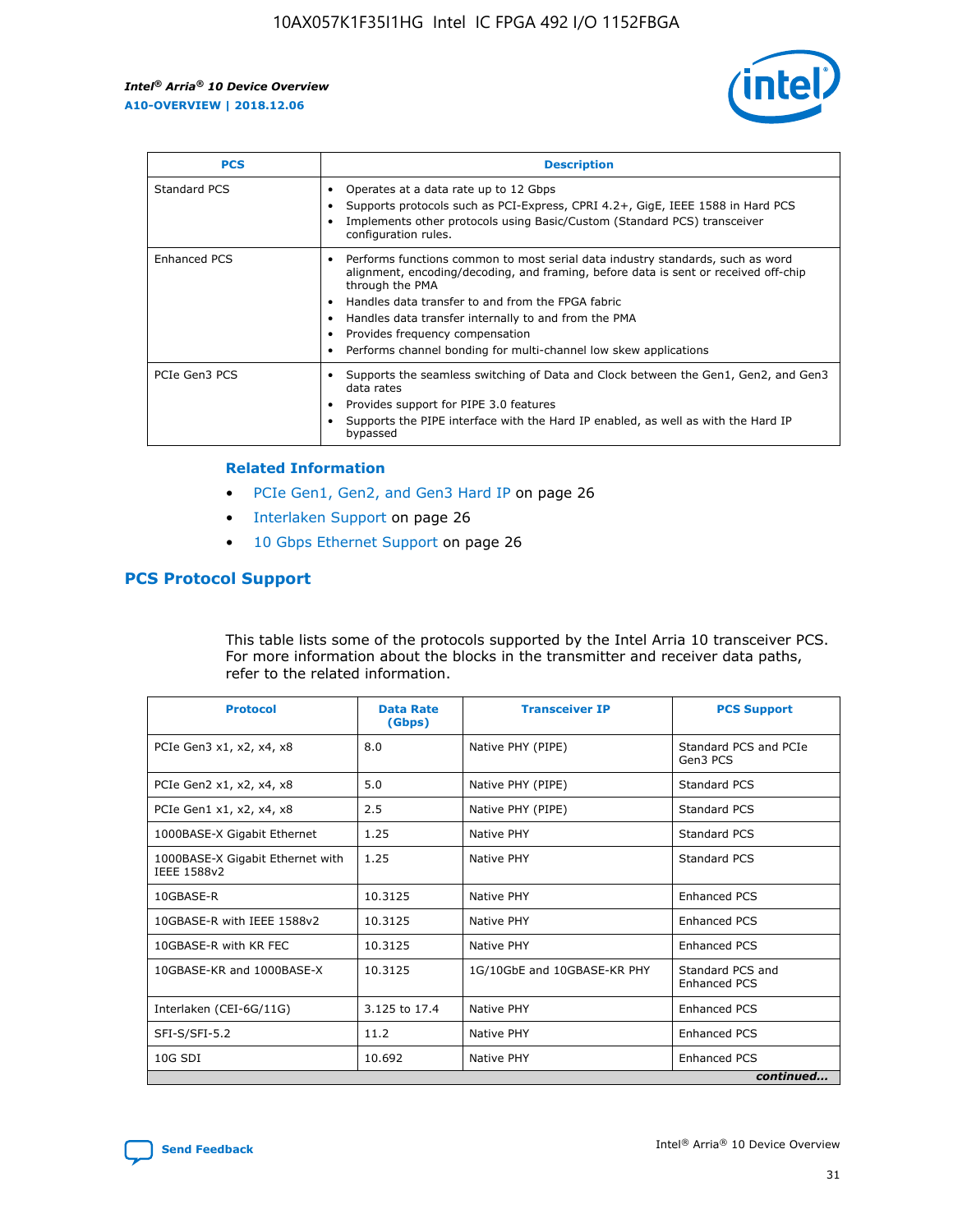

| <b>PCS</b>          | <b>Description</b>                                                                                                                                                                                                                                                                                                                                                                                             |
|---------------------|----------------------------------------------------------------------------------------------------------------------------------------------------------------------------------------------------------------------------------------------------------------------------------------------------------------------------------------------------------------------------------------------------------------|
| Standard PCS        | Operates at a data rate up to 12 Gbps<br>Supports protocols such as PCI-Express, CPRI 4.2+, GigE, IEEE 1588 in Hard PCS<br>Implements other protocols using Basic/Custom (Standard PCS) transceiver<br>configuration rules.                                                                                                                                                                                    |
| <b>Enhanced PCS</b> | Performs functions common to most serial data industry standards, such as word<br>alignment, encoding/decoding, and framing, before data is sent or received off-chip<br>through the PMA<br>• Handles data transfer to and from the FPGA fabric<br>Handles data transfer internally to and from the PMA<br>Provides frequency compensation<br>Performs channel bonding for multi-channel low skew applications |
| PCIe Gen3 PCS       | Supports the seamless switching of Data and Clock between the Gen1, Gen2, and Gen3<br>data rates<br>Provides support for PIPE 3.0 features<br>Supports the PIPE interface with the Hard IP enabled, as well as with the Hard IP<br>bypassed                                                                                                                                                                    |

#### **Related Information**

- PCIe Gen1, Gen2, and Gen3 Hard IP on page 26
- Interlaken Support on page 26
- 10 Gbps Ethernet Support on page 26

# **PCS Protocol Support**

This table lists some of the protocols supported by the Intel Arria 10 transceiver PCS. For more information about the blocks in the transmitter and receiver data paths, refer to the related information.

| <b>Protocol</b>                                 | <b>Data Rate</b><br>(Gbps) | <b>Transceiver IP</b>       | <b>PCS Support</b>                      |
|-------------------------------------------------|----------------------------|-----------------------------|-----------------------------------------|
| PCIe Gen3 x1, x2, x4, x8                        | 8.0                        | Native PHY (PIPE)           | Standard PCS and PCIe<br>Gen3 PCS       |
| PCIe Gen2 x1, x2, x4, x8                        | 5.0                        | Native PHY (PIPE)           | <b>Standard PCS</b>                     |
| PCIe Gen1 x1, x2, x4, x8                        | 2.5                        | Native PHY (PIPE)           | Standard PCS                            |
| 1000BASE-X Gigabit Ethernet                     | 1.25                       | Native PHY                  | <b>Standard PCS</b>                     |
| 1000BASE-X Gigabit Ethernet with<br>IEEE 1588v2 | 1.25                       | Native PHY                  | Standard PCS                            |
| 10GBASE-R                                       | 10.3125                    | Native PHY                  | <b>Enhanced PCS</b>                     |
| 10GBASE-R with IEEE 1588v2                      | 10.3125                    | Native PHY                  | <b>Enhanced PCS</b>                     |
| 10GBASE-R with KR FEC                           | 10.3125                    | Native PHY                  | <b>Enhanced PCS</b>                     |
| 10GBASE-KR and 1000BASE-X                       | 10.3125                    | 1G/10GbE and 10GBASE-KR PHY | Standard PCS and<br><b>Enhanced PCS</b> |
| Interlaken (CEI-6G/11G)                         | 3.125 to 17.4              | Native PHY                  | <b>Enhanced PCS</b>                     |
| SFI-S/SFI-5.2                                   | 11.2                       | Native PHY                  | <b>Enhanced PCS</b>                     |
| $10G$ SDI                                       | 10.692                     | Native PHY                  | <b>Enhanced PCS</b>                     |
|                                                 |                            |                             | continued                               |

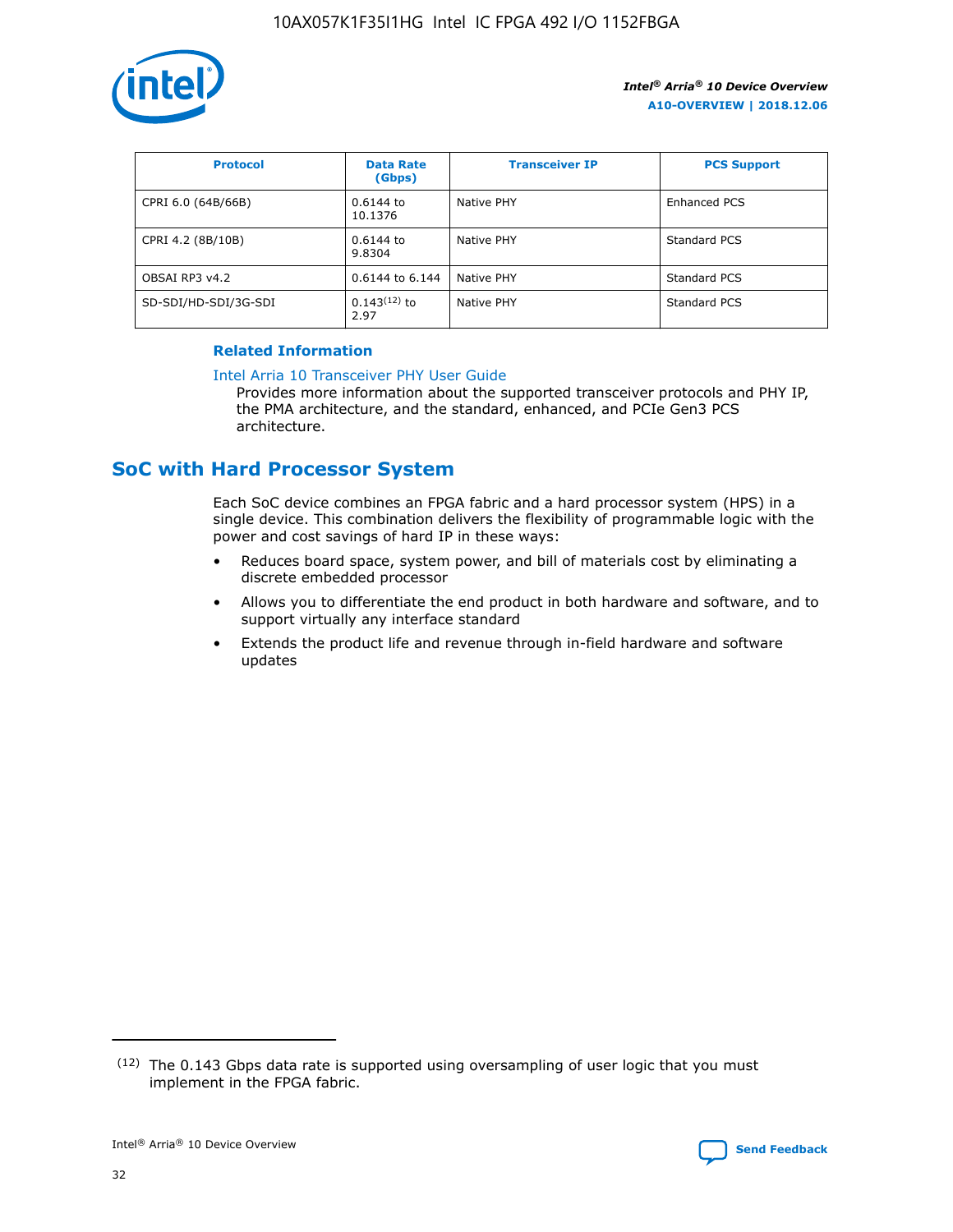

| <b>Protocol</b>      | <b>Data Rate</b><br>(Gbps) | <b>Transceiver IP</b> | <b>PCS Support</b> |
|----------------------|----------------------------|-----------------------|--------------------|
| CPRI 6.0 (64B/66B)   | 0.6144 to<br>10.1376       | Native PHY            | Enhanced PCS       |
| CPRI 4.2 (8B/10B)    | 0.6144 to<br>9.8304        | Native PHY            | Standard PCS       |
| OBSAI RP3 v4.2       | 0.6144 to 6.144            | Native PHY            | Standard PCS       |
| SD-SDI/HD-SDI/3G-SDI | $0.143(12)$ to<br>2.97     | Native PHY            | Standard PCS       |

## **Related Information**

#### [Intel Arria 10 Transceiver PHY User Guide](https://www.intel.com/content/www/us/en/programmable/documentation/nik1398707230472.html#nik1398707091164)

Provides more information about the supported transceiver protocols and PHY IP, the PMA architecture, and the standard, enhanced, and PCIe Gen3 PCS architecture.

# **SoC with Hard Processor System**

Each SoC device combines an FPGA fabric and a hard processor system (HPS) in a single device. This combination delivers the flexibility of programmable logic with the power and cost savings of hard IP in these ways:

- Reduces board space, system power, and bill of materials cost by eliminating a discrete embedded processor
- Allows you to differentiate the end product in both hardware and software, and to support virtually any interface standard
- Extends the product life and revenue through in-field hardware and software updates

 $(12)$  The 0.143 Gbps data rate is supported using oversampling of user logic that you must implement in the FPGA fabric.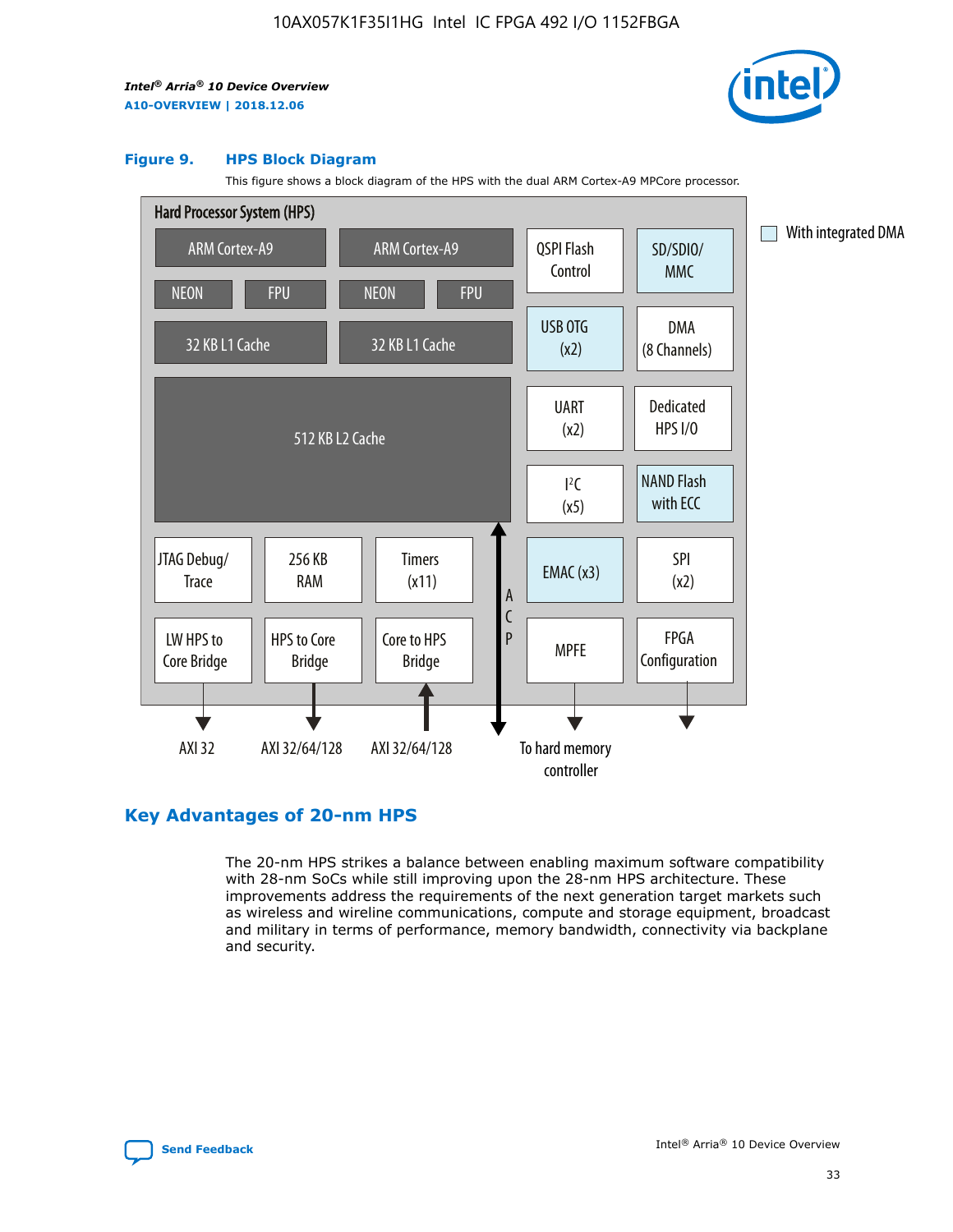

#### **Figure 9. HPS Block Diagram**

This figure shows a block diagram of the HPS with the dual ARM Cortex-A9 MPCore processor.



# **Key Advantages of 20-nm HPS**

The 20-nm HPS strikes a balance between enabling maximum software compatibility with 28-nm SoCs while still improving upon the 28-nm HPS architecture. These improvements address the requirements of the next generation target markets such as wireless and wireline communications, compute and storage equipment, broadcast and military in terms of performance, memory bandwidth, connectivity via backplane and security.

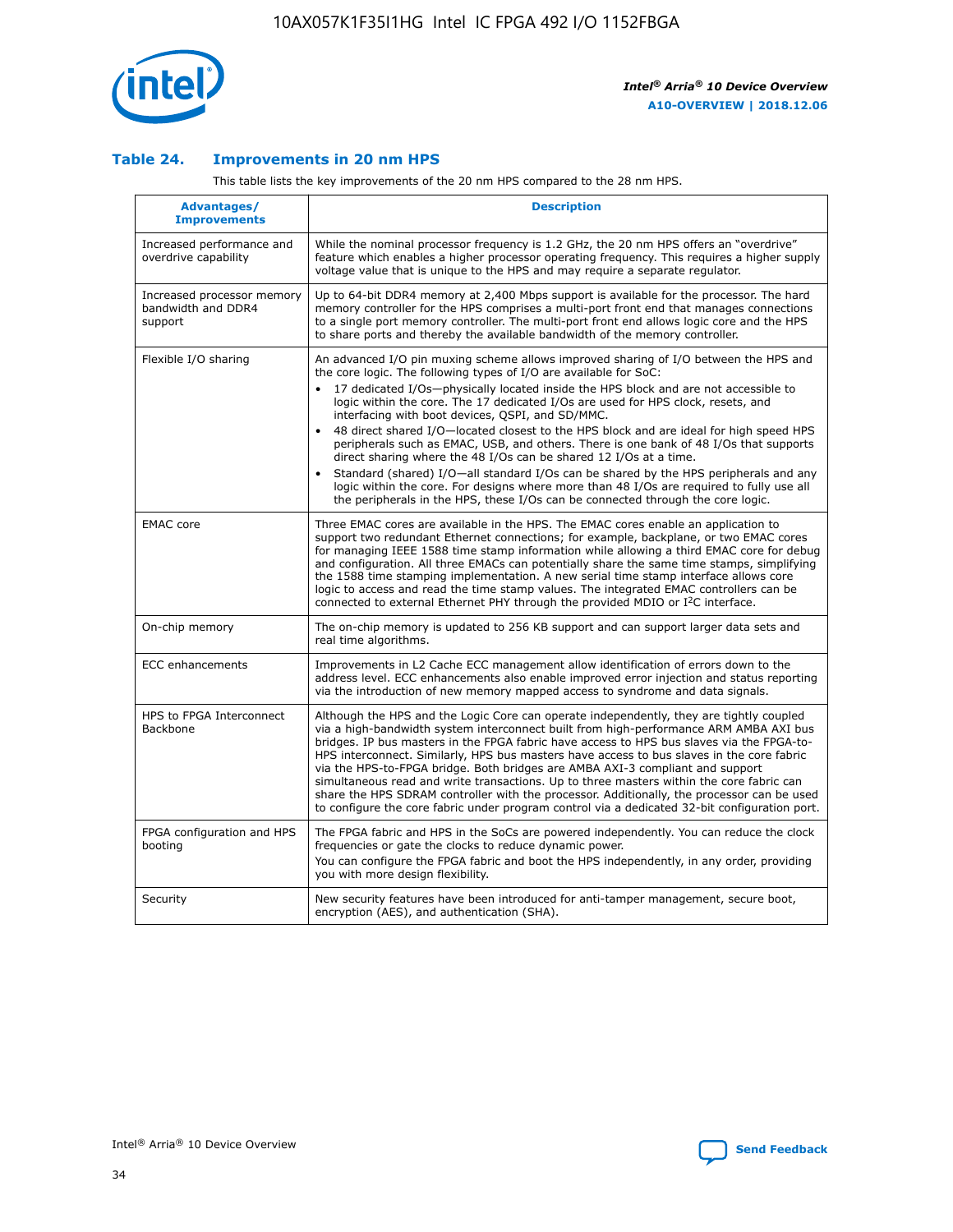

## **Table 24. Improvements in 20 nm HPS**

This table lists the key improvements of the 20 nm HPS compared to the 28 nm HPS.

| Advantages/<br><b>Improvements</b>                          | <b>Description</b>                                                                                                                                                                                                                                                                                                                                                                                                                                                                                                                                                                                                                                                                                                                                                                                                                                                                                                      |
|-------------------------------------------------------------|-------------------------------------------------------------------------------------------------------------------------------------------------------------------------------------------------------------------------------------------------------------------------------------------------------------------------------------------------------------------------------------------------------------------------------------------------------------------------------------------------------------------------------------------------------------------------------------------------------------------------------------------------------------------------------------------------------------------------------------------------------------------------------------------------------------------------------------------------------------------------------------------------------------------------|
| Increased performance and<br>overdrive capability           | While the nominal processor frequency is 1.2 GHz, the 20 nm HPS offers an "overdrive"<br>feature which enables a higher processor operating frequency. This requires a higher supply<br>voltage value that is unique to the HPS and may require a separate regulator.                                                                                                                                                                                                                                                                                                                                                                                                                                                                                                                                                                                                                                                   |
| Increased processor memory<br>bandwidth and DDR4<br>support | Up to 64-bit DDR4 memory at 2,400 Mbps support is available for the processor. The hard<br>memory controller for the HPS comprises a multi-port front end that manages connections<br>to a single port memory controller. The multi-port front end allows logic core and the HPS<br>to share ports and thereby the available bandwidth of the memory controller.                                                                                                                                                                                                                                                                                                                                                                                                                                                                                                                                                        |
| Flexible I/O sharing                                        | An advanced I/O pin muxing scheme allows improved sharing of I/O between the HPS and<br>the core logic. The following types of I/O are available for SoC:<br>17 dedicated I/Os-physically located inside the HPS block and are not accessible to<br>logic within the core. The 17 dedicated I/Os are used for HPS clock, resets, and<br>interfacing with boot devices, QSPI, and SD/MMC.<br>48 direct shared I/O-located closest to the HPS block and are ideal for high speed HPS<br>peripherals such as EMAC, USB, and others. There is one bank of 48 I/Os that supports<br>direct sharing where the 48 I/Os can be shared 12 I/Os at a time.<br>Standard (shared) I/O—all standard I/Os can be shared by the HPS peripherals and any<br>logic within the core. For designs where more than 48 I/Os are required to fully use all<br>the peripherals in the HPS, these I/Os can be connected through the core logic. |
| <b>EMAC</b> core                                            | Three EMAC cores are available in the HPS. The EMAC cores enable an application to<br>support two redundant Ethernet connections; for example, backplane, or two EMAC cores<br>for managing IEEE 1588 time stamp information while allowing a third EMAC core for debug<br>and configuration. All three EMACs can potentially share the same time stamps, simplifying<br>the 1588 time stamping implementation. A new serial time stamp interface allows core<br>logic to access and read the time stamp values. The integrated EMAC controllers can be<br>connected to external Ethernet PHY through the provided MDIO or I <sup>2</sup> C interface.                                                                                                                                                                                                                                                                  |
| On-chip memory                                              | The on-chip memory is updated to 256 KB support and can support larger data sets and<br>real time algorithms.                                                                                                                                                                                                                                                                                                                                                                                                                                                                                                                                                                                                                                                                                                                                                                                                           |
| <b>ECC</b> enhancements                                     | Improvements in L2 Cache ECC management allow identification of errors down to the<br>address level. ECC enhancements also enable improved error injection and status reporting<br>via the introduction of new memory mapped access to syndrome and data signals.                                                                                                                                                                                                                                                                                                                                                                                                                                                                                                                                                                                                                                                       |
| HPS to FPGA Interconnect<br><b>Backbone</b>                 | Although the HPS and the Logic Core can operate independently, they are tightly coupled<br>via a high-bandwidth system interconnect built from high-performance ARM AMBA AXI bus<br>bridges. IP bus masters in the FPGA fabric have access to HPS bus slaves via the FPGA-to-<br>HPS interconnect. Similarly, HPS bus masters have access to bus slaves in the core fabric<br>via the HPS-to-FPGA bridge. Both bridges are AMBA AXI-3 compliant and support<br>simultaneous read and write transactions. Up to three masters within the core fabric can<br>share the HPS SDRAM controller with the processor. Additionally, the processor can be used<br>to configure the core fabric under program control via a dedicated 32-bit configuration port.                                                                                                                                                                  |
| FPGA configuration and HPS<br>booting                       | The FPGA fabric and HPS in the SoCs are powered independently. You can reduce the clock<br>frequencies or gate the clocks to reduce dynamic power.<br>You can configure the FPGA fabric and boot the HPS independently, in any order, providing<br>you with more design flexibility.                                                                                                                                                                                                                                                                                                                                                                                                                                                                                                                                                                                                                                    |
| Security                                                    | New security features have been introduced for anti-tamper management, secure boot,<br>encryption (AES), and authentication (SHA).                                                                                                                                                                                                                                                                                                                                                                                                                                                                                                                                                                                                                                                                                                                                                                                      |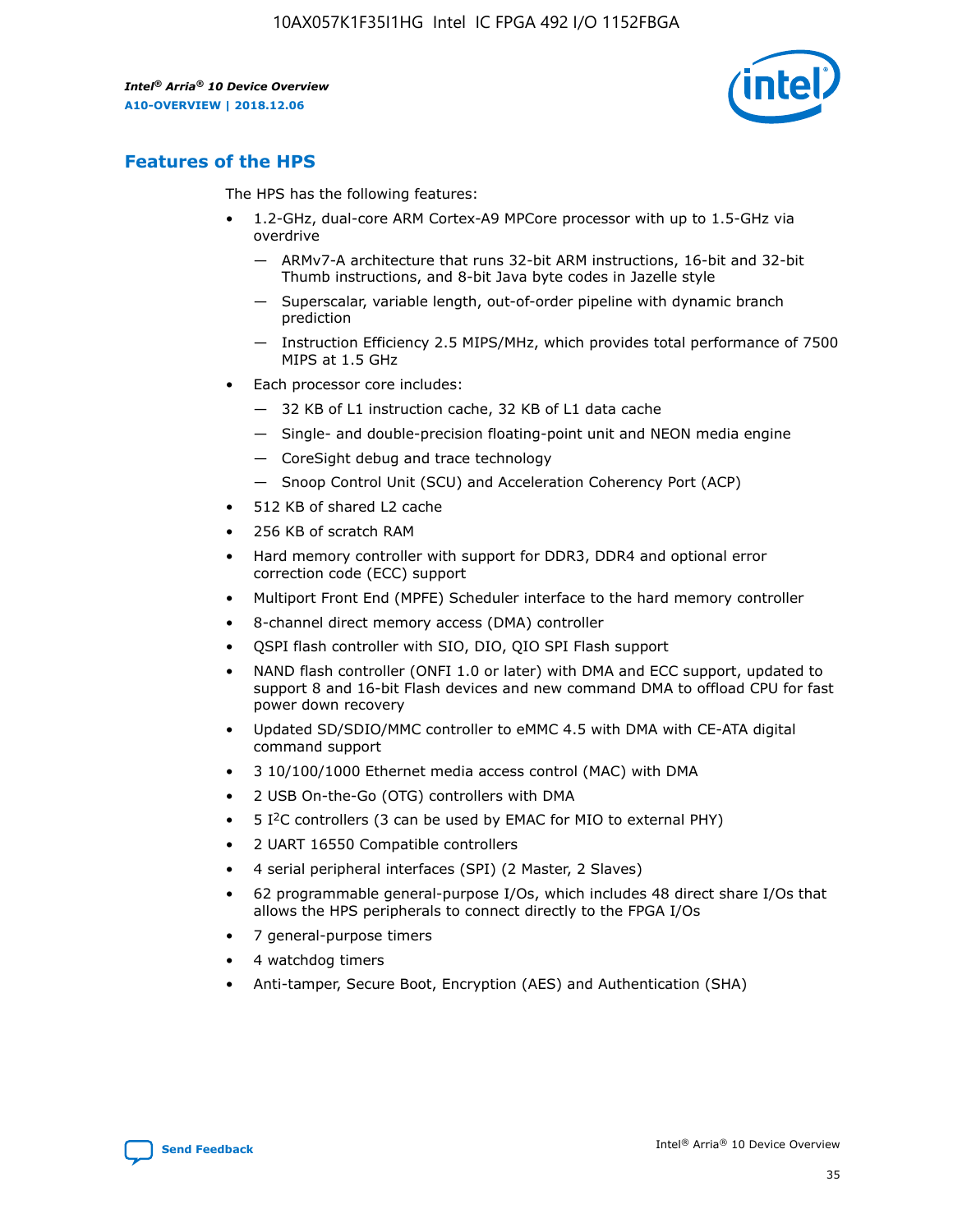

# **Features of the HPS**

The HPS has the following features:

- 1.2-GHz, dual-core ARM Cortex-A9 MPCore processor with up to 1.5-GHz via overdrive
	- ARMv7-A architecture that runs 32-bit ARM instructions, 16-bit and 32-bit Thumb instructions, and 8-bit Java byte codes in Jazelle style
	- Superscalar, variable length, out-of-order pipeline with dynamic branch prediction
	- Instruction Efficiency 2.5 MIPS/MHz, which provides total performance of 7500 MIPS at 1.5 GHz
- Each processor core includes:
	- 32 KB of L1 instruction cache, 32 KB of L1 data cache
	- Single- and double-precision floating-point unit and NEON media engine
	- CoreSight debug and trace technology
	- Snoop Control Unit (SCU) and Acceleration Coherency Port (ACP)
- 512 KB of shared L2 cache
- 256 KB of scratch RAM
- Hard memory controller with support for DDR3, DDR4 and optional error correction code (ECC) support
- Multiport Front End (MPFE) Scheduler interface to the hard memory controller
- 8-channel direct memory access (DMA) controller
- QSPI flash controller with SIO, DIO, QIO SPI Flash support
- NAND flash controller (ONFI 1.0 or later) with DMA and ECC support, updated to support 8 and 16-bit Flash devices and new command DMA to offload CPU for fast power down recovery
- Updated SD/SDIO/MMC controller to eMMC 4.5 with DMA with CE-ATA digital command support
- 3 10/100/1000 Ethernet media access control (MAC) with DMA
- 2 USB On-the-Go (OTG) controllers with DMA
- $\bullet$  5 I<sup>2</sup>C controllers (3 can be used by EMAC for MIO to external PHY)
- 2 UART 16550 Compatible controllers
- 4 serial peripheral interfaces (SPI) (2 Master, 2 Slaves)
- 62 programmable general-purpose I/Os, which includes 48 direct share I/Os that allows the HPS peripherals to connect directly to the FPGA I/Os
- 7 general-purpose timers
- 4 watchdog timers
- Anti-tamper, Secure Boot, Encryption (AES) and Authentication (SHA)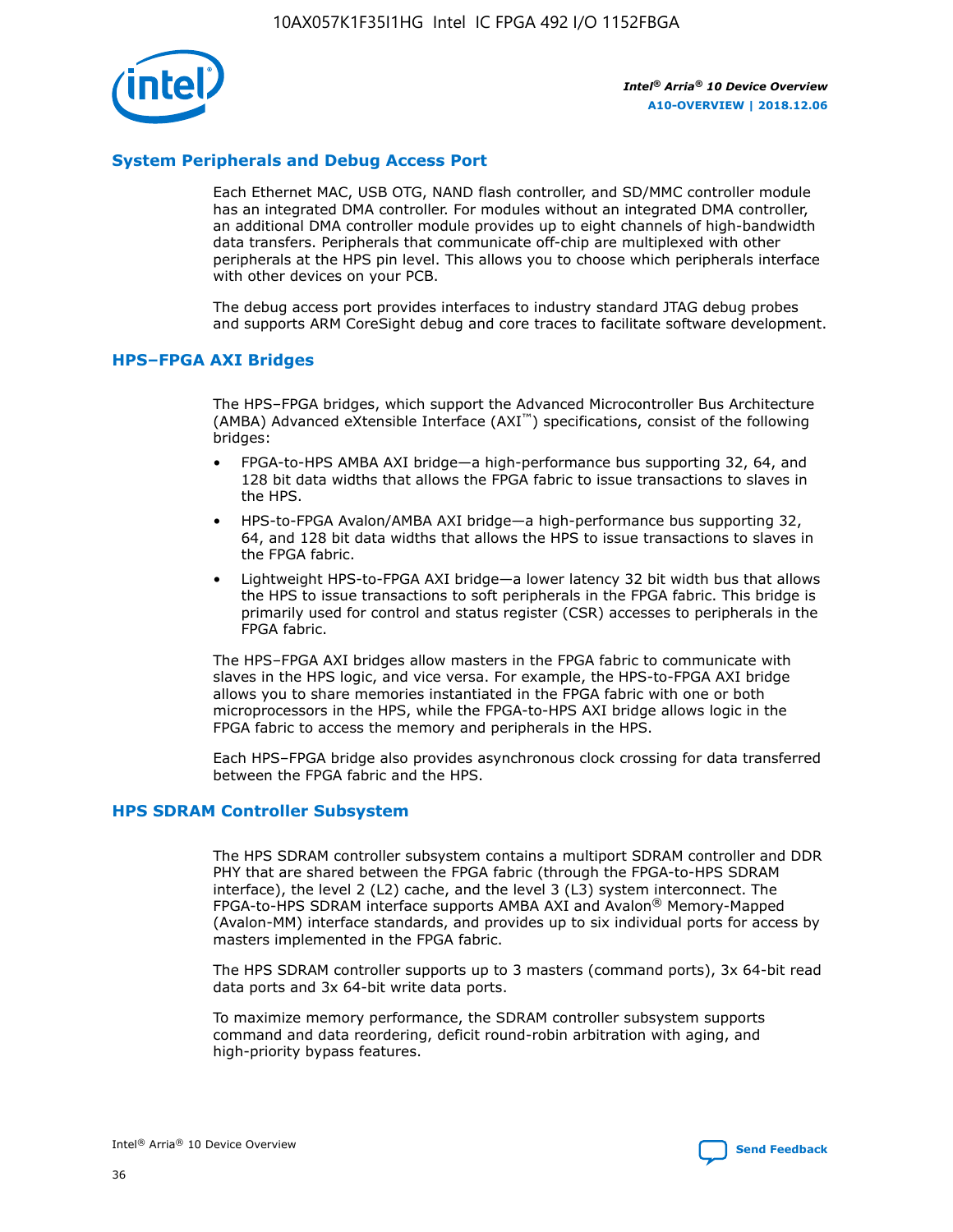

# **System Peripherals and Debug Access Port**

Each Ethernet MAC, USB OTG, NAND flash controller, and SD/MMC controller module has an integrated DMA controller. For modules without an integrated DMA controller, an additional DMA controller module provides up to eight channels of high-bandwidth data transfers. Peripherals that communicate off-chip are multiplexed with other peripherals at the HPS pin level. This allows you to choose which peripherals interface with other devices on your PCB.

The debug access port provides interfaces to industry standard JTAG debug probes and supports ARM CoreSight debug and core traces to facilitate software development.

#### **HPS–FPGA AXI Bridges**

The HPS–FPGA bridges, which support the Advanced Microcontroller Bus Architecture (AMBA) Advanced eXtensible Interface (AXI™) specifications, consist of the following bridges:

- FPGA-to-HPS AMBA AXI bridge—a high-performance bus supporting 32, 64, and 128 bit data widths that allows the FPGA fabric to issue transactions to slaves in the HPS.
- HPS-to-FPGA Avalon/AMBA AXI bridge—a high-performance bus supporting 32, 64, and 128 bit data widths that allows the HPS to issue transactions to slaves in the FPGA fabric.
- Lightweight HPS-to-FPGA AXI bridge—a lower latency 32 bit width bus that allows the HPS to issue transactions to soft peripherals in the FPGA fabric. This bridge is primarily used for control and status register (CSR) accesses to peripherals in the FPGA fabric.

The HPS–FPGA AXI bridges allow masters in the FPGA fabric to communicate with slaves in the HPS logic, and vice versa. For example, the HPS-to-FPGA AXI bridge allows you to share memories instantiated in the FPGA fabric with one or both microprocessors in the HPS, while the FPGA-to-HPS AXI bridge allows logic in the FPGA fabric to access the memory and peripherals in the HPS.

Each HPS–FPGA bridge also provides asynchronous clock crossing for data transferred between the FPGA fabric and the HPS.

#### **HPS SDRAM Controller Subsystem**

The HPS SDRAM controller subsystem contains a multiport SDRAM controller and DDR PHY that are shared between the FPGA fabric (through the FPGA-to-HPS SDRAM interface), the level 2 (L2) cache, and the level 3 (L3) system interconnect. The FPGA-to-HPS SDRAM interface supports AMBA AXI and Avalon® Memory-Mapped (Avalon-MM) interface standards, and provides up to six individual ports for access by masters implemented in the FPGA fabric.

The HPS SDRAM controller supports up to 3 masters (command ports), 3x 64-bit read data ports and 3x 64-bit write data ports.

To maximize memory performance, the SDRAM controller subsystem supports command and data reordering, deficit round-robin arbitration with aging, and high-priority bypass features.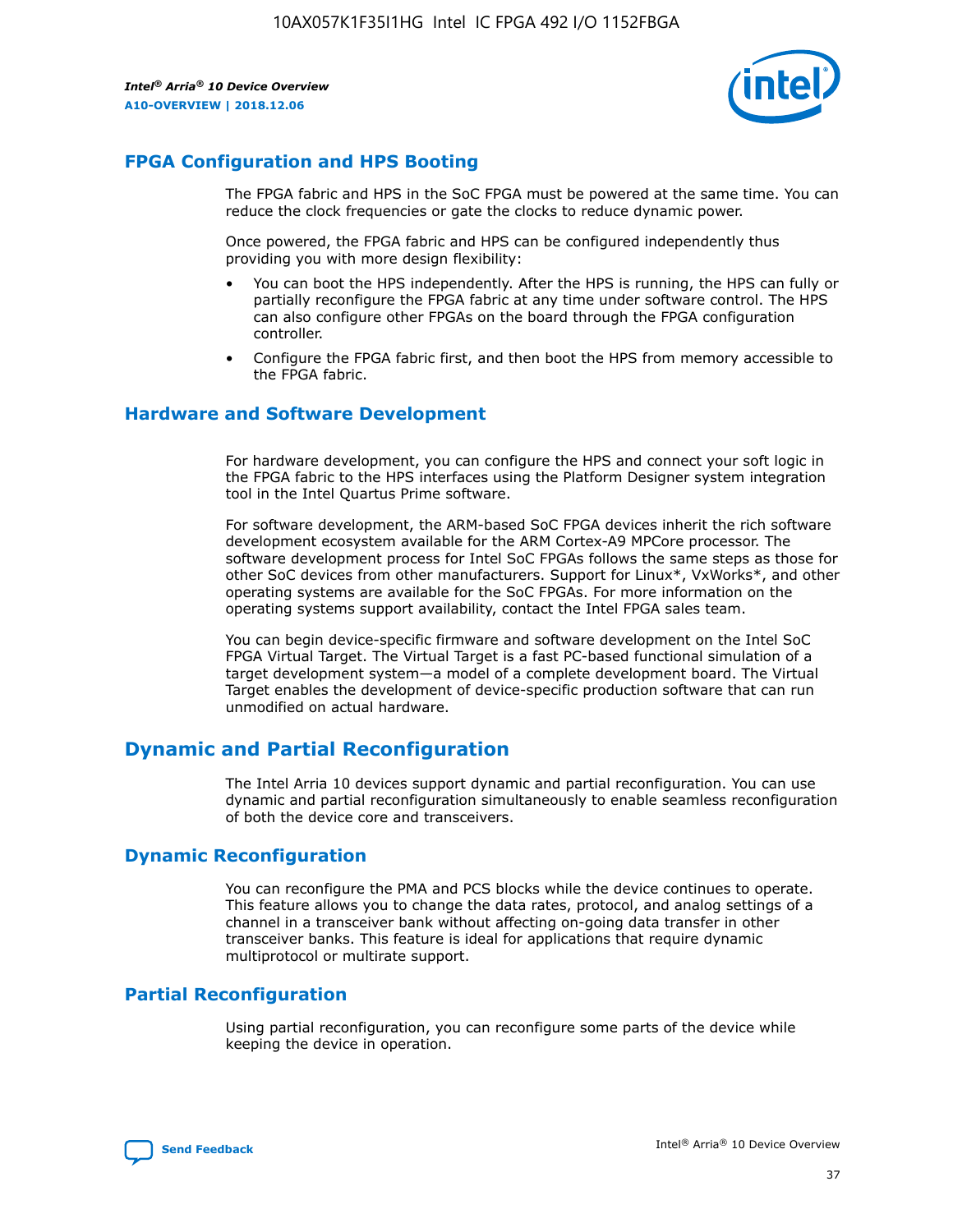

# **FPGA Configuration and HPS Booting**

The FPGA fabric and HPS in the SoC FPGA must be powered at the same time. You can reduce the clock frequencies or gate the clocks to reduce dynamic power.

Once powered, the FPGA fabric and HPS can be configured independently thus providing you with more design flexibility:

- You can boot the HPS independently. After the HPS is running, the HPS can fully or partially reconfigure the FPGA fabric at any time under software control. The HPS can also configure other FPGAs on the board through the FPGA configuration controller.
- Configure the FPGA fabric first, and then boot the HPS from memory accessible to the FPGA fabric.

## **Hardware and Software Development**

For hardware development, you can configure the HPS and connect your soft logic in the FPGA fabric to the HPS interfaces using the Platform Designer system integration tool in the Intel Quartus Prime software.

For software development, the ARM-based SoC FPGA devices inherit the rich software development ecosystem available for the ARM Cortex-A9 MPCore processor. The software development process for Intel SoC FPGAs follows the same steps as those for other SoC devices from other manufacturers. Support for Linux\*, VxWorks\*, and other operating systems are available for the SoC FPGAs. For more information on the operating systems support availability, contact the Intel FPGA sales team.

You can begin device-specific firmware and software development on the Intel SoC FPGA Virtual Target. The Virtual Target is a fast PC-based functional simulation of a target development system—a model of a complete development board. The Virtual Target enables the development of device-specific production software that can run unmodified on actual hardware.

# **Dynamic and Partial Reconfiguration**

The Intel Arria 10 devices support dynamic and partial reconfiguration. You can use dynamic and partial reconfiguration simultaneously to enable seamless reconfiguration of both the device core and transceivers.

# **Dynamic Reconfiguration**

You can reconfigure the PMA and PCS blocks while the device continues to operate. This feature allows you to change the data rates, protocol, and analog settings of a channel in a transceiver bank without affecting on-going data transfer in other transceiver banks. This feature is ideal for applications that require dynamic multiprotocol or multirate support.

# **Partial Reconfiguration**

Using partial reconfiguration, you can reconfigure some parts of the device while keeping the device in operation.

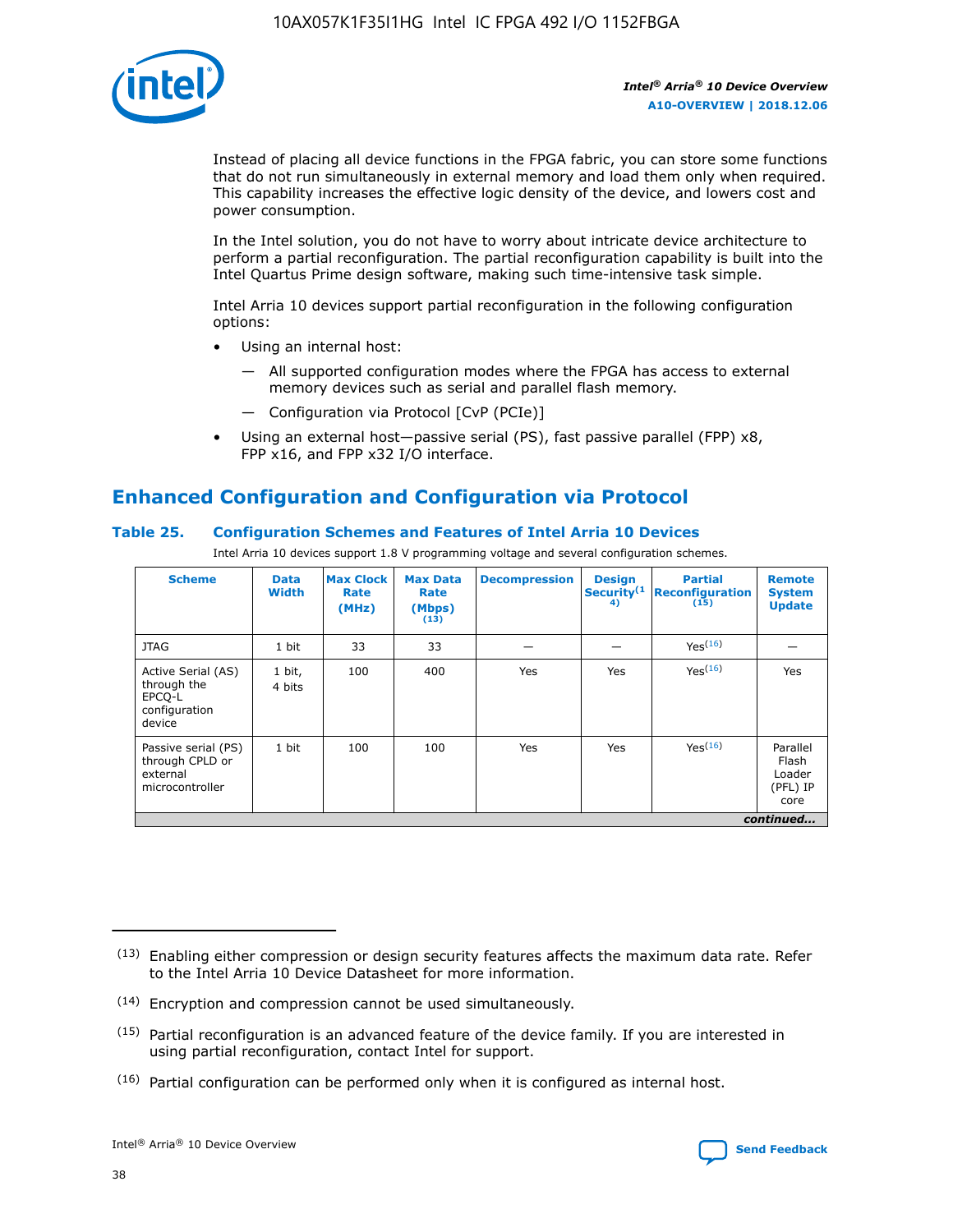

Instead of placing all device functions in the FPGA fabric, you can store some functions that do not run simultaneously in external memory and load them only when required. This capability increases the effective logic density of the device, and lowers cost and power consumption.

In the Intel solution, you do not have to worry about intricate device architecture to perform a partial reconfiguration. The partial reconfiguration capability is built into the Intel Quartus Prime design software, making such time-intensive task simple.

Intel Arria 10 devices support partial reconfiguration in the following configuration options:

- Using an internal host:
	- All supported configuration modes where the FPGA has access to external memory devices such as serial and parallel flash memory.
	- Configuration via Protocol [CvP (PCIe)]
- Using an external host—passive serial (PS), fast passive parallel (FPP) x8, FPP x16, and FPP x32 I/O interface.

# **Enhanced Configuration and Configuration via Protocol**

# **Table 25. Configuration Schemes and Features of Intel Arria 10 Devices**

Intel Arria 10 devices support 1.8 V programming voltage and several configuration schemes.

| <b>Scheme</b>                                                          | <b>Data</b><br><b>Width</b> | <b>Max Clock</b><br>Rate<br>(MHz) | <b>Max Data</b><br>Rate<br>(Mbps)<br>(13) | <b>Decompression</b> | <b>Design</b><br>Security <sup>(1</sup><br>4) | <b>Partial</b><br><b>Reconfiguration</b><br>(15) | <b>Remote</b><br><b>System</b><br><b>Update</b> |
|------------------------------------------------------------------------|-----------------------------|-----------------------------------|-------------------------------------------|----------------------|-----------------------------------------------|--------------------------------------------------|-------------------------------------------------|
| <b>JTAG</b>                                                            | 1 bit                       | 33                                | 33                                        |                      |                                               | Yes(16)                                          |                                                 |
| Active Serial (AS)<br>through the<br>EPCO-L<br>configuration<br>device | 1 bit,<br>4 bits            | 100                               | 400                                       | Yes                  | Yes                                           | $Y_{PS}(16)$                                     | Yes                                             |
| Passive serial (PS)<br>through CPLD or<br>external<br>microcontroller  | 1 bit                       | 100                               | 100                                       | Yes                  | Yes                                           | Yes(16)                                          | Parallel<br>Flash<br>Loader<br>(PFL) IP<br>core |
|                                                                        |                             |                                   |                                           |                      |                                               |                                                  | continued                                       |

<sup>(13)</sup> Enabling either compression or design security features affects the maximum data rate. Refer to the Intel Arria 10 Device Datasheet for more information.

<sup>(14)</sup> Encryption and compression cannot be used simultaneously.

 $(15)$  Partial reconfiguration is an advanced feature of the device family. If you are interested in using partial reconfiguration, contact Intel for support.

 $(16)$  Partial configuration can be performed only when it is configured as internal host.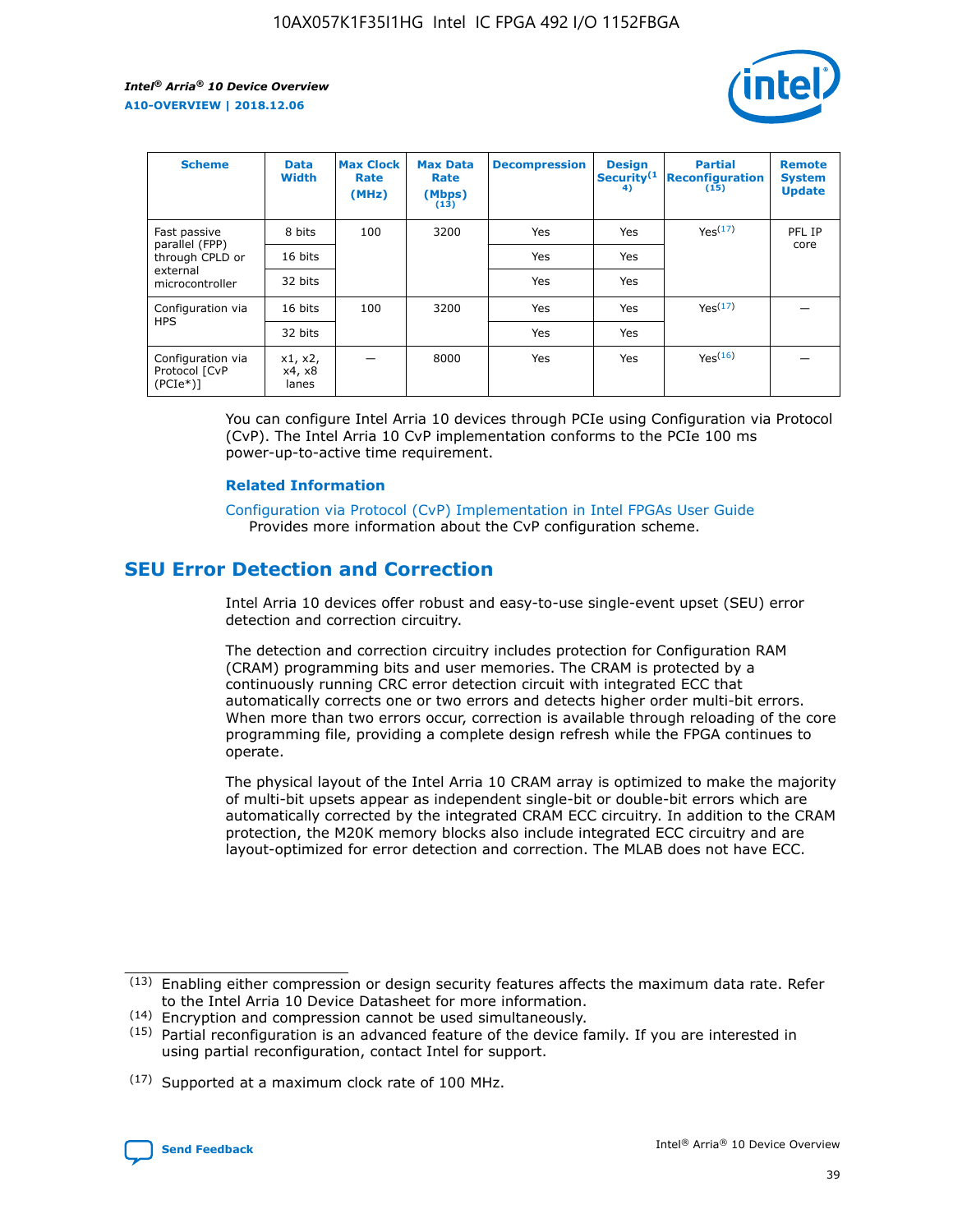

| <b>Scheme</b>                                   | <b>Data</b><br><b>Width</b> | <b>Max Clock</b><br>Rate<br>(MHz) | <b>Max Data</b><br>Rate<br>(Mbps)<br>(13) | <b>Decompression</b> | <b>Design</b><br>Security <sup>(1</sup><br>4) | <b>Partial</b><br><b>Reconfiguration</b><br>(15) | <b>Remote</b><br><b>System</b><br><b>Update</b> |
|-------------------------------------------------|-----------------------------|-----------------------------------|-------------------------------------------|----------------------|-----------------------------------------------|--------------------------------------------------|-------------------------------------------------|
| Fast passive                                    | 8 bits                      | 100                               | 3200                                      | Yes                  | Yes                                           | Yes <sup>(17)</sup>                              | PFL IP                                          |
| parallel (FPP)<br>through CPLD or               | 16 bits                     |                                   |                                           | Yes                  | Yes                                           |                                                  | core                                            |
| external<br>microcontroller                     | 32 bits                     |                                   |                                           | Yes                  | Yes                                           |                                                  |                                                 |
| Configuration via                               | 16 bits                     | 100                               | 3200                                      | Yes                  | Yes                                           | Yes <sup>(17)</sup>                              |                                                 |
| <b>HPS</b>                                      | 32 bits                     |                                   |                                           | Yes                  | Yes                                           |                                                  |                                                 |
| Configuration via<br>Protocol [CvP<br>$(PCIe*)$ | x1, x2,<br>x4, x8<br>lanes  |                                   | 8000                                      | Yes                  | Yes                                           | Yes <sup>(16)</sup>                              |                                                 |

You can configure Intel Arria 10 devices through PCIe using Configuration via Protocol (CvP). The Intel Arria 10 CvP implementation conforms to the PCIe 100 ms power-up-to-active time requirement.

#### **Related Information**

[Configuration via Protocol \(CvP\) Implementation in Intel FPGAs User Guide](https://www.intel.com/content/www/us/en/programmable/documentation/dsu1441819344145.html#dsu1442269728522) Provides more information about the CvP configuration scheme.

# **SEU Error Detection and Correction**

Intel Arria 10 devices offer robust and easy-to-use single-event upset (SEU) error detection and correction circuitry.

The detection and correction circuitry includes protection for Configuration RAM (CRAM) programming bits and user memories. The CRAM is protected by a continuously running CRC error detection circuit with integrated ECC that automatically corrects one or two errors and detects higher order multi-bit errors. When more than two errors occur, correction is available through reloading of the core programming file, providing a complete design refresh while the FPGA continues to operate.

The physical layout of the Intel Arria 10 CRAM array is optimized to make the majority of multi-bit upsets appear as independent single-bit or double-bit errors which are automatically corrected by the integrated CRAM ECC circuitry. In addition to the CRAM protection, the M20K memory blocks also include integrated ECC circuitry and are layout-optimized for error detection and correction. The MLAB does not have ECC.

(14) Encryption and compression cannot be used simultaneously.

<sup>(17)</sup> Supported at a maximum clock rate of 100 MHz.



 $(13)$  Enabling either compression or design security features affects the maximum data rate. Refer to the Intel Arria 10 Device Datasheet for more information.

 $(15)$  Partial reconfiguration is an advanced feature of the device family. If you are interested in using partial reconfiguration, contact Intel for support.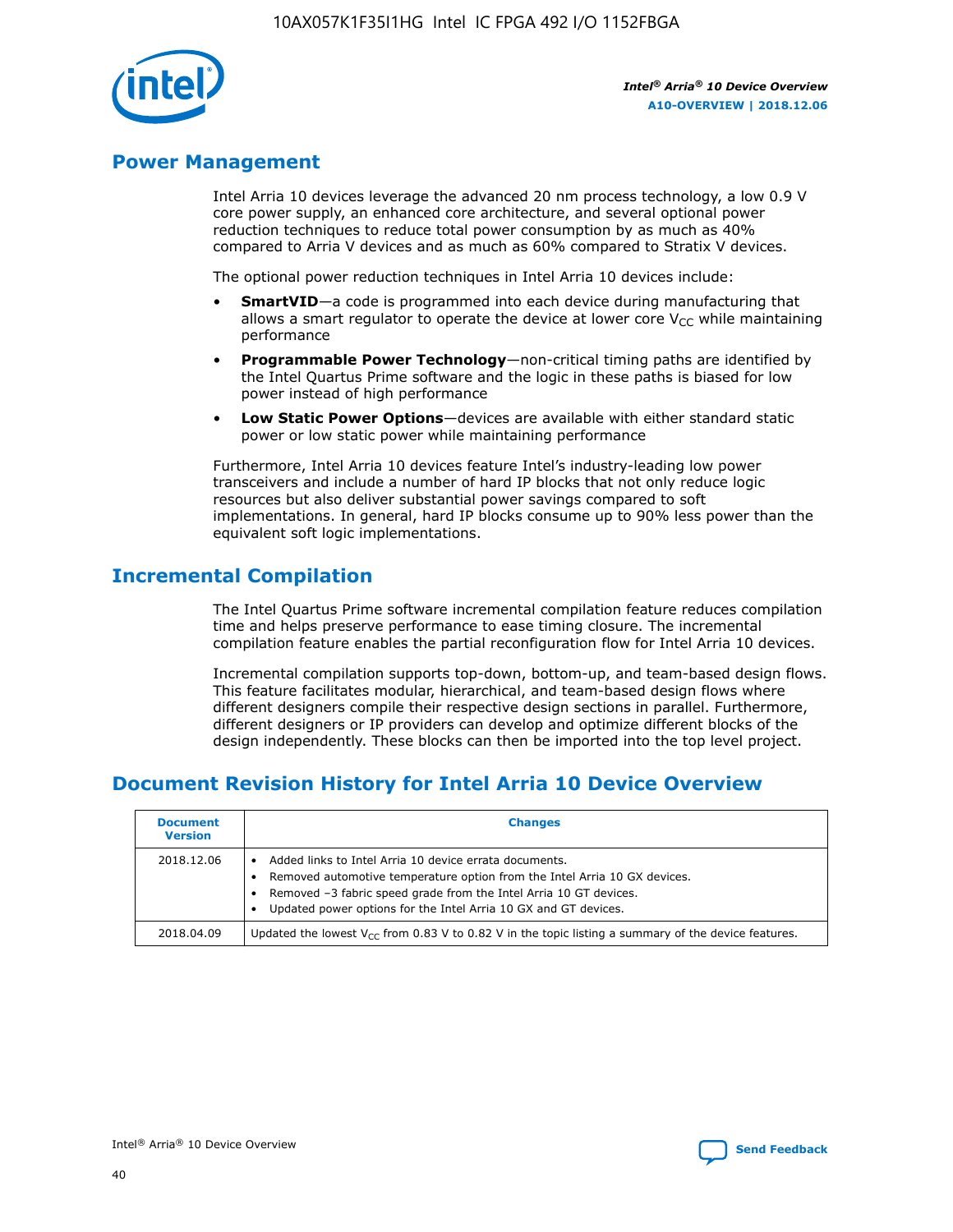

# **Power Management**

Intel Arria 10 devices leverage the advanced 20 nm process technology, a low 0.9 V core power supply, an enhanced core architecture, and several optional power reduction techniques to reduce total power consumption by as much as 40% compared to Arria V devices and as much as 60% compared to Stratix V devices.

The optional power reduction techniques in Intel Arria 10 devices include:

- **SmartVID**—a code is programmed into each device during manufacturing that allows a smart regulator to operate the device at lower core  $V_{CC}$  while maintaining performance
- **Programmable Power Technology**—non-critical timing paths are identified by the Intel Quartus Prime software and the logic in these paths is biased for low power instead of high performance
- **Low Static Power Options**—devices are available with either standard static power or low static power while maintaining performance

Furthermore, Intel Arria 10 devices feature Intel's industry-leading low power transceivers and include a number of hard IP blocks that not only reduce logic resources but also deliver substantial power savings compared to soft implementations. In general, hard IP blocks consume up to 90% less power than the equivalent soft logic implementations.

# **Incremental Compilation**

The Intel Quartus Prime software incremental compilation feature reduces compilation time and helps preserve performance to ease timing closure. The incremental compilation feature enables the partial reconfiguration flow for Intel Arria 10 devices.

Incremental compilation supports top-down, bottom-up, and team-based design flows. This feature facilitates modular, hierarchical, and team-based design flows where different designers compile their respective design sections in parallel. Furthermore, different designers or IP providers can develop and optimize different blocks of the design independently. These blocks can then be imported into the top level project.

# **Document Revision History for Intel Arria 10 Device Overview**

| <b>Document</b><br><b>Version</b> | <b>Changes</b>                                                                                                                                                                                                                                                              |
|-----------------------------------|-----------------------------------------------------------------------------------------------------------------------------------------------------------------------------------------------------------------------------------------------------------------------------|
| 2018.12.06                        | Added links to Intel Arria 10 device errata documents.<br>Removed automotive temperature option from the Intel Arria 10 GX devices.<br>Removed -3 fabric speed grade from the Intel Arria 10 GT devices.<br>Updated power options for the Intel Arria 10 GX and GT devices. |
| 2018.04.09                        | Updated the lowest $V_{CC}$ from 0.83 V to 0.82 V in the topic listing a summary of the device features.                                                                                                                                                                    |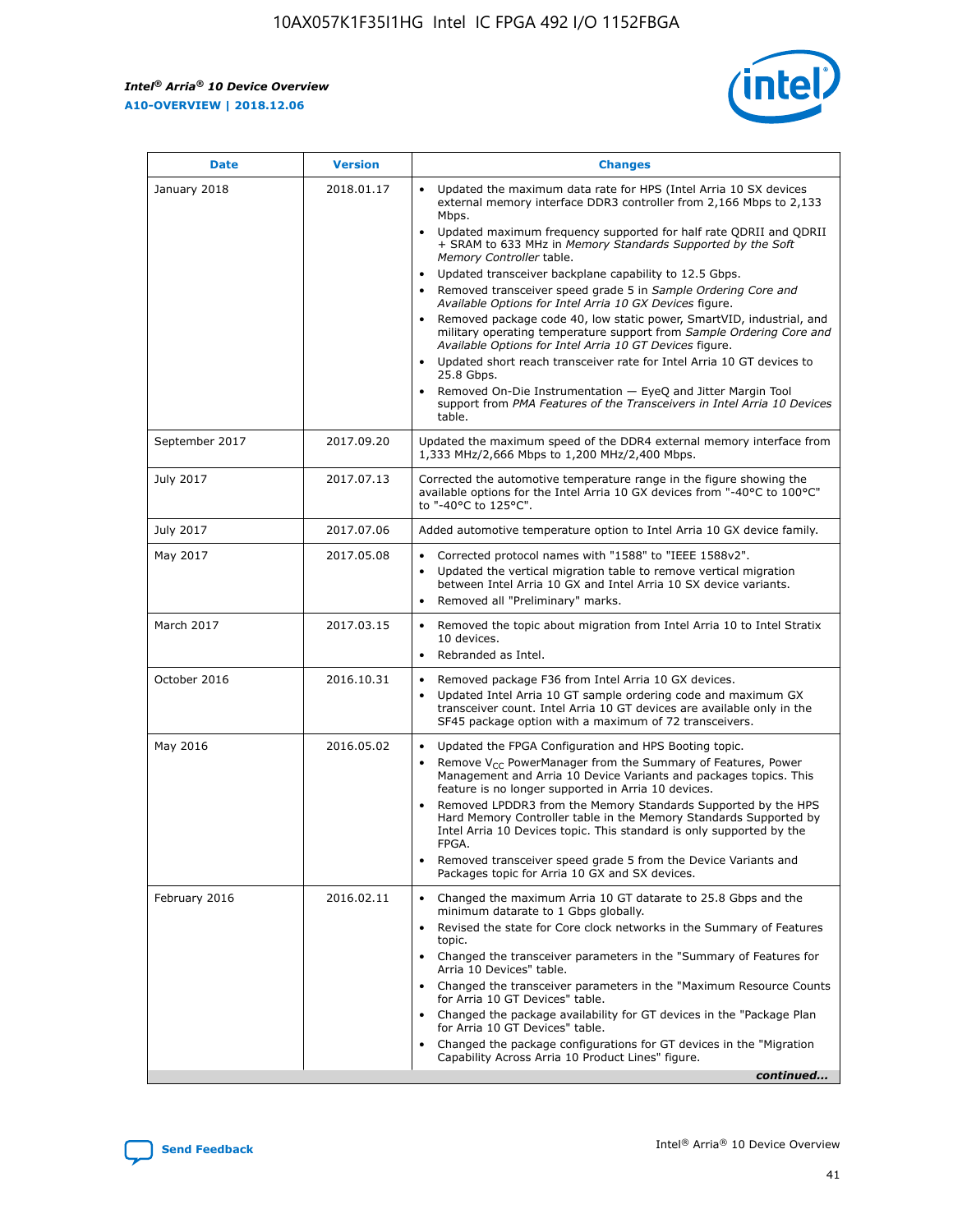

| <b>Date</b>    | <b>Version</b> | <b>Changes</b>                                                                                                                                                                                                                                                                                                                                                                                                                                                                                                                                                                                                                                                                                                                                                                                                                                                                                                                                               |
|----------------|----------------|--------------------------------------------------------------------------------------------------------------------------------------------------------------------------------------------------------------------------------------------------------------------------------------------------------------------------------------------------------------------------------------------------------------------------------------------------------------------------------------------------------------------------------------------------------------------------------------------------------------------------------------------------------------------------------------------------------------------------------------------------------------------------------------------------------------------------------------------------------------------------------------------------------------------------------------------------------------|
| January 2018   | 2018.01.17     | Updated the maximum data rate for HPS (Intel Arria 10 SX devices<br>external memory interface DDR3 controller from 2,166 Mbps to 2,133<br>Mbps.<br>Updated maximum frequency supported for half rate QDRII and QDRII<br>+ SRAM to 633 MHz in Memory Standards Supported by the Soft<br>Memory Controller table.<br>Updated transceiver backplane capability to 12.5 Gbps.<br>Removed transceiver speed grade 5 in Sample Ordering Core and<br>Available Options for Intel Arria 10 GX Devices figure.<br>Removed package code 40, low static power, SmartVID, industrial, and<br>military operating temperature support from Sample Ordering Core and<br>Available Options for Intel Arria 10 GT Devices figure.<br>Updated short reach transceiver rate for Intel Arria 10 GT devices to<br>25.8 Gbps.<br>Removed On-Die Instrumentation - EyeQ and Jitter Margin Tool<br>support from PMA Features of the Transceivers in Intel Arria 10 Devices<br>table. |
| September 2017 | 2017.09.20     | Updated the maximum speed of the DDR4 external memory interface from<br>1,333 MHz/2,666 Mbps to 1,200 MHz/2,400 Mbps.                                                                                                                                                                                                                                                                                                                                                                                                                                                                                                                                                                                                                                                                                                                                                                                                                                        |
| July 2017      | 2017.07.13     | Corrected the automotive temperature range in the figure showing the<br>available options for the Intel Arria 10 GX devices from "-40°C to 100°C"<br>to "-40°C to 125°C".                                                                                                                                                                                                                                                                                                                                                                                                                                                                                                                                                                                                                                                                                                                                                                                    |
| July 2017      | 2017.07.06     | Added automotive temperature option to Intel Arria 10 GX device family.                                                                                                                                                                                                                                                                                                                                                                                                                                                                                                                                                                                                                                                                                                                                                                                                                                                                                      |
| May 2017       | 2017.05.08     | Corrected protocol names with "1588" to "IEEE 1588v2".<br>Updated the vertical migration table to remove vertical migration<br>$\bullet$<br>between Intel Arria 10 GX and Intel Arria 10 SX device variants.<br>Removed all "Preliminary" marks.                                                                                                                                                                                                                                                                                                                                                                                                                                                                                                                                                                                                                                                                                                             |
| March 2017     | 2017.03.15     | Removed the topic about migration from Intel Arria 10 to Intel Stratix<br>10 devices.<br>Rebranded as Intel.<br>$\bullet$                                                                                                                                                                                                                                                                                                                                                                                                                                                                                                                                                                                                                                                                                                                                                                                                                                    |
| October 2016   | 2016.10.31     | Removed package F36 from Intel Arria 10 GX devices.<br>Updated Intel Arria 10 GT sample ordering code and maximum GX<br>$\bullet$<br>transceiver count. Intel Arria 10 GT devices are available only in the<br>SF45 package option with a maximum of 72 transceivers.                                                                                                                                                                                                                                                                                                                                                                                                                                                                                                                                                                                                                                                                                        |
| May 2016       | 2016.05.02     | Updated the FPGA Configuration and HPS Booting topic.<br>$\bullet$<br>Remove V <sub>CC</sub> PowerManager from the Summary of Features, Power<br>Management and Arria 10 Device Variants and packages topics. This<br>feature is no longer supported in Arria 10 devices.<br>Removed LPDDR3 from the Memory Standards Supported by the HPS<br>Hard Memory Controller table in the Memory Standards Supported by<br>Intel Arria 10 Devices topic. This standard is only supported by the<br>FPGA.<br>Removed transceiver speed grade 5 from the Device Variants and<br>Packages topic for Arria 10 GX and SX devices.                                                                                                                                                                                                                                                                                                                                         |
| February 2016  | 2016.02.11     | Changed the maximum Arria 10 GT datarate to 25.8 Gbps and the<br>minimum datarate to 1 Gbps globally.<br>Revised the state for Core clock networks in the Summary of Features<br>topic.<br>Changed the transceiver parameters in the "Summary of Features for<br>Arria 10 Devices" table.<br>Changed the transceiver parameters in the "Maximum Resource Counts"<br>for Arria 10 GT Devices" table.<br>Changed the package availability for GT devices in the "Package Plan<br>for Arria 10 GT Devices" table.<br>Changed the package configurations for GT devices in the "Migration"<br>Capability Across Arria 10 Product Lines" figure.<br>continued                                                                                                                                                                                                                                                                                                     |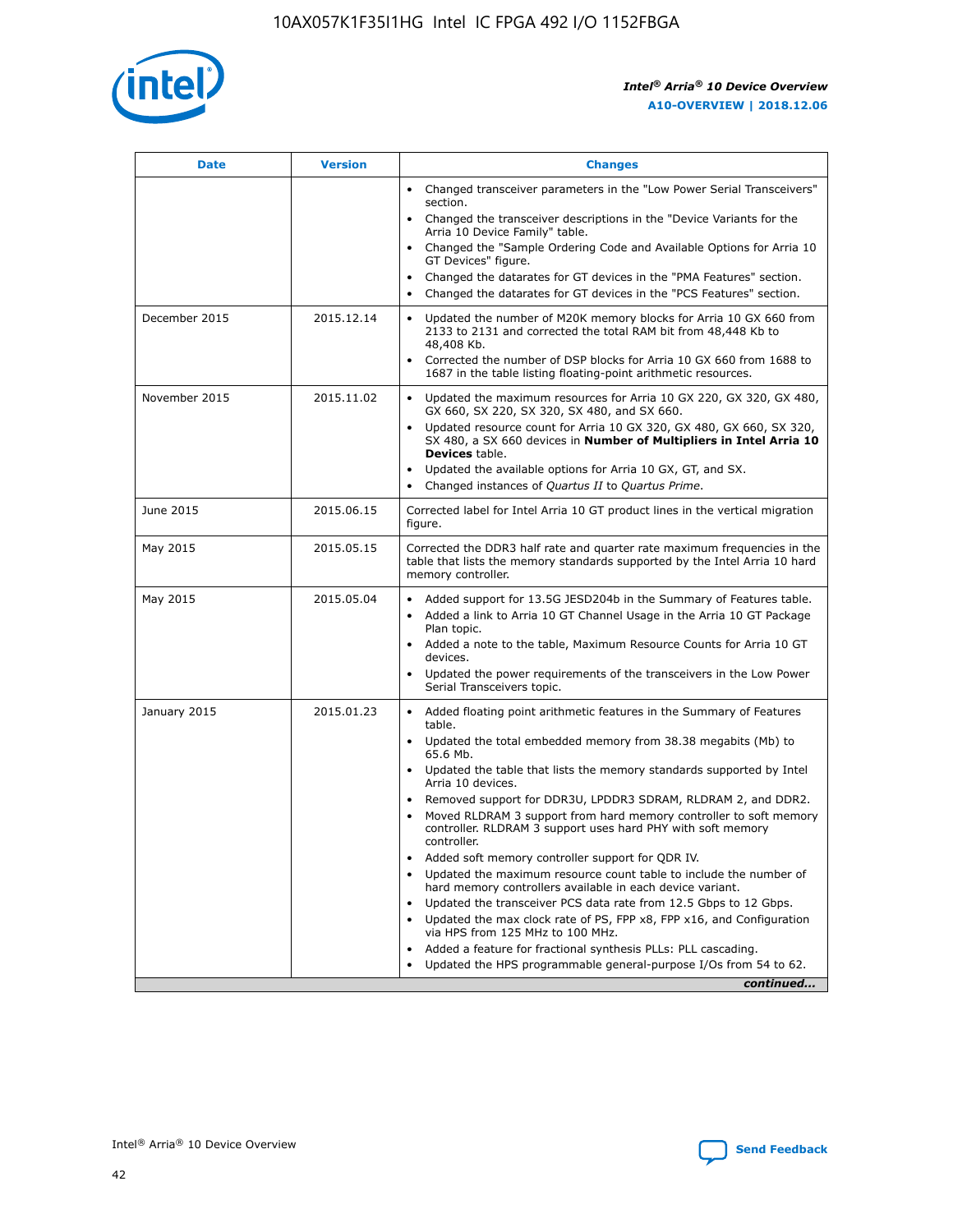

| <b>Date</b>   | <b>Version</b> | <b>Changes</b>                                                                                                                                                                   |
|---------------|----------------|----------------------------------------------------------------------------------------------------------------------------------------------------------------------------------|
|               |                | • Changed transceiver parameters in the "Low Power Serial Transceivers"<br>section.                                                                                              |
|               |                | • Changed the transceiver descriptions in the "Device Variants for the<br>Arria 10 Device Family" table.                                                                         |
|               |                | Changed the "Sample Ordering Code and Available Options for Arria 10<br>GT Devices" figure.                                                                                      |
|               |                | Changed the datarates for GT devices in the "PMA Features" section.                                                                                                              |
|               |                | Changed the datarates for GT devices in the "PCS Features" section.<br>$\bullet$                                                                                                 |
| December 2015 | 2015.12.14     | Updated the number of M20K memory blocks for Arria 10 GX 660 from<br>$\bullet$<br>2133 to 2131 and corrected the total RAM bit from 48,448 Kb to<br>48,408 Kb.                   |
|               |                | Corrected the number of DSP blocks for Arria 10 GX 660 from 1688 to<br>$\bullet$<br>1687 in the table listing floating-point arithmetic resources.                               |
| November 2015 | 2015.11.02     | Updated the maximum resources for Arria 10 GX 220, GX 320, GX 480,<br>$\bullet$<br>GX 660, SX 220, SX 320, SX 480, and SX 660.                                                   |
|               |                | Updated resource count for Arria 10 GX 320, GX 480, GX 660, SX 320,<br>$\bullet$<br>SX 480, a SX 660 devices in Number of Multipliers in Intel Arria 10<br><b>Devices</b> table. |
|               |                | Updated the available options for Arria 10 GX, GT, and SX.<br>$\bullet$                                                                                                          |
|               |                | Changed instances of Quartus II to Quartus Prime.<br>$\bullet$                                                                                                                   |
| June 2015     | 2015.06.15     | Corrected label for Intel Arria 10 GT product lines in the vertical migration<br>figure.                                                                                         |
| May 2015      | 2015.05.15     | Corrected the DDR3 half rate and quarter rate maximum frequencies in the<br>table that lists the memory standards supported by the Intel Arria 10 hard<br>memory controller.     |
| May 2015      | 2015.05.04     | • Added support for 13.5G JESD204b in the Summary of Features table.<br>• Added a link to Arria 10 GT Channel Usage in the Arria 10 GT Package<br>Plan topic.                    |
|               |                | • Added a note to the table, Maximum Resource Counts for Arria 10 GT<br>devices.                                                                                                 |
|               |                | Updated the power requirements of the transceivers in the Low Power<br>Serial Transceivers topic.                                                                                |
| January 2015  | 2015.01.23     | • Added floating point arithmetic features in the Summary of Features<br>table.                                                                                                  |
|               |                | • Updated the total embedded memory from 38.38 megabits (Mb) to<br>65.6 Mb.                                                                                                      |
|               |                | • Updated the table that lists the memory standards supported by Intel<br>Arria 10 devices.                                                                                      |
|               |                | Removed support for DDR3U, LPDDR3 SDRAM, RLDRAM 2, and DDR2.                                                                                                                     |
|               |                | Moved RLDRAM 3 support from hard memory controller to soft memory<br>controller. RLDRAM 3 support uses hard PHY with soft memory<br>controller.                                  |
|               |                | Added soft memory controller support for QDR IV.                                                                                                                                 |
|               |                | Updated the maximum resource count table to include the number of<br>hard memory controllers available in each device variant.                                                   |
|               |                | Updated the transceiver PCS data rate from 12.5 Gbps to 12 Gbps.<br>$\bullet$                                                                                                    |
|               |                | Updated the max clock rate of PS, FPP x8, FPP x16, and Configuration<br>via HPS from 125 MHz to 100 MHz.                                                                         |
|               |                | Added a feature for fractional synthesis PLLs: PLL cascading.                                                                                                                    |
|               |                | Updated the HPS programmable general-purpose I/Os from 54 to 62.                                                                                                                 |
|               |                | continued                                                                                                                                                                        |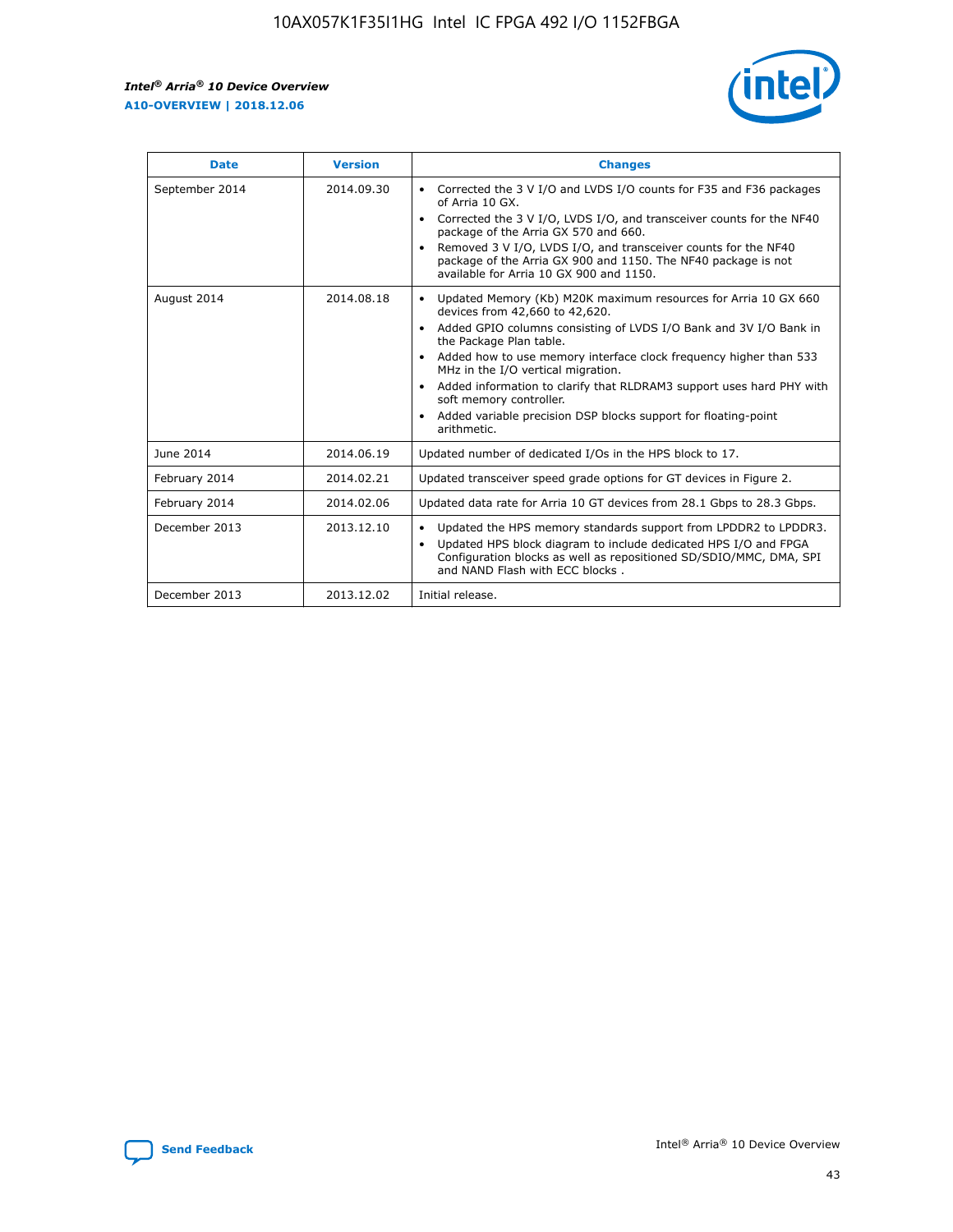$\mathsf{r}$ 



| <b>Date</b>    | <b>Version</b> | <b>Changes</b>                                                                                                                                                                                                                                                                                                                                                                                                                                                                                                                         |
|----------------|----------------|----------------------------------------------------------------------------------------------------------------------------------------------------------------------------------------------------------------------------------------------------------------------------------------------------------------------------------------------------------------------------------------------------------------------------------------------------------------------------------------------------------------------------------------|
| September 2014 | 2014.09.30     | Corrected the 3 V I/O and LVDS I/O counts for F35 and F36 packages<br>of Arria 10 GX.<br>Corrected the 3 V I/O, LVDS I/O, and transceiver counts for the NF40<br>package of the Arria GX 570 and 660.<br>Removed 3 V I/O, LVDS I/O, and transceiver counts for the NF40<br>package of the Arria GX 900 and 1150. The NF40 package is not<br>available for Arria 10 GX 900 and 1150.                                                                                                                                                    |
| August 2014    | 2014.08.18     | Updated Memory (Kb) M20K maximum resources for Arria 10 GX 660<br>devices from 42,660 to 42,620.<br>Added GPIO columns consisting of LVDS I/O Bank and 3V I/O Bank in<br>$\bullet$<br>the Package Plan table.<br>Added how to use memory interface clock frequency higher than 533<br>$\bullet$<br>MHz in the I/O vertical migration.<br>Added information to clarify that RLDRAM3 support uses hard PHY with<br>$\bullet$<br>soft memory controller.<br>Added variable precision DSP blocks support for floating-point<br>arithmetic. |
| June 2014      | 2014.06.19     | Updated number of dedicated I/Os in the HPS block to 17.                                                                                                                                                                                                                                                                                                                                                                                                                                                                               |
| February 2014  | 2014.02.21     | Updated transceiver speed grade options for GT devices in Figure 2.                                                                                                                                                                                                                                                                                                                                                                                                                                                                    |
| February 2014  | 2014.02.06     | Updated data rate for Arria 10 GT devices from 28.1 Gbps to 28.3 Gbps.                                                                                                                                                                                                                                                                                                                                                                                                                                                                 |
| December 2013  | 2013.12.10     | Updated the HPS memory standards support from LPDDR2 to LPDDR3.<br>Updated HPS block diagram to include dedicated HPS I/O and FPGA<br>$\bullet$<br>Configuration blocks as well as repositioned SD/SDIO/MMC, DMA, SPI<br>and NAND Flash with ECC blocks.                                                                                                                                                                                                                                                                               |
| December 2013  | 2013.12.02     | Initial release.                                                                                                                                                                                                                                                                                                                                                                                                                                                                                                                       |